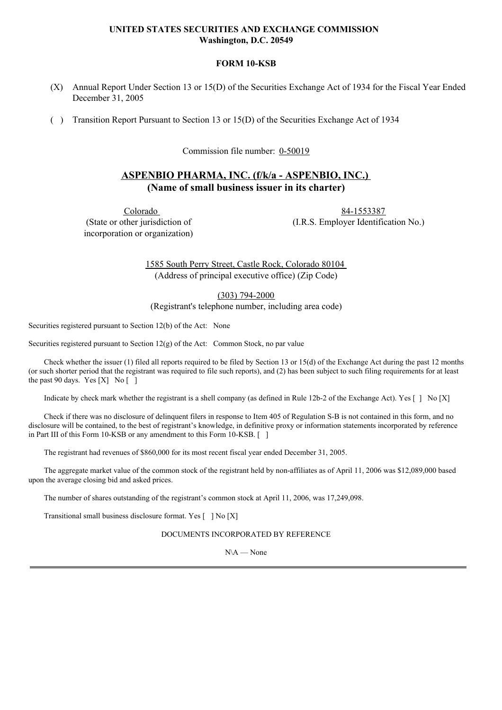# **UNITED STATES SECURITIES AND EXCHANGE COMMISSION Washington, D.C. 20549**

## **FORM 10-KSB**

- (X) Annual Report Under Section 13 or 15(D) of the Securities Exchange Act of 1934 for the Fiscal Year Ended December 31, 2005
- ( ) Transition Report Pursuant to Section 13 or 15(D) of the Securities Exchange Act of 1934

Commission file number: 0-50019

# **ASPENBIO PHARMA, INC. (f/k/a - ASPENBIO, INC.) (Name of small business issuer in its charter)**

Colorado (State or other jurisdiction of incorporation or organization)

84-1553387 (I.R.S. Employer Identification No.)

1585 South Perry Street, Castle Rock, Colorado 80104 (Address of principal executive office) (Zip Code)

(303) 794-2000

(Registrant's telephone number, including area code)

Securities registered pursuant to Section 12(b) of the Act: None

Securities registered pursuant to Section 12(g) of the Act: Common Stock, no par value

Check whether the issuer (1) filed all reports required to be filed by Section 13 or 15(d) of the Exchange Act during the past 12 months (or such shorter period that the registrant was required to file such reports), and (2) has been subject to such filing requirements for at least the past 90 days. Yes [X] No [ ]

Indicate by check mark whether the registrant is a shell company (as defined in Rule 12b-2 of the Exchange Act). Yes [ ] No [X]

Check if there was no disclosure of delinquent filers in response to Item 405 of Regulation S-B is not contained in this form, and no disclosure will be contained, to the best of registrant's knowledge, in definitive proxy or information statements incorporated by reference in Part III of this Form 10-KSB or any amendment to this Form 10-KSB. [ ]

The registrant had revenues of \$860,000 for its most recent fiscal year ended December 31, 2005.

The aggregate market value of the common stock of the registrant held by non-affiliates as of April 11, 2006 was \$12,089,000 based upon the average closing bid and asked prices.

The number of shares outstanding of the registrant's common stock at April 11, 2006, was 17,249,098.

Transitional small business disclosure format. Yes [ ] No [X]

DOCUMENTS INCORPORATED BY REFERENCE

N\A — None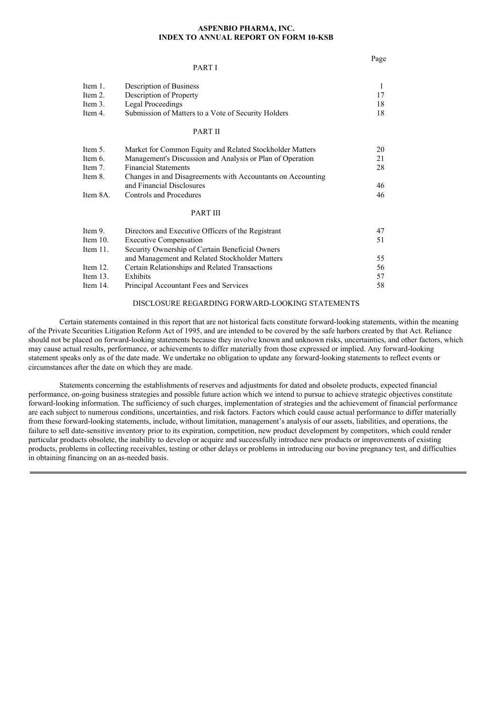#### **ASPENBIO PHARMA, INC. INDEX TO ANNUAL REPORT ON FORM 10-KSB**

Page

|             | PART I                                                      |    |
|-------------|-------------------------------------------------------------|----|
| Item 1.     | Description of Business                                     | 1  |
| Item 2.     | Description of Property                                     | 17 |
| Item 3.     | <b>Legal Proceedings</b>                                    | 18 |
| Item 4.     | Submission of Matters to a Vote of Security Holders         | 18 |
|             | <b>PART II</b>                                              |    |
| Item 5.     | Market for Common Equity and Related Stockholder Matters    | 20 |
| Item 6.     | Management's Discussion and Analysis or Plan of Operation   | 21 |
| Item 7.     | <b>Financial Statements</b>                                 | 28 |
| Item 8.     | Changes in and Disagreements with Accountants on Accounting |    |
|             | and Financial Disclosures                                   | 46 |
| Item 8A.    | <b>Controls and Procedures</b>                              | 46 |
|             | <b>PART III</b>                                             |    |
| Item 9.     | Directors and Executive Officers of the Registrant          | 47 |
| Item $10$ . | <b>Executive Compensation</b>                               | 51 |
| Item $11.$  | Security Ownership of Certain Beneficial Owners             |    |
|             | and Management and Related Stockholder Matters              | 55 |
| Item $12$ . | Certain Relationships and Related Transactions              | 56 |
| Item $13.$  | Exhibits                                                    | 57 |
| Item 14.    | Principal Accountant Fees and Services                      | 58 |

## DISCLOSURE REGARDING FORWARD-LOOKING STATEMENTS

Certain statements contained in this report that are not historical facts constitute forward-looking statements, within the meaning of the Private Securities Litigation Reform Act of 1995, and are intended to be covered by the safe harbors created by that Act. Reliance should not be placed on forward-looking statements because they involve known and unknown risks, uncertainties, and other factors, which may cause actual results, performance, or achievements to differ materially from those expressed or implied. Any forward-looking statement speaks only as of the date made. We undertake no obligation to update any forward-looking statements to reflect events or circumstances after the date on which they are made.

Statements concerning the establishments of reserves and adjustments for dated and obsolete products, expected financial performance, on-going business strategies and possible future action which we intend to pursue to achieve strategic objectives constitute forward-looking information. The sufficiency of such charges, implementation of strategies and the achievement of financial performance are each subject to numerous conditions, uncertainties, and risk factors. Factors which could cause actual performance to differ materially from these forward-looking statements, include, without limitation, management's analysis of our assets, liabilities, and operations, the failure to sell date-sensitive inventory prior to its expiration, competition, new product development by competitors, which could render particular products obsolete, the inability to develop or acquire and successfully introduce new products or improvements of existing products, problems in collecting receivables, testing or other delays or problems in introducing our bovine pregnancy test, and difficulties in obtaining financing on an as-needed basis.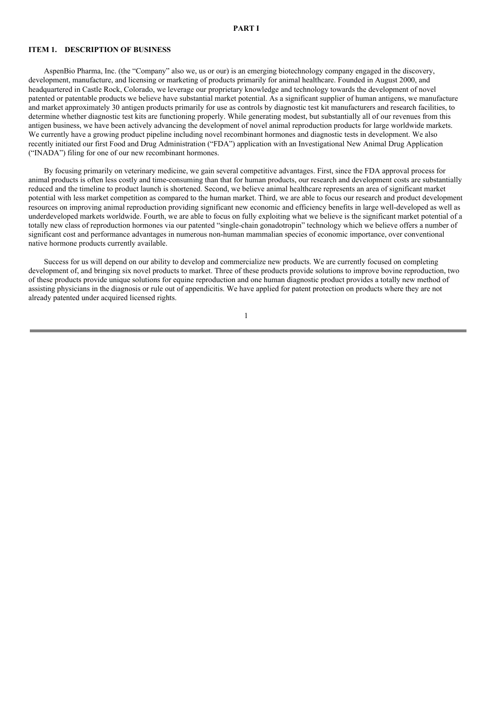#### **PART I**

## **ITEM 1. DESCRIPTION OF BUSINESS**

AspenBio Pharma, Inc. (the "Company" also we, us or our) is an emerging biotechnology company engaged in the discovery, development, manufacture, and licensing or marketing of products primarily for animal healthcare. Founded in August 2000, and headquartered in Castle Rock, Colorado, we leverage our proprietary knowledge and technology towards the development of novel patented or patentable products we believe have substantial market potential. As a significant supplier of human antigens, we manufacture and market approximately 30 antigen products primarily for use as controls by diagnostic test kit manufacturers and research facilities, to determine whether diagnostic test kits are functioning properly. While generating modest, but substantially all of our revenues from this antigen business, we have been actively advancing the development of novel animal reproduction products for large worldwide markets. We currently have a growing product pipeline including novel recombinant hormones and diagnostic tests in development. We also recently initiated our first Food and Drug Administration ("FDA") application with an Investigational New Animal Drug Application ("INADA") filing for one of our new recombinant hormones.

By focusing primarily on veterinary medicine, we gain several competitive advantages. First, since the FDA approval process for animal products is often less costly and time-consuming than that for human products, our research and development costs are substantially reduced and the timeline to product launch is shortened. Second, we believe animal healthcare represents an area of significant market potential with less market competition as compared to the human market. Third, we are able to focus our research and product development resources on improving animal reproduction providing significant new economic and efficiency benefits in large well-developed as well as underdeveloped markets worldwide. Fourth, we are able to focus on fully exploiting what we believe is the significant market potential of a totally new class of reproduction hormones via our patented "single-chain gonadotropin" technology which we believe offers a number of significant cost and performance advantages in numerous non-human mammalian species of economic importance, over conventional native hormone products currently available.

Success for us will depend on our ability to develop and commercialize new products. We are currently focused on completing development of, and bringing six novel products to market. Three of these products provide solutions to improve bovine reproduction, two of these products provide unique solutions for equine reproduction and one human diagnostic product provides a totally new method of assisting physicians in the diagnosis or rule out of appendicitis. We have applied for patent protection on products where they are not already patented under acquired licensed rights.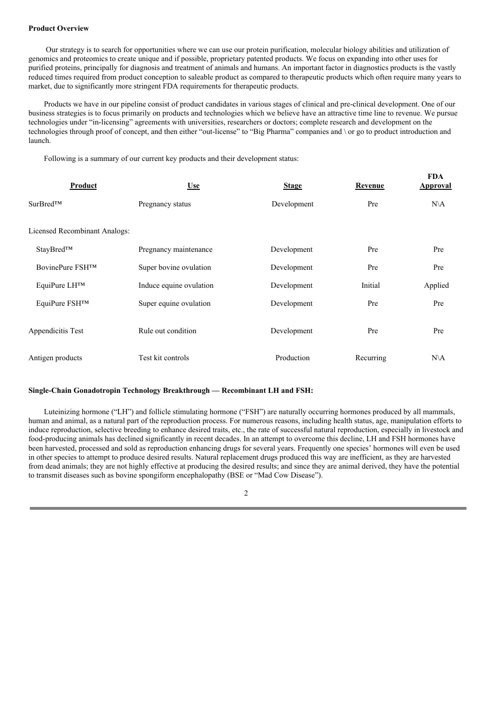#### **Product Overview**

Our strategy is to search for opportunities where we can use our protein purification, molecular biology abilities and utilization of genomics and proteomics to create unique and if possible, proprietary patented products. We focus on expanding into other uses for purified proteins, principally for diagnosis and treatment of animals and humans. An important factor in diagnostics products is the vastly reduced times required from product conception to saleable product as compared to therapeutic products which often require many years to market, due to significantly more stringent FDA requirements for therapeutic products.

Products we have in our pipeline consist of product candidates in various stages of clinical and pre-clinical development. One of our business strategies is to focus primarily on products and technologies which we believe have an attractive time line to revenue. We pursue technologies under "in-licensing" agreements with universities, researchers or doctors; complete research and development on the technologies through proof of concept, and then either "out-license" to "Big Pharma" companies and \ or go to product introduction and launch.

**FDA**

Following is a summary of our current key products and their development status:

| Product                       | <b>Use</b>              | <b>Stage</b> | Revenue   | L DA<br><b>Approval</b> |
|-------------------------------|-------------------------|--------------|-----------|-------------------------|
| $SurBred^{TM}$                | Pregnancy status        | Development  | Pre       | $N\setminus A$          |
| Licensed Recombinant Analogs: |                         |              |           |                         |
| StayBred™                     | Pregnancy maintenance   | Development  | Pre       | Pre                     |
| BovinePure FSH™               | Super bovine ovulation  | Development  | Pre       | Pre                     |
| EquiPure LH™                  | Induce equine ovulation | Development  | Initial   | Applied                 |
| EquiPure FSH™                 | Super equine ovulation  | Development  | Pre       | Pre                     |
| Appendicitis Test             | Rule out condition      | Development  | Pre       | Pre                     |
| Antigen products              | Test kit controls       | Production   | Recurring | $N\setminus A$          |

### **Single-Chain Gonadotropin Technology Breakthrough — Recombinant LH and FSH:**

Luteinizing hormone ("LH") and follicle stimulating hormone ("FSH") are naturally occurring hormones produced by all mammals, human and animal, as a natural part of the reproduction process. For numerous reasons, including health status, age, manipulation efforts to induce reproduction, selective breeding to enhance desired traits, etc., the rate of successful natural reproduction, especially in livestock and food-producing animals has declined significantly in recent decades. In an attempt to overcome this decline, LH and FSH hormones have been harvested, processed and sold as reproduction enhancing drugs for several years. Frequently one species' hormones will even be used in other species to attempt to produce desired results. Natural replacement drugs produced this way are inefficient, as they are harvested from dead animals; they are not highly effective at producing the desired results; and since they are animal derived, they have the potential to transmit diseases such as bovine spongiform encephalopathy (BSE or "Mad Cow Disease").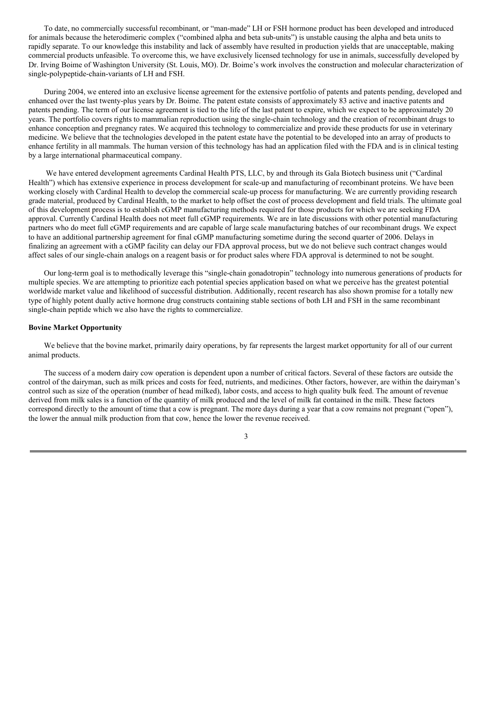To date, no commercially successful recombinant, or "man-made" LH or FSH hormone product has been developed and introduced for animals because the heterodimeric complex ("combined alpha and beta sub-units") is unstable causing the alpha and beta units to rapidly separate. To our knowledge this instability and lack of assembly have resulted in production yields that are unacceptable, making commercial products unfeasible. To overcome this, we have exclusively licensed technology for use in animals, successfully developed by Dr. Irving Boime of Washington University (St. Louis, MO). Dr. Boime's work involves the construction and molecular characterization of single-polypeptide-chain-variants of LH and FSH.

During 2004, we entered into an exclusive license agreement for the extensive portfolio of patents and patents pending, developed and enhanced over the last twenty-plus years by Dr. Boime. The patent estate consists of approximately 83 active and inactive patents and patents pending. The term of our license agreement is tied to the life of the last patent to expire, which we expect to be approximately 20 years. The portfolio covers rights to mammalian reproduction using the single-chain technology and the creation of recombinant drugs to enhance conception and pregnancy rates. We acquired this technology to commercialize and provide these products for use in veterinary medicine. We believe that the technologies developed in the patent estate have the potential to be developed into an array of products to enhance fertility in all mammals. The human version of this technology has had an application filed with the FDA and is in clinical testing by a large international pharmaceutical company.

We have entered development agreements Cardinal Health PTS, LLC, by and through its Gala Biotech business unit ("Cardinal Health") which has extensive experience in process development for scale-up and manufacturing of recombinant proteins. We have been working closely with Cardinal Health to develop the commercial scale-up process for manufacturing. We are currently providing research grade material, produced by Cardinal Health, to the market to help offset the cost of process development and field trials. The ultimate goal of this development process is to establish cGMP manufacturing methods required for those products for which we are seeking FDA approval. Currently Cardinal Health does not meet full cGMP requirements. We are in late discussions with other potential manufacturing partners who do meet full cGMP requirements and are capable of large scale manufacturing batches of our recombinant drugs. We expect to have an additional partnership agreement for final cGMP manufacturing sometime during the second quarter of 2006. Delays in finalizing an agreement with a cGMP facility can delay our FDA approval process, but we do not believe such contract changes would affect sales of our single-chain analogs on a reagent basis or for product sales where FDA approval is determined to not be sought.

Our long-term goal is to methodically leverage this "single-chain gonadotropin" technology into numerous generations of products for multiple species. We are attempting to prioritize each potential species application based on what we perceive has the greatest potential worldwide market value and likelihood of successful distribution. Additionally, recent research has also shown promise for a totally new type of highly potent dually active hormone drug constructs containing stable sections of both LH and FSH in the same recombinant single-chain peptide which we also have the rights to commercialize.

#### **Bovine Market Opportunity**

We believe that the bovine market, primarily dairy operations, by far represents the largest market opportunity for all of our current animal products.

The success of a modern dairy cow operation is dependent upon a number of critical factors. Several of these factors are outside the control of the dairyman, such as milk prices and costs for feed, nutrients, and medicines. Other factors, however, are within the dairyman's control such as size of the operation (number of head milked), labor costs, and access to high quality bulk feed. The amount of revenue derived from milk sales is a function of the quantity of milk produced and the level of milk fat contained in the milk. These factors correspond directly to the amount of time that a cow is pregnant. The more days during a year that a cow remains not pregnant ("open"), the lower the annual milk production from that cow, hence the lower the revenue received.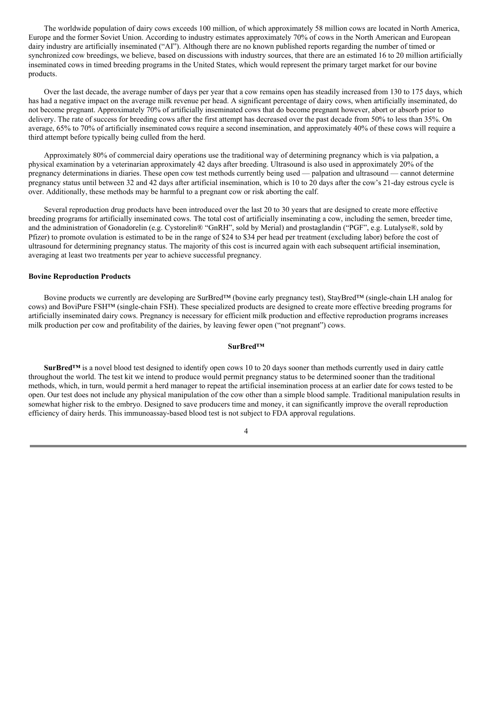The worldwide population of dairy cows exceeds 100 million, of which approximately 58 million cows are located in North America, Europe and the former Soviet Union. According to industry estimates approximately 70% of cows in the North American and European dairy industry are artificially inseminated ("AI"). Although there are no known published reports regarding the number of timed or synchronized cow breedings, we believe, based on discussions with industry sources, that there are an estimated 16 to 20 million artificially inseminated cows in timed breeding programs in the United States, which would represent the primary target market for our bovine products.

Over the last decade, the average number of days per year that a cow remains open has steadily increased from 130 to 175 days, which has had a negative impact on the average milk revenue per head. A significant percentage of dairy cows, when artificially inseminated, do not become pregnant. Approximately 70% of artificially inseminated cows that do become pregnant however, abort or absorb prior to delivery. The rate of success for breeding cows after the first attempt has decreased over the past decade from 50% to less than 35%. On average, 65% to 70% of artificially inseminated cows require a second insemination, and approximately 40% of these cows will require a third attempt before typically being culled from the herd.

Approximately 80% of commercial dairy operations use the traditional way of determining pregnancy which is via palpation, a physical examination by a veterinarian approximately 42 days after breeding. Ultrasound is also used in approximately 20% of the pregnancy determinations in diaries. These open cow test methods currently being used — palpation and ultrasound — cannot determine pregnancy status until between 32 and 42 days after artificial insemination, which is 10 to 20 days after the cow's 21-day estrous cycle is over. Additionally, these methods may be harmful to a pregnant cow or risk aborting the calf.

Several reproduction drug products have been introduced over the last 20 to 30 years that are designed to create more effective breeding programs for artificially inseminated cows. The total cost of artificially inseminating a cow, including the semen, breeder time, and the administration of Gonadorelin (e.g. Cystorelin® "GnRH", sold by Merial) and prostaglandin ("PGF", e.g. Lutalyse®, sold by Pfizer) to promote ovulation is estimated to be in the range of \$24 to \$34 per head per treatment (excluding labor) before the cost of ultrasound for determining pregnancy status. The majority of this cost is incurred again with each subsequent artificial insemination, averaging at least two treatments per year to achieve successful pregnancy.

#### **Bovine Reproduction Products**

Bovine products we currently are developing are SurBred™ (bovine early pregnancy test), StayBred™ (single-chain LH analog for cows) and BoviPure FSH™ (single-chain FSH). These specialized products are designed to create more effective breeding programs for artificially inseminated dairy cows. Pregnancy is necessary for efficient milk production and effective reproduction programs increases milk production per cow and profitability of the dairies, by leaving fewer open ("not pregnant") cows.

#### **SurBred™**

**SurBred™** is a novel blood test designed to identify open cows 10 to 20 days sooner than methods currently used in dairy cattle throughout the world. The test kit we intend to produce would permit pregnancy status to be determined sooner than the traditional methods, which, in turn, would permit a herd manager to repeat the artificial insemination process at an earlier date for cows tested to be open. Our test does not include any physical manipulation of the cow other than a simple blood sample. Traditional manipulation results in somewhat higher risk to the embryo. Designed to save producers time and money, it can significantly improve the overall reproduction efficiency of dairy herds. This immunoassay-based blood test is not subject to FDA approval regulations.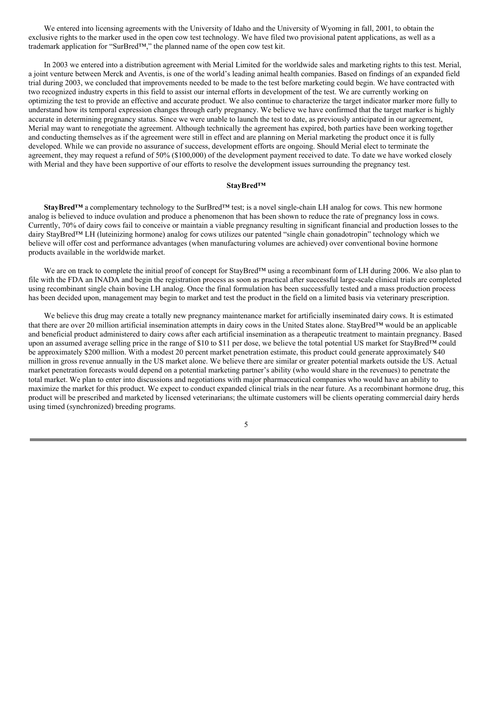We entered into licensing agreements with the University of Idaho and the University of Wyoming in fall, 2001, to obtain the exclusive rights to the marker used in the open cow test technology. We have filed two provisional patent applications, as well as a trademark application for "SurBred™," the planned name of the open cow test kit.

In 2003 we entered into a distribution agreement with Merial Limited for the worldwide sales and marketing rights to this test. Merial, a joint venture between Merck and Aventis, is one of the world's leading animal health companies. Based on findings of an expanded field trial during 2003, we concluded that improvements needed to be made to the test before marketing could begin. We have contracted with two recognized industry experts in this field to assist our internal efforts in development of the test. We are currently working on optimizing the test to provide an effective and accurate product. We also continue to characterize the target indicator marker more fully to understand how its temporal expression changes through early pregnancy. We believe we have confirmed that the target marker is highly accurate in determining pregnancy status. Since we were unable to launch the test to date, as previously anticipated in our agreement, Merial may want to renegotiate the agreement. Although technically the agreement has expired, both parties have been working together and conducting themselves as if the agreement were still in effect and are planning on Merial marketing the product once it is fully developed. While we can provide no assurance of success, development efforts are ongoing. Should Merial elect to terminate the agreement, they may request a refund of 50% (\$100,000) of the development payment received to date. To date we have worked closely with Merial and they have been supportive of our efforts to resolve the development issues surrounding the pregnancy test.

#### **StayBred™**

**StayBred™** a complementary technology to the SurBred™ test; is a novel single-chain LH analog for cows. This new hormone analog is believed to induce ovulation and produce a phenomenon that has been shown to reduce the rate of pregnancy loss in cows. Currently, 70% of dairy cows fail to conceive or maintain a viable pregnancy resulting in significant financial and production losses to the dairy StayBred™ LH (luteinizing hormone) analog for cows utilizes our patented "single chain gonadotropin" technology which we believe will offer cost and performance advantages (when manufacturing volumes are achieved) over conventional bovine hormone products available in the worldwide market.

We are on track to complete the initial proof of concept for StayBred™ using a recombinant form of LH during 2006. We also plan to file with the FDA an INADA and begin the registration process as soon as practical after successful large-scale clinical trials are completed using recombinant single chain bovine LH analog. Once the final formulation has been successfully tested and a mass production process has been decided upon, management may begin to market and test the product in the field on a limited basis via veterinary prescription.

We believe this drug may create a totally new pregnancy maintenance market for artificially inseminated dairy cows. It is estimated that there are over 20 million artificial insemination attempts in dairy cows in the United States alone. StayBred™ would be an applicable and beneficial product administered to dairy cows after each artificial insemination as a therapeutic treatment to maintain pregnancy. Based upon an assumed average selling price in the range of \$10 to \$11 per dose, we believe the total potential US market for StayBred™ could be approximately \$200 million. With a modest 20 percent market penetration estimate, this product could generate approximately \$40 million in gross revenue annually in the US market alone. We believe there are similar or greater potential markets outside the US. Actual market penetration forecasts would depend on a potential marketing partner's ability (who would share in the revenues) to penetrate the total market. We plan to enter into discussions and negotiations with major pharmaceutical companies who would have an ability to maximize the market for this product. We expect to conduct expanded clinical trials in the near future. As a recombinant hormone drug, this product will be prescribed and marketed by licensed veterinarians; the ultimate customers will be clients operating commercial dairy herds using timed (synchronized) breeding programs.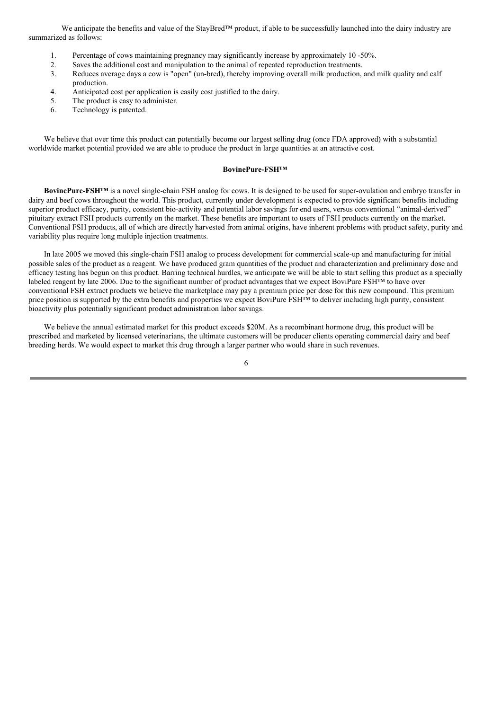We anticipate the benefits and value of the StayBred™ product, if able to be successfully launched into the dairy industry are summarized as follows:

- 1. Percentage of cows maintaining pregnancy may significantly increase by approximately 10 -50%.
- 2. Saves the additional cost and manipulation to the animal of repeated reproduction treatments.
- 3. Reduces average days a cow is "open" (un-bred), thereby improving overall milk production, and milk quality and calf production.
- 4. Anticipated cost per application is easily cost justified to the dairy.
- 5. The product is easy to administer.
- 6. Technology is patented.

We believe that over time this product can potentially become our largest selling drug (once FDA approved) with a substantial worldwide market potential provided we are able to produce the product in large quantities at an attractive cost.

#### **BovinePure-FSH™**

**BovinePure-FSH™** is a novel single-chain FSH analog for cows. It is designed to be used for super-ovulation and embryo transfer in dairy and beef cows throughout the world. This product, currently under development is expected to provide significant benefits including superior product efficacy, purity, consistent bio-activity and potential labor savings for end users, versus conventional "animal-derived" pituitary extract FSH products currently on the market. These benefits are important to users of FSH products currently on the market. Conventional FSH products, all of which are directly harvested from animal origins, have inherent problems with product safety, purity and variability plus require long multiple injection treatments.

In late 2005 we moved this single-chain FSH analog to process development for commercial scale-up and manufacturing for initial possible sales of the product as a reagent. We have produced gram quantities of the product and characterization and preliminary dose and efficacy testing has begun on this product. Barring technical hurdles, we anticipate we will be able to start selling this product as a specially labeled reagent by late 2006. Due to the significant number of product advantages that we expect BoviPure FSH™ to have over conventional FSH extract products we believe the marketplace may pay a premium price per dose for this new compound. This premium price position is supported by the extra benefits and properties we expect BoviPure FSH<sup>TM</sup> to deliver including high purity, consistent bioactivity plus potentially significant product administration labor savings.

We believe the annual estimated market for this product exceeds \$20M. As a recombinant hormone drug, this product will be prescribed and marketed by licensed veterinarians, the ultimate customers will be producer clients operating commercial dairy and beef breeding herds. We would expect to market this drug through a larger partner who would share in such revenues.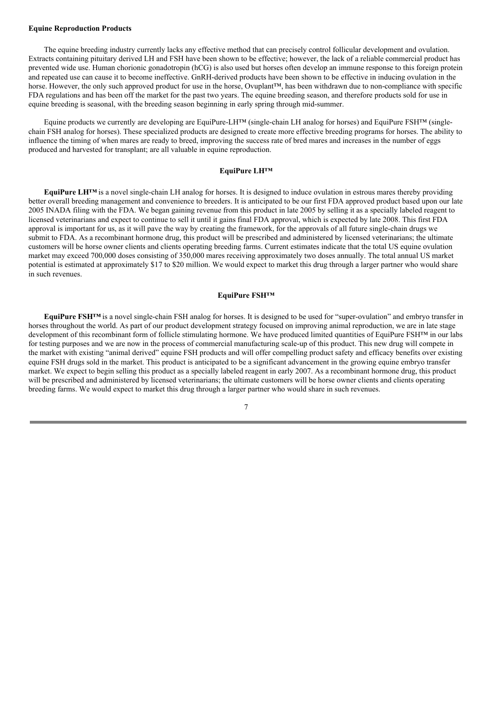#### **Equine Reproduction Products**

The equine breeding industry currently lacks any effective method that can precisely control follicular development and ovulation. Extracts containing pituitary derived LH and FSH have been shown to be effective; however, the lack of a reliable commercial product has prevented wide use. Human chorionic gonadotropin (hCG) is also used but horses often develop an immune response to this foreign protein and repeated use can cause it to become ineffective. GnRH-derived products have been shown to be effective in inducing ovulation in the horse. However, the only such approved product for use in the horse, Ovuplant™, has been withdrawn due to non-compliance with specific FDA regulations and has been off the market for the past two years. The equine breeding season, and therefore products sold for use in equine breeding is seasonal, with the breeding season beginning in early spring through mid-summer.

Equine products we currently are developing are EquiPure-LH™ (single-chain LH analog for horses) and EquiPure FSH™ (singlechain FSH analog for horses). These specialized products are designed to create more effective breeding programs for horses. The ability to influence the timing of when mares are ready to breed, improving the success rate of bred mares and increases in the number of eggs produced and harvested for transplant; are all valuable in equine reproduction.

### **EquiPure LH™**

**EquiPure LH™** is a novel single-chain LH analog for horses. It is designed to induce ovulation in estrous mares thereby providing better overall breeding management and convenience to breeders. It is anticipated to be our first FDA approved product based upon our late 2005 INADA filing with the FDA. We began gaining revenue from this product in late 2005 by selling it as a specially labeled reagent to licensed veterinarians and expect to continue to sell it until it gains final FDA approval, which is expected by late 2008. This first FDA approval is important for us, as it will pave the way by creating the framework, for the approvals of all future single-chain drugs we submit to FDA. As a recombinant hormone drug, this product will be prescribed and administered by licensed veterinarians; the ultimate customers will be horse owner clients and clients operating breeding farms. Current estimates indicate that the total US equine ovulation market may exceed 700,000 doses consisting of 350,000 mares receiving approximately two doses annually. The total annual US market potential is estimated at approximately \$17 to \$20 million. We would expect to market this drug through a larger partner who would share in such revenues.

### **EquiPure FSH™**

**EquiPure FSH™** is a novel single-chain FSH analog for horses. It is designed to be used for "super-ovulation" and embryo transfer in horses throughout the world. As part of our product development strategy focused on improving animal reproduction, we are in late stage development of this recombinant form of follicle stimulating hormone. We have produced limited quantities of EquiPure FSH™ in our labs for testing purposes and we are now in the process of commercial manufacturing scale-up of this product. This new drug will compete in the market with existing "animal derived" equine FSH products and will offer compelling product safety and efficacy benefits over existing equine FSH drugs sold in the market. This product is anticipated to be a significant advancement in the growing equine embryo transfer market. We expect to begin selling this product as a specially labeled reagent in early 2007. As a recombinant hormone drug, this product will be prescribed and administered by licensed veterinarians; the ultimate customers will be horse owner clients and clients operating breeding farms. We would expect to market this drug through a larger partner who would share in such revenues.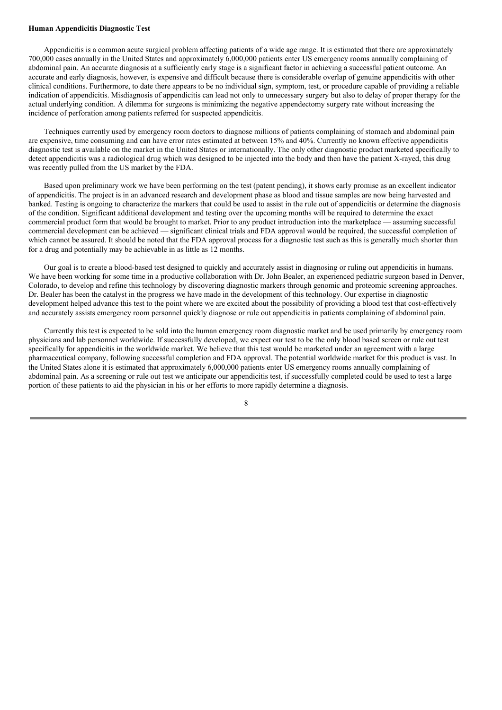#### **Human Appendicitis Diagnostic Test**

Appendicitis is a common acute surgical problem affecting patients of a wide age range. It is estimated that there are approximately 700,000 cases annually in the United States and approximately 6,000,000 patients enter US emergency rooms annually complaining of abdominal pain. An accurate diagnosis at a sufficiently early stage is a significant factor in achieving a successful patient outcome. An accurate and early diagnosis, however, is expensive and difficult because there is considerable overlap of genuine appendicitis with other clinical conditions. Furthermore, to date there appears to be no individual sign, symptom, test, or procedure capable of providing a reliable indication of appendicitis. Misdiagnosis of appendicitis can lead not only to unnecessary surgery but also to delay of proper therapy for the actual underlying condition. A dilemma for surgeons is minimizing the negative appendectomy surgery rate without increasing the incidence of perforation among patients referred for suspected appendicitis.

Techniques currently used by emergency room doctors to diagnose millions of patients complaining of stomach and abdominal pain are expensive, time consuming and can have error rates estimated at between 15% and 40%. Currently no known effective appendicitis diagnostic test is available on the market in the United States or internationally. The only other diagnostic product marketed specifically to detect appendicitis was a radiological drug which was designed to be injected into the body and then have the patient X-rayed, this drug was recently pulled from the US market by the FDA.

Based upon preliminary work we have been performing on the test (patent pending), it shows early promise as an excellent indicator of appendicitis. The project is in an advanced research and development phase as blood and tissue samples are now being harvested and banked. Testing is ongoing to characterize the markers that could be used to assist in the rule out of appendicitis or determine the diagnosis of the condition. Significant additional development and testing over the upcoming months will be required to determine the exact commercial product form that would be brought to market. Prior to any product introduction into the marketplace — assuming successful commercial development can be achieved — significant clinical trials and FDA approval would be required, the successful completion of which cannot be assured. It should be noted that the FDA approval process for a diagnostic test such as this is generally much shorter than for a drug and potentially may be achievable in as little as 12 months.

Our goal is to create a blood-based test designed to quickly and accurately assist in diagnosing or ruling out appendicitis in humans. We have been working for some time in a productive collaboration with Dr. John Bealer, an experienced pediatric surgeon based in Denver, Colorado, to develop and refine this technology by discovering diagnostic markers through genomic and proteomic screening approaches. Dr. Bealer has been the catalyst in the progress we have made in the development of this technology. Our expertise in diagnostic development helped advance this test to the point where we are excited about the possibility of providing a blood test that cost-effectively and accurately assists emergency room personnel quickly diagnose or rule out appendicitis in patients complaining of abdominal pain.

Currently this test is expected to be sold into the human emergency room diagnostic market and be used primarily by emergency room physicians and lab personnel worldwide. If successfully developed, we expect our test to be the only blood based screen or rule out test specifically for appendicitis in the worldwide market. We believe that this test would be marketed under an agreement with a large pharmaceutical company, following successful completion and FDA approval. The potential worldwide market for this product is vast. In the United States alone it is estimated that approximately 6,000,000 patients enter US emergency rooms annually complaining of abdominal pain. As a screening or rule out test we anticipate our appendicitis test, if successfully completed could be used to test a large portion of these patients to aid the physician in his or her efforts to more rapidly determine a diagnosis.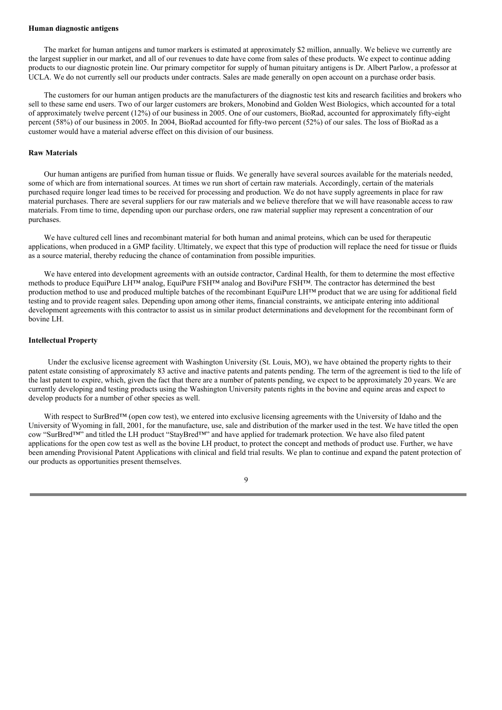#### **Human diagnostic antigens**

The market for human antigens and tumor markers is estimated at approximately \$2 million, annually. We believe we currently are the largest supplier in our market, and all of our revenues to date have come from sales of these products. We expect to continue adding products to our diagnostic protein line. Our primary competitor for supply of human pituitary antigens is Dr. Albert Parlow, a professor at UCLA. We do not currently sell our products under contracts. Sales are made generally on open account on a purchase order basis.

The customers for our human antigen products are the manufacturers of the diagnostic test kits and research facilities and brokers who sell to these same end users. Two of our larger customers are brokers, Monobind and Golden West Biologics, which accounted for a total of approximately twelve percent (12%) of our business in 2005. One of our customers, BioRad, accounted for approximately fifty-eight percent (58%) of our business in 2005. In 2004, BioRad accounted for fifty-two percent (52%) of our sales. The loss of BioRad as a customer would have a material adverse effect on this division of our business.

#### **Raw Materials**

Our human antigens are purified from human tissue or fluids. We generally have several sources available for the materials needed, some of which are from international sources. At times we run short of certain raw materials. Accordingly, certain of the materials purchased require longer lead times to be received for processing and production. We do not have supply agreements in place for raw material purchases. There are several suppliers for our raw materials and we believe therefore that we will have reasonable access to raw materials. From time to time, depending upon our purchase orders, one raw material supplier may represent a concentration of our purchases.

We have cultured cell lines and recombinant material for both human and animal proteins, which can be used for therapeutic applications, when produced in a GMP facility. Ultimately, we expect that this type of production will replace the need for tissue or fluids as a source material, thereby reducing the chance of contamination from possible impurities.

We have entered into development agreements with an outside contractor, Cardinal Health, for them to determine the most effective methods to produce EquiPure LH™ analog, EquiPure FSH™ analog and BoviPure FSH™. The contractor has determined the best production method to use and produced multiple batches of the recombinant EquiPure LH™ product that we are using for additional field testing and to provide reagent sales. Depending upon among other items, financial constraints, we anticipate entering into additional development agreements with this contractor to assist us in similar product determinations and development for the recombinant form of bovine LH.

#### **Intellectual Property**

Under the exclusive license agreement with Washington University (St. Louis, MO), we have obtained the property rights to their patent estate consisting of approximately 83 active and inactive patents and patents pending. The term of the agreement is tied to the life of the last patent to expire, which, given the fact that there are a number of patents pending, we expect to be approximately 20 years. We are currently developing and testing products using the Washington University patents rights in the bovine and equine areas and expect to develop products for a number of other species as well.

With respect to SurBred™ (open cow test), we entered into exclusive licensing agreements with the University of Idaho and the University of Wyoming in fall, 2001, for the manufacture, use, sale and distribution of the marker used in the test. We have titled the open cow "SurBred™" and titled the LH product "StayBred™" and have applied for trademark protection. We have also filed patent applications for the open cow test as well as the bovine LH product, to protect the concept and methods of product use. Further, we have been amending Provisional Patent Applications with clinical and field trial results. We plan to continue and expand the patent protection of our products as opportunities present themselves.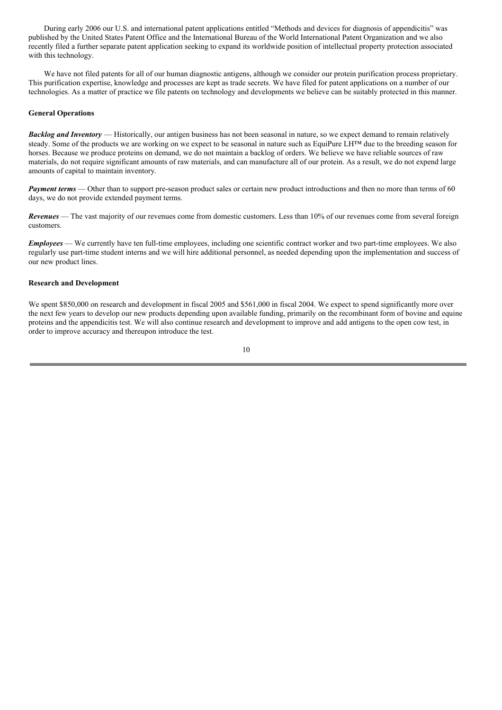During early 2006 our U.S. and international patent applications entitled "Methods and devices for diagnosis of appendicitis" was published by the United States Patent Office and the International Bureau of the World International Patent Organization and we also recently filed a further separate patent application seeking to expand its worldwide position of intellectual property protection associated with this technology.

We have not filed patents for all of our human diagnostic antigens, although we consider our protein purification process proprietary. This purification expertise, knowledge and processes are kept as trade secrets. We have filed for patent applications on a number of our technologies. As a matter of practice we file patents on technology and developments we believe can be suitably protected in this manner.

#### **General Operations**

*Backlog and Inventory* — Historically, our antigen business has not been seasonal in nature, so we expect demand to remain relatively steady. Some of the products we are working on we expect to be seasonal in nature such as EquiPure LH™ due to the breeding season for horses. Because we produce proteins on demand, we do not maintain a backlog of orders. We believe we have reliable sources of raw materials, do not require significant amounts of raw materials, and can manufacture all of our protein. As a result, we do not expend large amounts of capital to maintain inventory.

*Payment terms* — Other than to support pre-season product sales or certain new product introductions and then no more than terms of 60 days, we do not provide extended payment terms.

*Revenues* — The vast majority of our revenues come from domestic customers. Less than 10% of our revenues come from several foreign customers.

*Employees* — We currently have ten full-time employees, including one scientific contract worker and two part-time employees. We also regularly use part-time student interns and we will hire additional personnel, as needed depending upon the implementation and success of our new product lines.

#### **Research and Development**

We spent \$850,000 on research and development in fiscal 2005 and \$561,000 in fiscal 2004. We expect to spend significantly more over the next few years to develop our new products depending upon available funding, primarily on the recombinant form of bovine and equine proteins and the appendicitis test. We will also continue research and development to improve and add antigens to the open cow test, in order to improve accuracy and thereupon introduce the test.

$$
10\quad
$$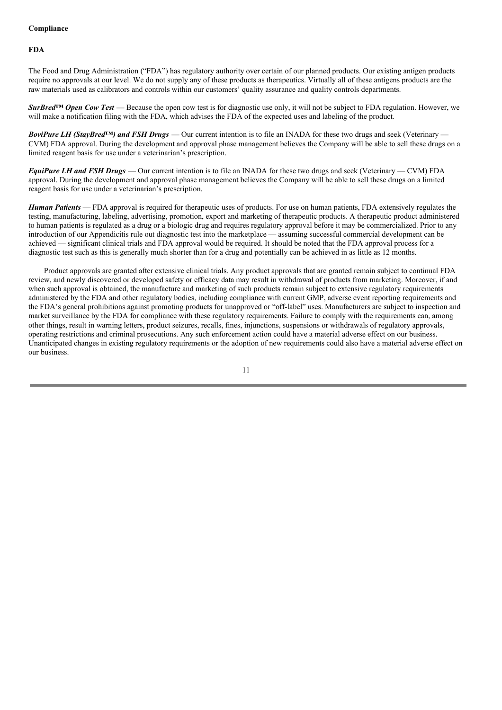## **Compliance**

## **FDA**

The Food and Drug Administration ("FDA") has regulatory authority over certain of our planned products. Our existing antigen products require no approvals at our level. We do not supply any of these products as therapeutics. Virtually all of these antigens products are the raw materials used as calibrators and controls within our customers' quality assurance and quality controls departments.

*SurBred™ Open Cow Test* — Because the open cow test is for diagnostic use only, it will not be subject to FDA regulation. However, we will make a notification filing with the FDA, which advises the FDA of the expected uses and labeling of the product.

*BoviPure LH (StayBred™) and FSH Drugs* — Our current intention is to file an INADA for these two drugs and seek (Veterinary — CVM) FDA approval. During the development and approval phase management believes the Company will be able to sell these drugs on a limited reagent basis for use under a veterinarian's prescription.

*EquiPure LH and FSH Drugs* — Our current intention is to file an INADA for these two drugs and seek (Veterinary — CVM) FDA approval. During the development and approval phase management believes the Company will be able to sell these drugs on a limited reagent basis for use under a veterinarian's prescription.

*Human Patients* — FDA approval is required for therapeutic uses of products. For use on human patients, FDA extensively regulates the testing, manufacturing, labeling, advertising, promotion, export and marketing of therapeutic products. A therapeutic product administered to human patients is regulated as a drug or a biologic drug and requires regulatory approval before it may be commercialized. Prior to any introduction of our Appendicitis rule out diagnostic test into the marketplace — assuming successful commercial development can be achieved — significant clinical trials and FDA approval would be required. It should be noted that the FDA approval process for a diagnostic test such as this is generally much shorter than for a drug and potentially can be achieved in as little as 12 months.

Product approvals are granted after extensive clinical trials. Any product approvals that are granted remain subject to continual FDA review, and newly discovered or developed safety or efficacy data may result in withdrawal of products from marketing. Moreover, if and when such approval is obtained, the manufacture and marketing of such products remain subject to extensive regulatory requirements administered by the FDA and other regulatory bodies, including compliance with current GMP, adverse event reporting requirements and the FDA's general prohibitions against promoting products for unapproved or "off-label" uses. Manufacturers are subject to inspection and market surveillance by the FDA for compliance with these regulatory requirements. Failure to comply with the requirements can, among other things, result in warning letters, product seizures, recalls, fines, injunctions, suspensions or withdrawals of regulatory approvals, operating restrictions and criminal prosecutions. Any such enforcement action could have a material adverse effect on our business. Unanticipated changes in existing regulatory requirements or the adoption of new requirements could also have a material adverse effect on our business.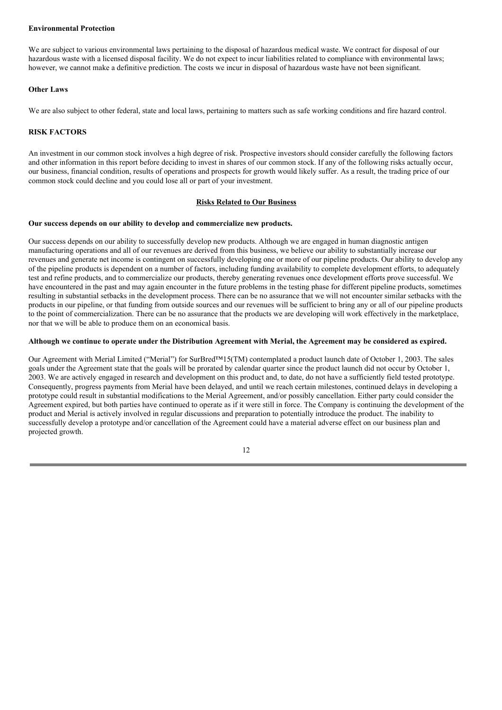#### **Environmental Protection**

We are subject to various environmental laws pertaining to the disposal of hazardous medical waste. We contract for disposal of our hazardous waste with a licensed disposal facility. We do not expect to incur liabilities related to compliance with environmental laws; however, we cannot make a definitive prediction. The costs we incur in disposal of hazardous waste have not been significant.

### **Other Laws**

We are also subject to other federal, state and local laws, pertaining to matters such as safe working conditions and fire hazard control.

## **RISK FACTORS**

An investment in our common stock involves a high degree of risk. Prospective investors should consider carefully the following factors and other information in this report before deciding to invest in shares of our common stock. If any of the following risks actually occur, our business, financial condition, results of operations and prospects for growth would likely suffer. As a result, the trading price of our common stock could decline and you could lose all or part of your investment.

## **Risks Related to Our Business**

## **Our success depends on our ability to develop and commercialize new products.**

Our success depends on our ability to successfully develop new products. Although we are engaged in human diagnostic antigen manufacturing operations and all of our revenues are derived from this business, we believe our ability to substantially increase our revenues and generate net income is contingent on successfully developing one or more of our pipeline products. Our ability to develop any of the pipeline products is dependent on a number of factors, including funding availability to complete development efforts, to adequately test and refine products, and to commercialize our products, thereby generating revenues once development efforts prove successful. We have encountered in the past and may again encounter in the future problems in the testing phase for different pipeline products, sometimes resulting in substantial setbacks in the development process. There can be no assurance that we will not encounter similar setbacks with the products in our pipeline, or that funding from outside sources and our revenues will be sufficient to bring any or all of our pipeline products to the point of commercialization. There can be no assurance that the products we are developing will work effectively in the marketplace, nor that we will be able to produce them on an economical basis.

## Although we continue to operate under the Distribution Agreement with Merial, the Agreement may be considered as expired.

Our Agreement with Merial Limited ("Merial") for SurBred™15(TM) contemplated a product launch date of October 1, 2003. The sales goals under the Agreement state that the goals will be prorated by calendar quarter since the product launch did not occur by October 1, 2003. We are actively engaged in research and development on this product and, to date, do not have a sufficiently field tested prototype. Consequently, progress payments from Merial have been delayed, and until we reach certain milestones, continued delays in developing a prototype could result in substantial modifications to the Merial Agreement, and/or possibly cancellation. Either party could consider the Agreement expired, but both parties have continued to operate as if it were still in force. The Company is continuing the development of the product and Merial is actively involved in regular discussions and preparation to potentially introduce the product. The inability to successfully develop a prototype and/or cancellation of the Agreement could have a material adverse effect on our business plan and projected growth.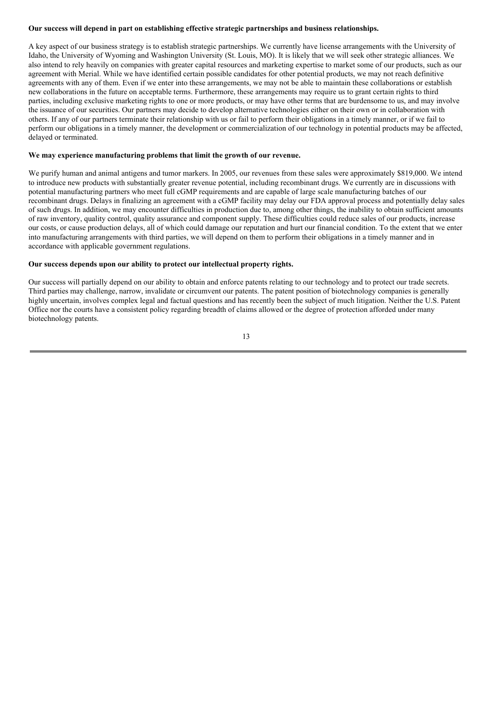### **Our success will depend in part on establishing effective strategic partnerships and business relationships.**

A key aspect of our business strategy is to establish strategic partnerships. We currently have license arrangements with the University of Idaho, the University of Wyoming and Washington University (St. Louis, MO). It is likely that we will seek other strategic alliances. We also intend to rely heavily on companies with greater capital resources and marketing expertise to market some of our products, such as our agreement with Merial. While we have identified certain possible candidates for other potential products, we may not reach definitive agreements with any of them. Even if we enter into these arrangements, we may not be able to maintain these collaborations or establish new collaborations in the future on acceptable terms. Furthermore, these arrangements may require us to grant certain rights to third parties, including exclusive marketing rights to one or more products, or may have other terms that are burdensome to us, and may involve the issuance of our securities. Our partners may decide to develop alternative technologies either on their own or in collaboration with others. If any of our partners terminate their relationship with us or fail to perform their obligations in a timely manner, or if we fail to perform our obligations in a timely manner, the development or commercialization of our technology in potential products may be affected, delayed or terminated.

#### **We may experience manufacturing problems that limit the growth of our revenue.**

We purify human and animal antigens and tumor markers. In 2005, our revenues from these sales were approximately \$819,000. We intend to introduce new products with substantially greater revenue potential, including recombinant drugs. We currently are in discussions with potential manufacturing partners who meet full cGMP requirements and are capable of large scale manufacturing batches of our recombinant drugs. Delays in finalizing an agreement with a cGMP facility may delay our FDA approval process and potentially delay sales of such drugs. In addition, we may encounter difficulties in production due to, among other things, the inability to obtain sufficient amounts of raw inventory, quality control, quality assurance and component supply. These difficulties could reduce sales of our products, increase our costs, or cause production delays, all of which could damage our reputation and hurt our financial condition. To the extent that we enter into manufacturing arrangements with third parties, we will depend on them to perform their obligations in a timely manner and in accordance with applicable government regulations.

## **Our success depends upon our ability to protect our intellectual property rights.**

Our success will partially depend on our ability to obtain and enforce patents relating to our technology and to protect our trade secrets. Third parties may challenge, narrow, invalidate or circumvent our patents. The patent position of biotechnology companies is generally highly uncertain, involves complex legal and factual questions and has recently been the subject of much litigation. Neither the U.S. Patent Office nor the courts have a consistent policy regarding breadth of claims allowed or the degree of protection afforded under many biotechnology patents.

13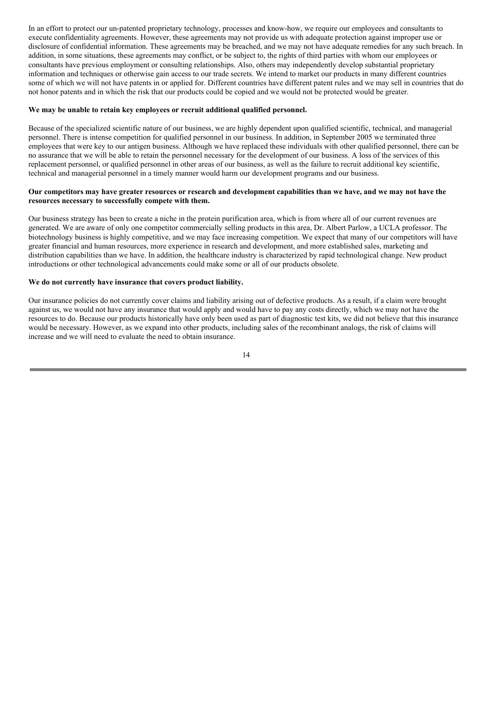In an effort to protect our un-patented proprietary technology, processes and know-how, we require our employees and consultants to execute confidentiality agreements. However, these agreements may not provide us with adequate protection against improper use or disclosure of confidential information. These agreements may be breached, and we may not have adequate remedies for any such breach. In addition, in some situations, these agreements may conflict, or be subject to, the rights of third parties with whom our employees or consultants have previous employment or consulting relationships. Also, others may independently develop substantial proprietary information and techniques or otherwise gain access to our trade secrets. We intend to market our products in many different countries some of which we will not have patents in or applied for. Different countries have different patent rules and we may sell in countries that do not honor patents and in which the risk that our products could be copied and we would not be protected would be greater.

#### **We may be unable to retain key employees or recruit additional qualified personnel.**

Because of the specialized scientific nature of our business, we are highly dependent upon qualified scientific, technical, and managerial personnel. There is intense competition for qualified personnel in our business. In addition, in September 2005 we terminated three employees that were key to our antigen business. Although we have replaced these individuals with other qualified personnel, there can be no assurance that we will be able to retain the personnel necessary for the development of our business. A loss of the services of this replacement personnel, or qualified personnel in other areas of our business, as well as the failure to recruit additional key scientific, technical and managerial personnel in a timely manner would harm our development programs and our business.

### Our competitors may have greater resources or research and development capabilities than we have, and we may not have the **resources necessary to successfully compete with them.**

Our business strategy has been to create a niche in the protein purification area, which is from where all of our current revenues are generated. We are aware of only one competitor commercially selling products in this area, Dr. Albert Parlow, a UCLA professor. The biotechnology business is highly competitive, and we may face increasing competition. We expect that many of our competitors will have greater financial and human resources, more experience in research and development, and more established sales, marketing and distribution capabilities than we have. In addition, the healthcare industry is characterized by rapid technological change. New product introductions or other technological advancements could make some or all of our products obsolete.

## **We do not currently have insurance that covers product liability.**

Our insurance policies do not currently cover claims and liability arising out of defective products. As a result, if a claim were brought against us, we would not have any insurance that would apply and would have to pay any costs directly, which we may not have the resources to do. Because our products historically have only been used as part of diagnostic test kits, we did not believe that this insurance would be necessary. However, as we expand into other products, including sales of the recombinant analogs, the risk of claims will increase and we will need to evaluate the need to obtain insurance.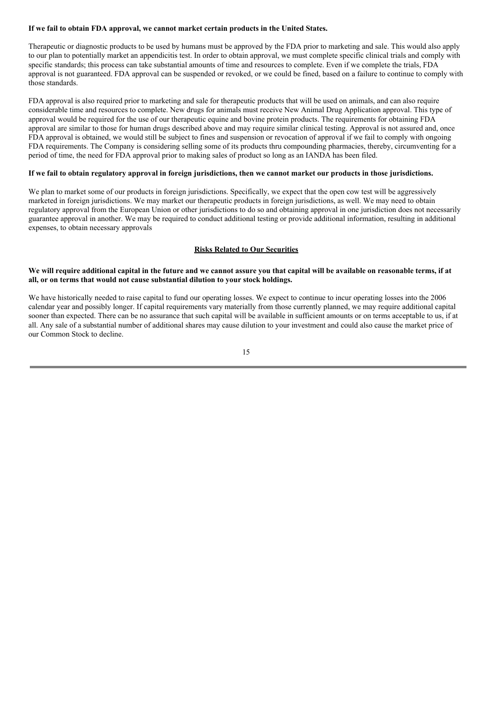### **If we fail to obtain FDA approval, we cannot market certain products in the United States.**

Therapeutic or diagnostic products to be used by humans must be approved by the FDA prior to marketing and sale. This would also apply to our plan to potentially market an appendicitis test. In order to obtain approval, we must complete specific clinical trials and comply with specific standards; this process can take substantial amounts of time and resources to complete. Even if we complete the trials, FDA approval is not guaranteed. FDA approval can be suspended or revoked, or we could be fined, based on a failure to continue to comply with those standards.

FDA approval is also required prior to marketing and sale for therapeutic products that will be used on animals, and can also require considerable time and resources to complete. New drugs for animals must receive New Animal Drug Application approval. This type of approval would be required for the use of our therapeutic equine and bovine protein products. The requirements for obtaining FDA approval are similar to those for human drugs described above and may require similar clinical testing. Approval is not assured and, once FDA approval is obtained, we would still be subject to fines and suspension or revocation of approval if we fail to comply with ongoing FDA requirements. The Company is considering selling some of its products thru compounding pharmacies, thereby, circumventing for a period of time, the need for FDA approval prior to making sales of product so long as an IANDA has been filed.

### If we fail to obtain regulatory approval in foreign jurisdictions, then we cannot market our products in those jurisdictions.

We plan to market some of our products in foreign jurisdictions. Specifically, we expect that the open cow test will be aggressively marketed in foreign jurisdictions. We may market our therapeutic products in foreign jurisdictions, as well. We may need to obtain regulatory approval from the European Union or other jurisdictions to do so and obtaining approval in one jurisdiction does not necessarily guarantee approval in another. We may be required to conduct additional testing or provide additional information, resulting in additional expenses, to obtain necessary approvals

## **Risks Related to Our Securities**

## We will require additional capital in the future and we cannot assure you that capital will be available on reasonable terms, if at **all, or on terms that would not cause substantial dilution to your stock holdings.**

We have historically needed to raise capital to fund our operating losses. We expect to continue to incur operating losses into the 2006 calendar year and possibly longer. If capital requirements vary materially from those currently planned, we may require additional capital sooner than expected. There can be no assurance that such capital will be available in sufficient amounts or on terms acceptable to us, if at all. Any sale of a substantial number of additional shares may cause dilution to your investment and could also cause the market price of our Common Stock to decline.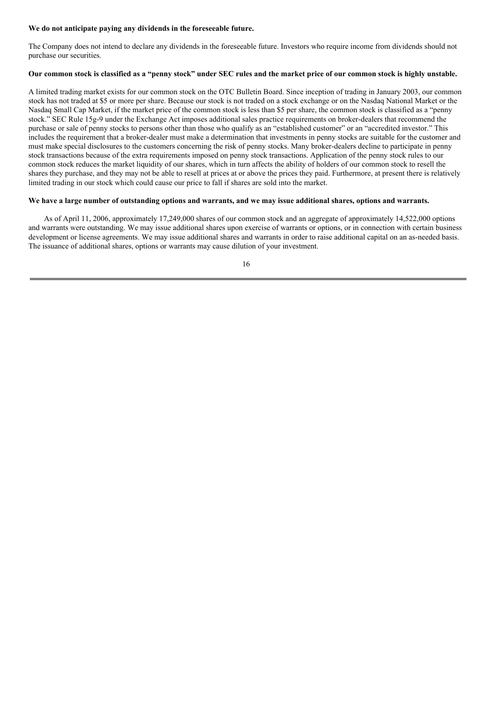#### **We do not anticipate paying any dividends in the foreseeable future.**

The Company does not intend to declare any dividends in the foreseeable future. Investors who require income from dividends should not purchase our securities.

### Our common stock is classified as a "penny stock" under SEC rules and the market price of our common stock is highly unstable.

A limited trading market exists for our common stock on the OTC Bulletin Board. Since inception of trading in January 2003, our common stock has not traded at \$5 or more per share. Because our stock is not traded on a stock exchange or on the Nasdaq National Market or the Nasdaq Small Cap Market, if the market price of the common stock is less than \$5 per share, the common stock is classified as a "penny stock." SEC Rule 15g-9 under the Exchange Act imposes additional sales practice requirements on broker-dealers that recommend the purchase or sale of penny stocks to persons other than those who qualify as an "established customer" or an "accredited investor." This includes the requirement that a broker-dealer must make a determination that investments in penny stocks are suitable for the customer and must make special disclosures to the customers concerning the risk of penny stocks. Many broker-dealers decline to participate in penny stock transactions because of the extra requirements imposed on penny stock transactions. Application of the penny stock rules to our common stock reduces the market liquidity of our shares, which in turn affects the ability of holders of our common stock to resell the shares they purchase, and they may not be able to resell at prices at or above the prices they paid. Furthermore, at present there is relatively limited trading in our stock which could cause our price to fall if shares are sold into the market.

### We have a large number of outstanding options and warrants, and we may issue additional shares, options and warrants.

As of April 11, 2006, approximately 17,249,000 shares of our common stock and an aggregate of approximately 14,522,000 options and warrants were outstanding. We may issue additional shares upon exercise of warrants or options, or in connection with certain business development or license agreements. We may issue additional shares and warrants in order to raise additional capital on an as-needed basis. The issuance of additional shares, options or warrants may cause dilution of your investment.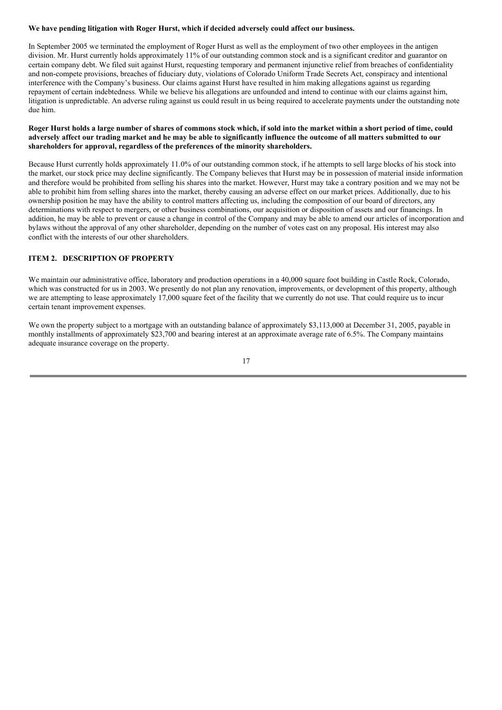### **We have pending litigation with Roger Hurst, which if decided adversely could affect our business.**

In September 2005 we terminated the employment of Roger Hurst as well as the employment of two other employees in the antigen division. Mr. Hurst currently holds approximately 11% of our outstanding common stock and is a significant creditor and guarantor on certain company debt. We filed suit against Hurst, requesting temporary and permanent injunctive relief from breaches of confidentiality and non-compete provisions, breaches of fiduciary duty, violations of Colorado Uniform Trade Secrets Act, conspiracy and intentional interference with the Company's business. Our claims against Hurst have resulted in him making allegations against us regarding repayment of certain indebtedness. While we believe his allegations are unfounded and intend to continue with our claims against him, litigation is unpredictable. An adverse ruling against us could result in us being required to accelerate payments under the outstanding note due him.

### Roger Hurst holds a large number of shares of commons stock which, if sold into the market within a short period of time, could adversely affect our trading market and he may be able to significantly influence the outcome of all matters submitted to our **shareholders for approval, regardless of the preferences of the minority shareholders.**

Because Hurst currently holds approximately 11.0% of our outstanding common stock, if he attempts to sell large blocks of his stock into the market, our stock price may decline significantly. The Company believes that Hurst may be in possession of material inside information and therefore would be prohibited from selling his shares into the market. However, Hurst may take a contrary position and we may not be able to prohibit him from selling shares into the market, thereby causing an adverse effect on our market prices. Additionally, due to his ownership position he may have the ability to control matters affecting us, including the composition of our board of directors, any determinations with respect to mergers, or other business combinations, our acquisition or disposition of assets and our financings. In addition, he may be able to prevent or cause a change in control of the Company and may be able to amend our articles of incorporation and bylaws without the approval of any other shareholder, depending on the number of votes cast on any proposal. His interest may also conflict with the interests of our other shareholders.

## **ITEM 2. DESCRIPTION OF PROPERTY**

We maintain our administrative office, laboratory and production operations in a 40,000 square foot building in Castle Rock, Colorado, which was constructed for us in 2003. We presently do not plan any renovation, improvements, or development of this property, although we are attempting to lease approximately 17,000 square feet of the facility that we currently do not use. That could require us to incur certain tenant improvement expenses.

We own the property subject to a mortgage with an outstanding balance of approximately \$3,113,000 at December 31, 2005, payable in monthly installments of approximately \$23,700 and bearing interest at an approximate average rate of 6.5%. The Company maintains adequate insurance coverage on the property.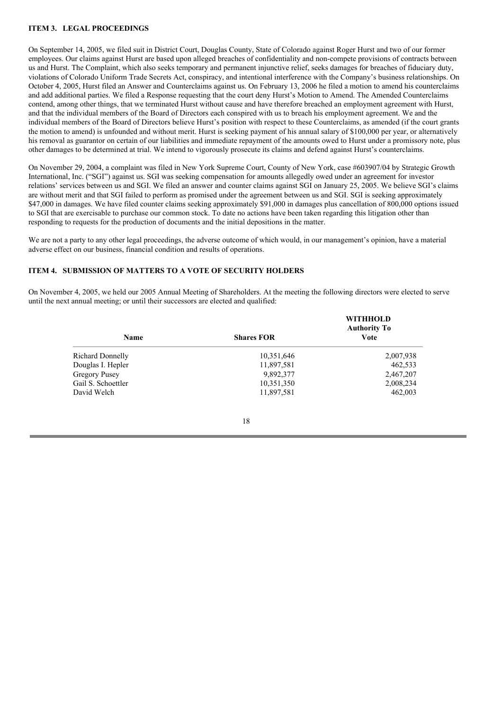## **ITEM 3. LEGAL PROCEEDINGS**

On September 14, 2005, we filed suit in District Court, Douglas County, State of Colorado against Roger Hurst and two of our former employees. Our claims against Hurst are based upon alleged breaches of confidentiality and non-compete provisions of contracts between us and Hurst. The Complaint, which also seeks temporary and permanent injunctive relief, seeks damages for breaches of fiduciary duty, violations of Colorado Uniform Trade Secrets Act, conspiracy, and intentional interference with the Company's business relationships. On October 4, 2005, Hurst filed an Answer and Counterclaims against us. On February 13, 2006 he filed a motion to amend his counterclaims and add additional parties. We filed a Response requesting that the court deny Hurst's Motion to Amend. The Amended Counterclaims contend, among other things, that we terminated Hurst without cause and have therefore breached an employment agreement with Hurst, and that the individual members of the Board of Directors each conspired with us to breach his employment agreement. We and the individual members of the Board of Directors believe Hurst's position with respect to these Counterclaims, as amended (if the court grants the motion to amend) is unfounded and without merit. Hurst is seeking payment of his annual salary of \$100,000 per year, or alternatively his removal as guarantor on certain of our liabilities and immediate repayment of the amounts owed to Hurst under a promissory note, plus other damages to be determined at trial. We intend to vigorously prosecute its claims and defend against Hurst's counterclaims.

On November 29, 2004, a complaint was filed in New York Supreme Court, County of New York, case #603907/04 by Strategic Growth International, Inc. ("SGI") against us. SGI was seeking compensation for amounts allegedly owed under an agreement for investor relations' services between us and SGI. We filed an answer and counter claims against SGI on January 25, 2005. We believe SGI's claims are without merit and that SGI failed to perform as promised under the agreement between us and SGI. SGI is seeking approximately \$47,000 in damages. We have filed counter claims seeking approximately \$91,000 in damages plus cancellation of 800,000 options issued to SGI that are exercisable to purchase our common stock. To date no actions have been taken regarding this litigation other than responding to requests for the production of documents and the initial depositions in the matter.

We are not a party to any other legal proceedings, the adverse outcome of which would, in our management's opinion, have a material adverse effect on our business, financial condition and results of operations.

### **ITEM 4. SUBMISSION OF MATTERS TO A VOTE OF SECURITY HOLDERS**

On November 4, 2005, we held our 2005 Annual Meeting of Shareholders. At the meeting the following directors were elected to serve until the next annual meeting; or until their successors are elected and qualified:

| <b>Name</b>             | <b>Shares FOR</b> | <b>WITHHOLD</b><br><b>Authority To</b><br><b>Vote</b> |
|-------------------------|-------------------|-------------------------------------------------------|
| <b>Richard Donnelly</b> | 10,351,646        | 2,007,938                                             |
| Douglas I. Hepler       | 11,897,581        | 462,533                                               |
| Gregory Pusey           | 9,892,377         | 2,467,207                                             |
| Gail S. Schoettler      | 10,351,350        | 2,008,234                                             |
| David Welch             | 11,897,581        | 462,003                                               |

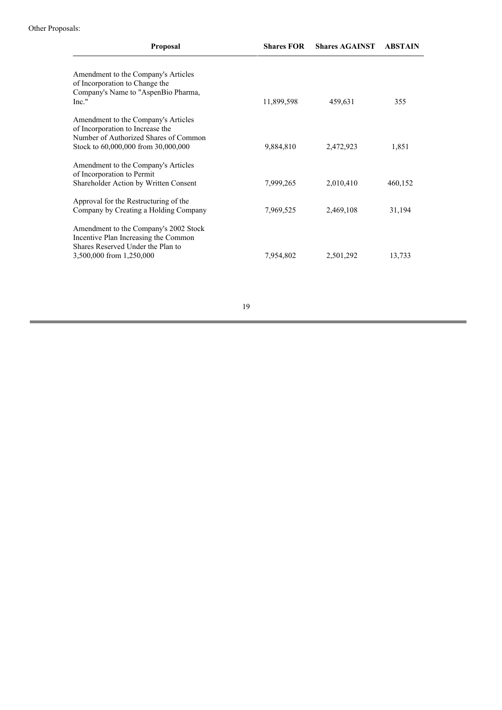| <b>Proposal</b>                                                         | <b>Shares FOR</b> | <b>Shares AGAINST</b> | <b>ABSTAIN</b> |
|-------------------------------------------------------------------------|-------------------|-----------------------|----------------|
| Amendment to the Company's Articles                                     |                   |                       |                |
| of Incorporation to Change the                                          |                   |                       |                |
| Company's Name to "AspenBio Pharma,                                     |                   |                       |                |
| $Inc.$ "                                                                | 11,899,598        | 459,631               | 355            |
| Amendment to the Company's Articles<br>of Incorporation to Increase the |                   |                       |                |
| Number of Authorized Shares of Common                                   |                   |                       |                |
| Stock to 60,000,000 from 30,000,000                                     | 9,884,810         | 2,472,923             | 1,851          |
| Amendment to the Company's Articles<br>of Incorporation to Permit       |                   |                       |                |
| Shareholder Action by Written Consent                                   | 7,999,265         | 2,010,410             | 460,152        |
|                                                                         |                   |                       |                |
| Approval for the Restructuring of the                                   |                   |                       |                |
| Company by Creating a Holding Company                                   | 7,969,525         | 2,469,108             | 31,194         |
| Amendment to the Company's 2002 Stock                                   |                   |                       |                |
| Incentive Plan Increasing the Common                                    |                   |                       |                |
| Shares Reserved Under the Plan to                                       |                   |                       |                |
| 3,500,000 from 1,250,000                                                | 7,954,802         | 2,501,292             | 13,733         |
|                                                                         |                   |                       |                |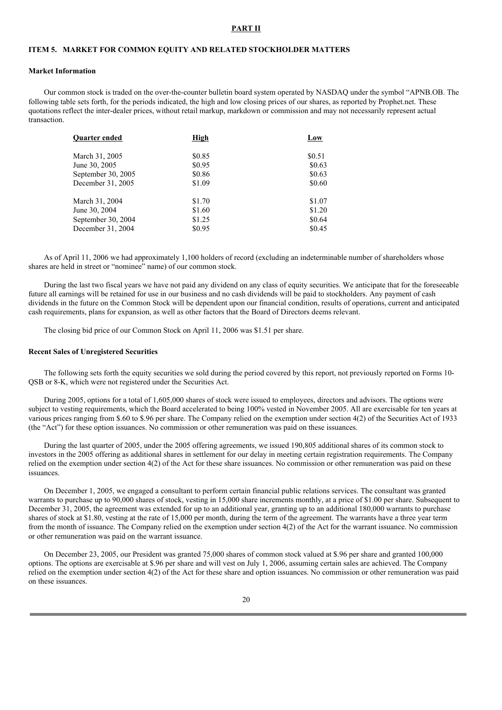#### **PART II**

## **ITEM 5. MARKET FOR COMMON EQUITY AND RELATED STOCKHOLDER MATTERS**

#### **Market Information**

Our common stock is traded on the over-the-counter bulletin board system operated by NASDAQ under the symbol "APNB.OB. The following table sets forth, for the periods indicated, the high and low closing prices of our shares, as reported by Prophet.net. These quotations reflect the inter-dealer prices, without retail markup, markdown or commission and may not necessarily represent actual transaction.

| High   | Low    |
|--------|--------|
| \$0.85 | \$0.51 |
| \$0.95 | \$0.63 |
| \$0.86 | \$0.63 |
| \$1.09 | \$0.60 |
| \$1.70 | \$1.07 |
| \$1.60 | \$1.20 |
| \$1.25 | \$0.64 |
| \$0.95 | \$0.45 |
|        |        |

As of April 11, 2006 we had approximately 1,100 holders of record (excluding an indeterminable number of shareholders whose shares are held in street or "nominee" name) of our common stock.

During the last two fiscal years we have not paid any dividend on any class of equity securities. We anticipate that for the foreseeable future all earnings will be retained for use in our business and no cash dividends will be paid to stockholders. Any payment of cash dividends in the future on the Common Stock will be dependent upon our financial condition, results of operations, current and anticipated cash requirements, plans for expansion, as well as other factors that the Board of Directors deems relevant.

The closing bid price of our Common Stock on April 11, 2006 was \$1.51 per share.

#### **Recent Sales of Unregistered Securities**

The following sets forth the equity securities we sold during the period covered by this report, not previously reported on Forms 10- QSB or 8-K, which were not registered under the Securities Act.

During 2005, options for a total of 1,605,000 shares of stock were issued to employees, directors and advisors. The options were subject to vesting requirements, which the Board accelerated to being 100% vested in November 2005. All are exercisable for ten years at various prices ranging from \$.60 to \$.96 per share. The Company relied on the exemption under section 4(2) of the Securities Act of 1933 (the "Act") for these option issuances. No commission or other remuneration was paid on these issuances.

During the last quarter of 2005, under the 2005 offering agreements, we issued 190,805 additional shares of its common stock to investors in the 2005 offering as additional shares in settlement for our delay in meeting certain registration requirements. The Company relied on the exemption under section 4(2) of the Act for these share issuances. No commission or other remuneration was paid on these issuances.

On December 1, 2005, we engaged a consultant to perform certain financial public relations services. The consultant was granted warrants to purchase up to 90,000 shares of stock, vesting in 15,000 share increments monthly, at a price of \$1.00 per share. Subsequent to December 31, 2005, the agreement was extended for up to an additional year, granting up to an additional 180,000 warrants to purchase shares of stock at \$1.80, vesting at the rate of 15,000 per month, during the term of the agreement. The warrants have a three year term from the month of issuance. The Company relied on the exemption under section 4(2) of the Act for the warrant issuance. No commission or other remuneration was paid on the warrant issuance.

On December 23, 2005, our President was granted 75,000 shares of common stock valued at \$.96 per share and granted 100,000 options. The options are exercisable at \$.96 per share and will vest on July 1, 2006, assuming certain sales are achieved. The Company relied on the exemption under section 4(2) of the Act for these share and option issuances. No commission or other remuneration was paid on these issuances.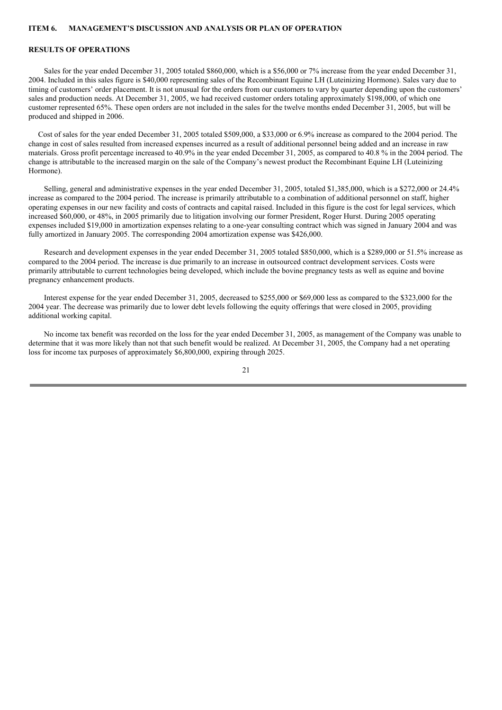### **ITEM 6. MANAGEMENT'S DISCUSSION AND ANALYSIS OR PLAN OF OPERATION**

## **RESULTS OF OPERATIONS**

Sales for the year ended December 31, 2005 totaled \$860,000, which is a \$56,000 or 7% increase from the year ended December 31, 2004. Included in this sales figure is \$40,000 representing sales of the Recombinant Equine LH (Luteinizing Hormone). Sales vary due to timing of customers' order placement. It is not unusual for the orders from our customers to vary by quarter depending upon the customers' sales and production needs. At December 31, 2005, we had received customer orders totaling approximately \$198,000, of which one customer represented 65%. These open orders are not included in the sales for the twelve months ended December 31, 2005, but will be produced and shipped in 2006.

Cost of sales for the year ended December 31, 2005 totaled \$509,000, a \$33,000 or 6.9% increase as compared to the 2004 period. The change in cost of sales resulted from increased expenses incurred as a result of additional personnel being added and an increase in raw materials. Gross profit percentage increased to 40.9% in the year ended December 31, 2005, as compared to 40.8 % in the 2004 period. The change is attributable to the increased margin on the sale of the Company's newest product the Recombinant Equine LH (Luteinizing Hormone).

Selling, general and administrative expenses in the year ended December 31, 2005, totaled \$1,385,000, which is a \$272,000 or 24.4% increase as compared to the 2004 period. The increase is primarily attributable to a combination of additional personnel on staff, higher operating expenses in our new facility and costs of contracts and capital raised. Included in this figure is the cost for legal services, which increased \$60,000, or 48%, in 2005 primarily due to litigation involving our former President, Roger Hurst. During 2005 operating expenses included \$19,000 in amortization expenses relating to a one-year consulting contract which was signed in January 2004 and was fully amortized in January 2005. The corresponding 2004 amortization expense was \$426,000.

Research and development expenses in the year ended December 31, 2005 totaled \$850,000, which is a \$289,000 or 51.5% increase as compared to the 2004 period. The increase is due primarily to an increase in outsourced contract development services. Costs were primarily attributable to current technologies being developed, which include the bovine pregnancy tests as well as equine and bovine pregnancy enhancement products.

Interest expense for the year ended December 31, 2005, decreased to \$255,000 or \$69,000 less as compared to the \$323,000 for the 2004 year. The decrease was primarily due to lower debt levels following the equity offerings that were closed in 2005, providing additional working capital.

No income tax benefit was recorded on the loss for the year ended December 31, 2005, as management of the Company was unable to determine that it was more likely than not that such benefit would be realized. At December 31, 2005, the Company had a net operating loss for income tax purposes of approximately \$6,800,000, expiring through 2025.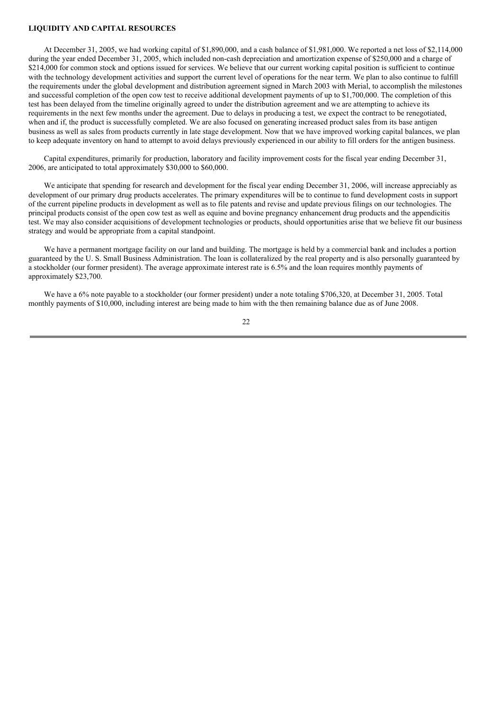### **LIQUIDITY AND CAPITAL RESOURCES**

At December 31, 2005, we had working capital of \$1,890,000, and a cash balance of \$1,981,000. We reported a net loss of \$2,114,000 during the year ended December 31, 2005, which included non-cash depreciation and amortization expense of \$250,000 and a charge of \$214,000 for common stock and options issued for services. We believe that our current working capital position is sufficient to continue with the technology development activities and support the current level of operations for the near term. We plan to also continue to fulfill the requirements under the global development and distribution agreement signed in March 2003 with Merial, to accomplish the milestones and successful completion of the open cow test to receive additional development payments of up to \$1,700,000. The completion of this test has been delayed from the timeline originally agreed to under the distribution agreement and we are attempting to achieve its requirements in the next few months under the agreement. Due to delays in producing a test, we expect the contract to be renegotiated, when and if, the product is successfully completed. We are also focused on generating increased product sales from its base antigen business as well as sales from products currently in late stage development. Now that we have improved working capital balances, we plan to keep adequate inventory on hand to attempt to avoid delays previously experienced in our ability to fill orders for the antigen business.

Capital expenditures, primarily for production, laboratory and facility improvement costs for the fiscal year ending December 31, 2006, are anticipated to total approximately \$30,000 to \$60,000.

We anticipate that spending for research and development for the fiscal year ending December 31, 2006, will increase appreciably as development of our primary drug products accelerates. The primary expenditures will be to continue to fund development costs in support of the current pipeline products in development as well as to file patents and revise and update previous filings on our technologies. The principal products consist of the open cow test as well as equine and bovine pregnancy enhancement drug products and the appendicitis test. We may also consider acquisitions of development technologies or products, should opportunities arise that we believe fit our business strategy and would be appropriate from a capital standpoint.

We have a permanent mortgage facility on our land and building. The mortgage is held by a commercial bank and includes a portion guaranteed by the U. S. Small Business Administration. The loan is collateralized by the real property and is also personally guaranteed by a stockholder (our former president). The average approximate interest rate is 6.5% and the loan requires monthly payments of approximately \$23,700.

We have a 6% note payable to a stockholder (our former president) under a note totaling \$706,320, at December 31, 2005. Total monthly payments of \$10,000, including interest are being made to him with the then remaining balance due as of June 2008.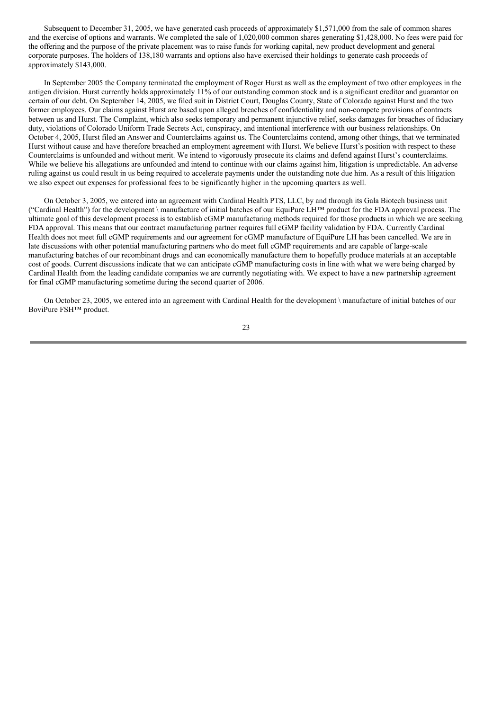Subsequent to December 31, 2005, we have generated cash proceeds of approximately \$1,571,000 from the sale of common shares and the exercise of options and warrants. We completed the sale of 1,020,000 common shares generating \$1,428,000. No fees were paid for the offering and the purpose of the private placement was to raise funds for working capital, new product development and general corporate purposes. The holders of 138,180 warrants and options also have exercised their holdings to generate cash proceeds of approximately \$143,000.

In September 2005 the Company terminated the employment of Roger Hurst as well as the employment of two other employees in the antigen division. Hurst currently holds approximately 11% of our outstanding common stock and is a significant creditor and guarantor on certain of our debt. On September 14, 2005, we filed suit in District Court, Douglas County, State of Colorado against Hurst and the two former employees. Our claims against Hurst are based upon alleged breaches of confidentiality and non-compete provisions of contracts between us and Hurst. The Complaint, which also seeks temporary and permanent injunctive relief, seeks damages for breaches of fiduciary duty, violations of Colorado Uniform Trade Secrets Act, conspiracy, and intentional interference with our business relationships. On October 4, 2005, Hurst filed an Answer and Counterclaims against us. The Counterclaims contend, among other things, that we terminated Hurst without cause and have therefore breached an employment agreement with Hurst. We believe Hurst's position with respect to these Counterclaims is unfounded and without merit. We intend to vigorously prosecute its claims and defend against Hurst's counterclaims. While we believe his allegations are unfounded and intend to continue with our claims against him, litigation is unpredictable. An adverse ruling against us could result in us being required to accelerate payments under the outstanding note due him. As a result of this litigation we also expect out expenses for professional fees to be significantly higher in the upcoming quarters as well.

On October 3, 2005, we entered into an agreement with Cardinal Health PTS, LLC, by and through its Gala Biotech business unit ("Cardinal Health") for the development \ manufacture of initial batches of our EquiPure LH™ product for the FDA approval process. The ultimate goal of this development process is to establish cGMP manufacturing methods required for those products in which we are seeking FDA approval. This means that our contract manufacturing partner requires full cGMP facility validation by FDA. Currently Cardinal Health does not meet full cGMP requirements and our agreement for cGMP manufacture of EquiPure LH has been cancelled. We are in late discussions with other potential manufacturing partners who do meet full cGMP requirements and are capable of large-scale manufacturing batches of our recombinant drugs and can economically manufacture them to hopefully produce materials at an acceptable cost of goods. Current discussions indicate that we can anticipate cGMP manufacturing costs in line with what we were being charged by Cardinal Health from the leading candidate companies we are currently negotiating with. We expect to have a new partnership agreement for final cGMP manufacturing sometime during the second quarter of 2006.

On October 23, 2005, we entered into an agreement with Cardinal Health for the development \ manufacture of initial batches of our BoviPure FSH™ product.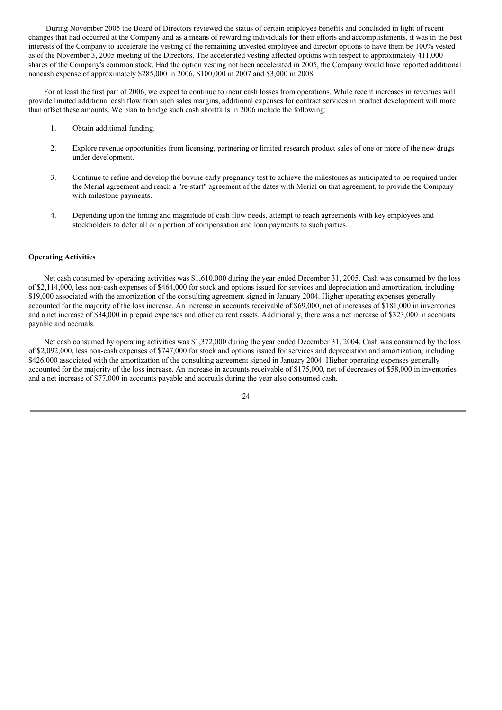During November 2005 the Board of Directors reviewed the status of certain employee benefits and concluded in light of recent changes that had occurred at the Company and as a means of rewarding individuals for their efforts and accomplishments, it was in the best interests of the Company to accelerate the vesting of the remaining unvested employee and director options to have them be 100% vested as of the November 3, 2005 meeting of the Directors. The accelerated vesting affected options with respect to approximately 411,000 shares of the Company's common stock. Had the option vesting not been accelerated in 2005, the Company would have reported additional noncash expense of approximately \$285,000 in 2006, \$100,000 in 2007 and \$3,000 in 2008.

For at least the first part of 2006, we expect to continue to incur cash losses from operations. While recent increases in revenues will provide limited additional cash flow from such sales margins, additional expenses for contract services in product development will more than offset these amounts. We plan to bridge such cash shortfalls in 2006 include the following:

- 1. Obtain additional funding.
- 2. Explore revenue opportunities from licensing, partnering or limited research product sales of one or more of the new drugs under development.
- 3. Continue to refine and develop the bovine early pregnancy test to achieve the milestones as anticipated to be required under the Merial agreement and reach a "re-start" agreement of the dates with Merial on that agreement, to provide the Company with milestone payments.
- 4. Depending upon the timing and magnitude of cash flow needs, attempt to reach agreements with key employees and stockholders to defer all or a portion of compensation and loan payments to such parties.

#### **Operating Activities**

Net cash consumed by operating activities was \$1,610,000 during the year ended December 31, 2005. Cash was consumed by the loss of \$2,114,000, less non-cash expenses of \$464,000 for stock and options issued for services and depreciation and amortization, including \$19,000 associated with the amortization of the consulting agreement signed in January 2004. Higher operating expenses generally accounted for the majority of the loss increase. An increase in accounts receivable of \$69,000, net of increases of \$181,000 in inventories and a net increase of \$34,000 in prepaid expenses and other current assets. Additionally, there was a net increase of \$323,000 in accounts payable and accruals.

Net cash consumed by operating activities was \$1,372,000 during the year ended December 31, 2004. Cash was consumed by the loss of \$2,092,000, less non-cash expenses of \$747,000 for stock and options issued for services and depreciation and amortization, including \$426,000 associated with the amortization of the consulting agreement signed in January 2004. Higher operating expenses generally accounted for the majority of the loss increase. An increase in accounts receivable of \$175,000, net of decreases of \$58,000 in inventories and a net increase of \$77,000 in accounts payable and accruals during the year also consumed cash.

<sup>24</sup>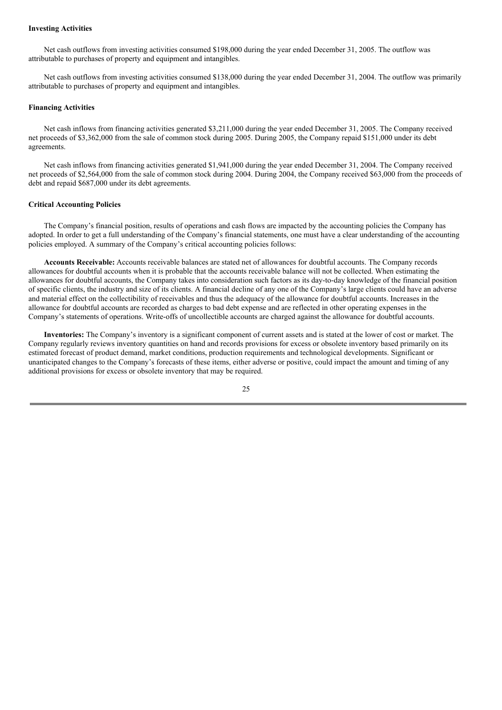#### **Investing Activities**

Net cash outflows from investing activities consumed \$198,000 during the year ended December 31, 2005. The outflow was attributable to purchases of property and equipment and intangibles.

Net cash outflows from investing activities consumed \$138,000 during the year ended December 31, 2004. The outflow was primarily attributable to purchases of property and equipment and intangibles.

#### **Financing Activities**

Net cash inflows from financing activities generated \$3,211,000 during the year ended December 31, 2005. The Company received net proceeds of \$3,362,000 from the sale of common stock during 2005. During 2005, the Company repaid \$151,000 under its debt agreements.

Net cash inflows from financing activities generated \$1,941,000 during the year ended December 31, 2004. The Company received net proceeds of \$2,564,000 from the sale of common stock during 2004. During 2004, the Company received \$63,000 from the proceeds of debt and repaid \$687,000 under its debt agreements.

#### **Critical Accounting Policies**

The Company's financial position, results of operations and cash flows are impacted by the accounting policies the Company has adopted. In order to get a full understanding of the Company's financial statements, one must have a clear understanding of the accounting policies employed. A summary of the Company's critical accounting policies follows:

**Accounts Receivable:** Accounts receivable balances are stated net of allowances for doubtful accounts. The Company records allowances for doubtful accounts when it is probable that the accounts receivable balance will not be collected. When estimating the allowances for doubtful accounts, the Company takes into consideration such factors as its day-to-day knowledge of the financial position of specific clients, the industry and size of its clients. A financial decline of any one of the Company's large clients could have an adverse and material effect on the collectibility of receivables and thus the adequacy of the allowance for doubtful accounts. Increases in the allowance for doubtful accounts are recorded as charges to bad debt expense and are reflected in other operating expenses in the Company's statements of operations. Write-offs of uncollectible accounts are charged against the allowance for doubtful accounts.

**Inventories:** The Company's inventory is a significant component of current assets and is stated at the lower of cost or market. The Company regularly reviews inventory quantities on hand and records provisions for excess or obsolete inventory based primarily on its estimated forecast of product demand, market conditions, production requirements and technological developments. Significant or unanticipated changes to the Company's forecasts of these items, either adverse or positive, could impact the amount and timing of any additional provisions for excess or obsolete inventory that may be required.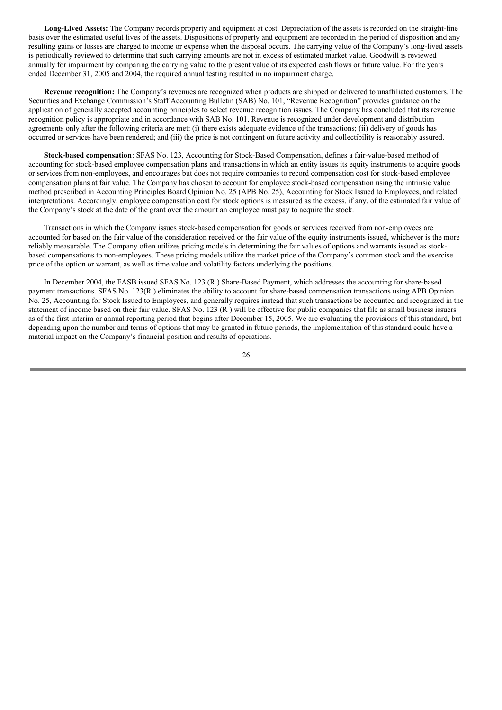**Long-Lived Assets:** The Company records property and equipment at cost. Depreciation of the assets is recorded on the straight-line basis over the estimated useful lives of the assets. Dispositions of property and equipment are recorded in the period of disposition and any resulting gains or losses are charged to income or expense when the disposal occurs. The carrying value of the Company's long-lived assets is periodically reviewed to determine that such carrying amounts are not in excess of estimated market value. Goodwill is reviewed annually for impairment by comparing the carrying value to the present value of its expected cash flows or future value. For the years ended December 31, 2005 and 2004, the required annual testing resulted in no impairment charge.

**Revenue recognition:** The Company's revenues are recognized when products are shipped or delivered to unaffiliated customers. The Securities and Exchange Commission's Staff Accounting Bulletin (SAB) No. 101, "Revenue Recognition" provides guidance on the application of generally accepted accounting principles to select revenue recognition issues. The Company has concluded that its revenue recognition policy is appropriate and in accordance with SAB No. 101. Revenue is recognized under development and distribution agreements only after the following criteria are met: (i) there exists adequate evidence of the transactions; (ii) delivery of goods has occurred or services have been rendered; and (iii) the price is not contingent on future activity and collectibility is reasonably assured.

**Stock-based compensation**: SFAS No. 123, Accounting for Stock-Based Compensation, defines a fair-value-based method of accounting for stock-based employee compensation plans and transactions in which an entity issues its equity instruments to acquire goods or services from non-employees, and encourages but does not require companies to record compensation cost for stock-based employee compensation plans at fair value. The Company has chosen to account for employee stock-based compensation using the intrinsic value method prescribed in Accounting Principles Board Opinion No. 25 (APB No. 25), Accounting for Stock Issued to Employees, and related interpretations. Accordingly, employee compensation cost for stock options is measured as the excess, if any, of the estimated fair value of the Company's stock at the date of the grant over the amount an employee must pay to acquire the stock.

Transactions in which the Company issues stock-based compensation for goods or services received from non-employees are accounted for based on the fair value of the consideration received or the fair value of the equity instruments issued, whichever is the more reliably measurable. The Company often utilizes pricing models in determining the fair values of options and warrants issued as stockbased compensations to non-employees. These pricing models utilize the market price of the Company's common stock and the exercise price of the option or warrant, as well as time value and volatility factors underlying the positions.

In December 2004, the FASB issued SFAS No. 123 (R ) Share-Based Payment, which addresses the accounting for share-based payment transactions. SFAS No. 123(R ) eliminates the ability to account for share-based compensation transactions using APB Opinion No. 25, Accounting for Stock Issued to Employees, and generally requires instead that such transactions be accounted and recognized in the statement of income based on their fair value. SFAS No. 123 (R ) will be effective for public companies that file as small business issuers as of the first interim or annual reporting period that begins after December 15, 2005. We are evaluating the provisions of this standard, but depending upon the number and terms of options that may be granted in future periods, the implementation of this standard could have a material impact on the Company's financial position and results of operations.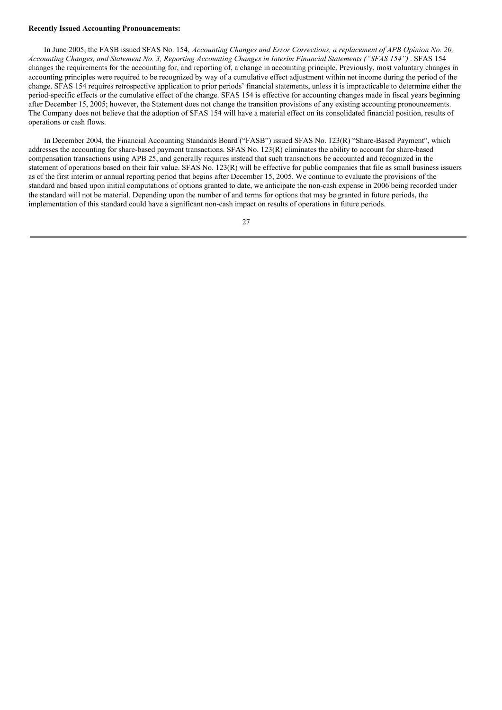#### **Recently Issued Accounting Pronouncements:**

In June 2005, the FASB issued SFAS No. 154, *Accounting Changes and Error Corrections, a replacement of APB Opinion No. 20,* Accounting Changes, and Statement No. 3, Reporting Accounting Changes in Interim Financial Statements ("SFAS 154"). SFAS 154 changes the requirements for the accounting for, and reporting of, a change in accounting principle. Previously, most voluntary changes in accounting principles were required to be recognized by way of a cumulative effect adjustment within net income during the period of the change. SFAS 154 requires retrospective application to prior periods' financial statements, unless it is impracticable to determine either the period-specific effects or the cumulative effect of the change. SFAS 154 is effective for accounting changes made in fiscal years beginning after December 15, 2005; however, the Statement does not change the transition provisions of any existing accounting pronouncements. The Company does not believe that the adoption of SFAS 154 will have a material effect on its consolidated financial position, results of operations or cash flows.

In December 2004, the Financial Accounting Standards Board ("FASB") issued SFAS No. 123(R) "Share-Based Payment", which addresses the accounting for share-based payment transactions. SFAS No. 123(R) eliminates the ability to account for share-based compensation transactions using APB 25, and generally requires instead that such transactions be accounted and recognized in the statement of operations based on their fair value. SFAS No. 123(R) will be effective for public companies that file as small business issuers as of the first interim or annual reporting period that begins after December 15, 2005. We continue to evaluate the provisions of the standard and based upon initial computations of options granted to date, we anticipate the non-cash expense in 2006 being recorded under the standard will not be material. Depending upon the number of and terms for options that may be granted in future periods, the implementation of this standard could have a significant non-cash impact on results of operations in future periods.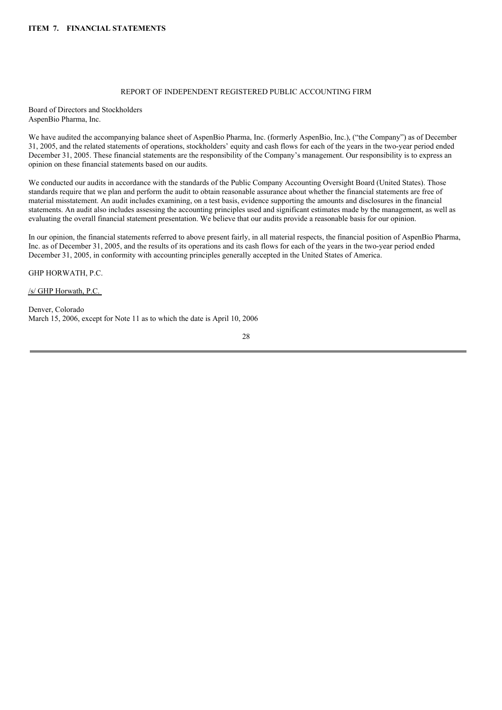## REPORT OF INDEPENDENT REGISTERED PUBLIC ACCOUNTING FIRM

Board of Directors and Stockholders AspenBio Pharma, Inc.

We have audited the accompanying balance sheet of AspenBio Pharma, Inc. (formerly AspenBio, Inc.), ("the Company") as of December 31, 2005, and the related statements of operations, stockholders' equity and cash flows for each of the years in the two-year period ended December 31, 2005. These financial statements are the responsibility of the Company's management. Our responsibility is to express an opinion on these financial statements based on our audits.

We conducted our audits in accordance with the standards of the Public Company Accounting Oversight Board (United States). Those standards require that we plan and perform the audit to obtain reasonable assurance about whether the financial statements are free of material misstatement. An audit includes examining, on a test basis, evidence supporting the amounts and disclosures in the financial statements. An audit also includes assessing the accounting principles used and significant estimates made by the management, as well as evaluating the overall financial statement presentation. We believe that our audits provide a reasonable basis for our opinion.

In our opinion, the financial statements referred to above present fairly, in all material respects, the financial position of AspenBio Pharma, Inc. as of December 31, 2005, and the results of its operations and its cash flows for each of the years in the two-year period ended December 31, 2005, in conformity with accounting principles generally accepted in the United States of America.

GHP HORWATH, P.C.

/s/ GHP Horwath, P.C.

Denver, Colorado March 15, 2006, except for Note 11 as to which the date is April 10, 2006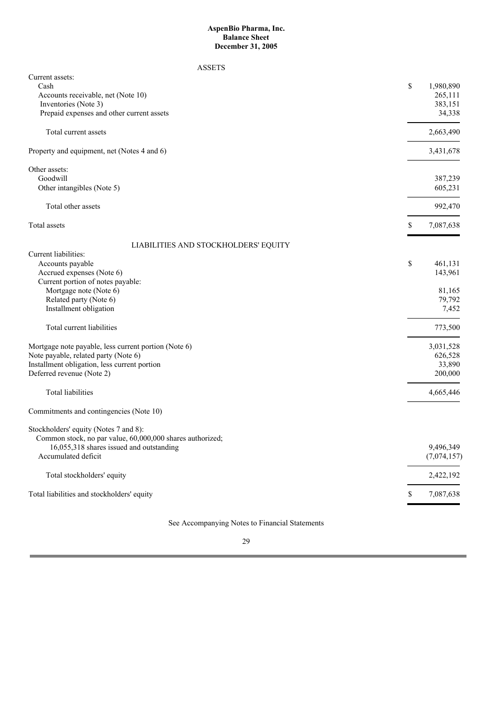### **AspenBio Pharma, Inc. Balance Sheet December 31, 2005**

## ASSETS

| Current assets:                                           |                            |
|-----------------------------------------------------------|----------------------------|
| Cash<br>Accounts receivable, net (Note 10)                | \$<br>1,980,890<br>265,111 |
| Inventories (Note 3)                                      | 383,151                    |
| Prepaid expenses and other current assets                 | 34,338                     |
|                                                           |                            |
| Total current assets                                      | 2,663,490                  |
| Property and equipment, net (Notes 4 and 6)               | 3,431,678                  |
| Other assets:                                             |                            |
| Goodwill                                                  | 387,239                    |
| Other intangibles (Note 5)                                | 605,231                    |
| Total other assets                                        | 992,470                    |
| Total assets                                              | \$<br>7,087,638            |
| LIABILITIES AND STOCKHOLDERS' EQUITY                      |                            |
| Current liabilities:                                      |                            |
| Accounts payable                                          | \$<br>461,131              |
| Accrued expenses (Note 6)                                 | 143,961                    |
| Current portion of notes payable:                         |                            |
| Mortgage note (Note 6)                                    | 81,165                     |
| Related party (Note 6)                                    | 79,792                     |
| Installment obligation                                    | 7,452                      |
| Total current liabilities                                 | 773,500                    |
| Mortgage note payable, less current portion (Note 6)      | 3,031,528                  |
| Note payable, related party (Note 6)                      | 626,528                    |
| Installment obligation, less current portion              | 33,890                     |
| Deferred revenue (Note 2)                                 | 200,000                    |
| Total liabilities                                         | 4,665,446                  |
| Commitments and contingencies (Note 10)                   |                            |
| Stockholders' equity (Notes 7 and 8):                     |                            |
| Common stock, no par value, 60,000,000 shares authorized; |                            |
| 16,055,318 shares issued and outstanding                  | 9,496,349                  |
| Accumulated deficit                                       | (7,074,157)                |
| Total stockholders' equity                                | 2,422,192                  |
| Total liabilities and stockholders' equity                | \$<br>7,087,638            |
|                                                           |                            |

See Accompanying Notes to Financial Statements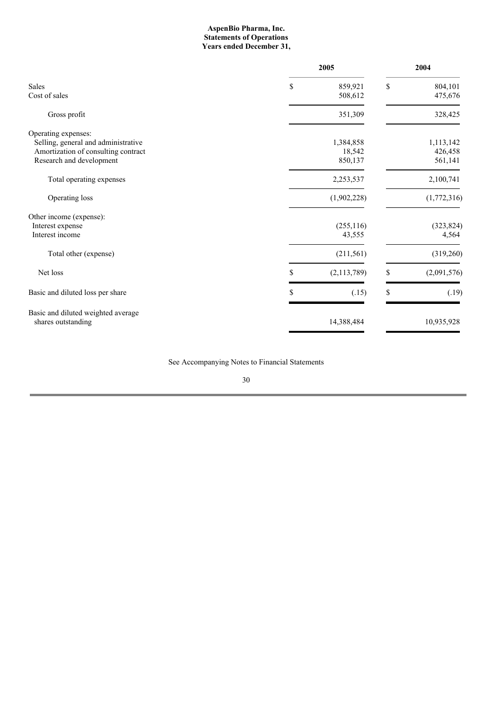### **AspenBio Pharma, Inc. Statements of Operations Years ended December 31,**

|                                     |    | 2005          |    | 2004        |  |
|-------------------------------------|----|---------------|----|-------------|--|
| <b>Sales</b>                        | \$ | 859,921       | \$ | 804,101     |  |
| Cost of sales                       |    | 508,612       |    | 475,676     |  |
| Gross profit                        |    | 351,309       |    | 328,425     |  |
| Operating expenses:                 |    |               |    |             |  |
| Selling, general and administrative |    | 1,384,858     |    | 1,113,142   |  |
| Amortization of consulting contract |    | 18,542        |    | 426,458     |  |
| Research and development            |    | 850,137       |    | 561,141     |  |
| Total operating expenses            |    | 2,253,537     |    | 2,100,741   |  |
| Operating loss                      |    | (1,902,228)   |    | (1,772,316) |  |
| Other income (expense):             |    |               |    |             |  |
| Interest expense                    |    | (255, 116)    |    | (323, 824)  |  |
| Interest income                     |    | 43,555        |    | 4,564       |  |
| Total other (expense)               |    | (211, 561)    |    | (319,260)   |  |
| Net loss                            | \$ | (2, 113, 789) | \$ | (2,091,576) |  |
| Basic and diluted loss per share    | S  | (.15)         | \$ | (.19)       |  |
| Basic and diluted weighted average  |    |               |    |             |  |
| shares outstanding                  |    | 14,388,484    |    | 10,935,928  |  |

See Accompanying Notes to Financial Statements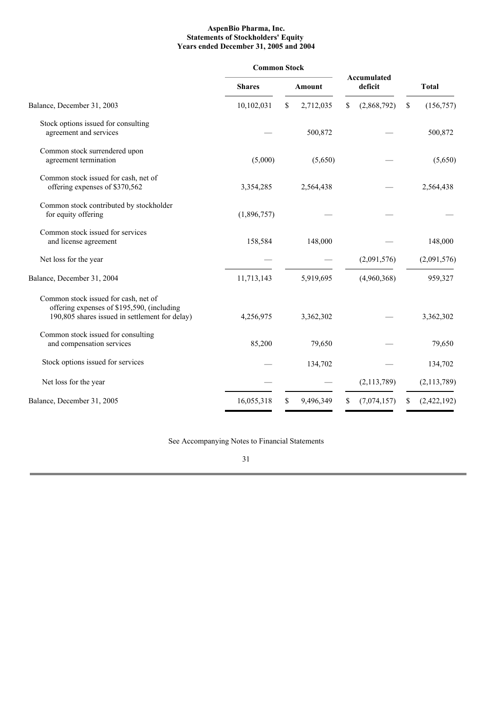### **AspenBio Pharma, Inc. Statements of Stockholders' Equity Years ended December 31, 2005 and 2004**

|                                                                                                                                      | <b>Common Stock</b> |                 |                        |                   |  |
|--------------------------------------------------------------------------------------------------------------------------------------|---------------------|-----------------|------------------------|-------------------|--|
|                                                                                                                                      | <b>Shares</b>       | <b>Amount</b>   | Accumulated<br>deficit | <b>Total</b>      |  |
| Balance, December 31, 2003                                                                                                           | 10,102,031          | 2,712,035<br>\$ | (2,868,792)<br>S       | (156, 757)<br>\$  |  |
| Stock options issued for consulting<br>agreement and services                                                                        |                     | 500,872         |                        | 500,872           |  |
| Common stock surrendered upon<br>agreement termination                                                                               | (5,000)             | (5,650)         |                        | (5,650)           |  |
| Common stock issued for cash, net of<br>offering expenses of \$370,562                                                               | 3,354,285           | 2,564,438       |                        | 2,564,438         |  |
| Common stock contributed by stockholder<br>for equity offering                                                                       | (1,896,757)         |                 |                        |                   |  |
| Common stock issued for services<br>and license agreement                                                                            | 158,584             | 148,000         |                        | 148,000           |  |
| Net loss for the year                                                                                                                |                     |                 | (2,091,576)            | (2,091,576)       |  |
| Balance, December 31, 2004                                                                                                           | 11,713,143          | 5,919,695       | (4,960,368)            | 959,327           |  |
| Common stock issued for cash, net of<br>offering expenses of \$195,590, (including<br>190,805 shares issued in settlement for delay) | 4,256,975           | 3,362,302       |                        | 3,362,302         |  |
| Common stock issued for consulting<br>and compensation services                                                                      | 85,200              | 79,650          |                        | 79,650            |  |
| Stock options issued for services                                                                                                    |                     | 134,702         |                        | 134,702           |  |
| Net loss for the year                                                                                                                |                     |                 | (2,113,789)            | (2, 113, 789)     |  |
| Balance, December 31, 2005                                                                                                           | 16,055,318          | 9,496,349<br>\$ | (7,074,157)<br>\$      | (2,422,192)<br>\$ |  |

See Accompanying Notes to Financial Statements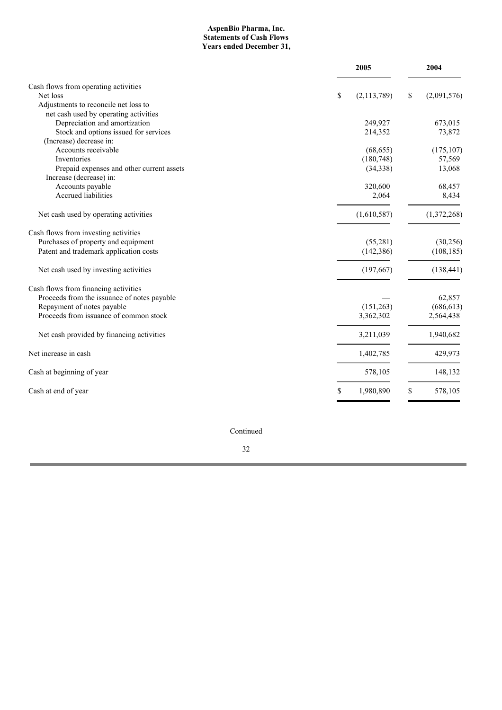### **AspenBio Pharma, Inc. Statements of Cash Flows Years ended December 31,**

|                                                                      | 2005              | 2004              |
|----------------------------------------------------------------------|-------------------|-------------------|
| Cash flows from operating activities                                 |                   |                   |
| Net loss                                                             | \$<br>(2,113,789) | \$<br>(2,091,576) |
| Adjustments to reconcile net loss to                                 |                   |                   |
| net cash used by operating activities                                |                   |                   |
| Depreciation and amortization                                        | 249,927           | 673,015           |
| Stock and options issued for services                                | 214,352           | 73,872            |
| (Increase) decrease in:                                              |                   |                   |
| Accounts receivable                                                  | (68, 655)         | (175, 107)        |
| Inventories                                                          | (180,748)         | 57,569            |
| Prepaid expenses and other current assets<br>Increase (decrease) in: | (34, 338)         | 13,068            |
| Accounts payable                                                     | 320,600           | 68,457            |
| Accrued liabilities                                                  | 2,064             | 8,434             |
| Net cash used by operating activities                                | (1,610,587)       | (1,372,268)       |
| Cash flows from investing activities                                 |                   |                   |
| Purchases of property and equipment                                  | (55,281)          | (30, 256)         |
| Patent and trademark application costs                               | (142, 386)        | (108, 185)        |
| Net cash used by investing activities                                | (197, 667)        | (138, 441)        |
| Cash flows from financing activities                                 |                   |                   |
| Proceeds from the issuance of notes payable                          |                   | 62,857            |
| Repayment of notes payable                                           | (151,263)         | (686, 613)        |
| Proceeds from issuance of common stock                               | 3,362,302         | 2,564,438         |
| Net cash provided by financing activities                            | 3,211,039         | 1,940,682         |
| Net increase in cash                                                 | 1,402,785         | 429,973           |
| Cash at beginning of year                                            | 578,105           | 148,132           |
| Cash at end of year                                                  | \$<br>1,980,890   | \$<br>578,105     |
|                                                                      |                   |                   |

Continued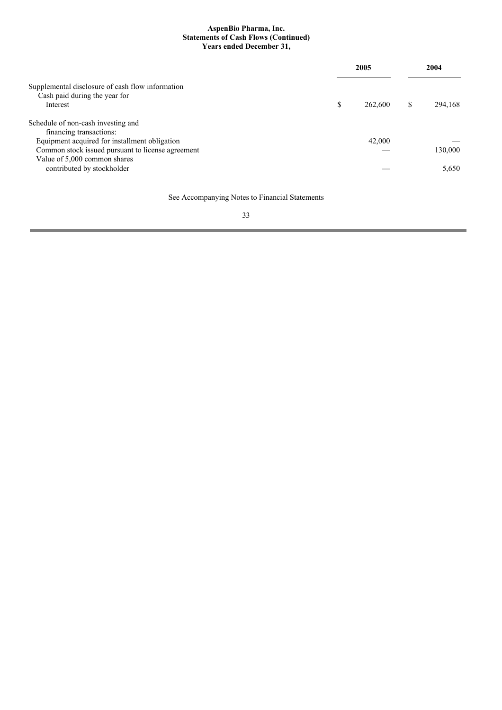### **AspenBio Pharma, Inc. Statements of Cash Flows (Continued) Years ended December 31,**

|                                                                                               |   | 2005    |   | 2004    |
|-----------------------------------------------------------------------------------------------|---|---------|---|---------|
| Supplemental disclosure of cash flow information<br>Cash paid during the year for<br>Interest | S | 262,600 | S | 294.168 |
| Schedule of non-cash investing and<br>financing transactions:                                 |   |         |   |         |
| Equipment acquired for installment obligation                                                 |   | 42,000  |   |         |
| Common stock issued pursuant to license agreement                                             |   |         |   | 130,000 |
| Value of 5,000 common shares<br>contributed by stockholder                                    |   |         |   | 5.650   |

See Accompanying Notes to Financial Statements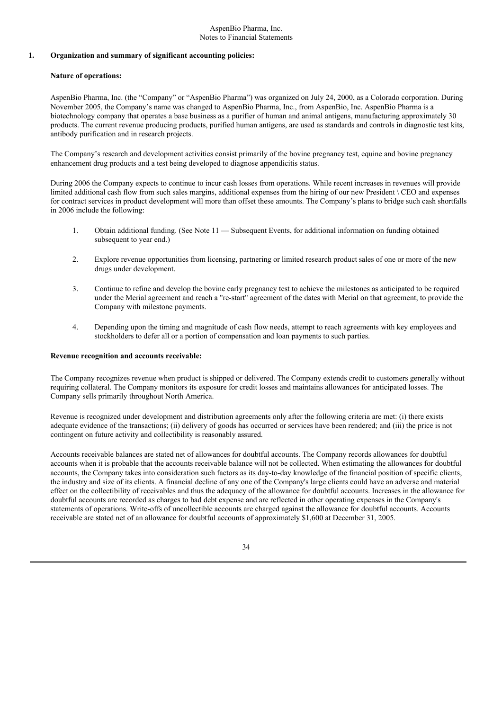#### AspenBio Pharma, Inc. Notes to Financial Statements

### **1. Organization and summary of significant accounting policies:**

## **Nature of operations:**

AspenBio Pharma, Inc. (the "Company" or "AspenBio Pharma") was organized on July 24, 2000, as a Colorado corporation. During November 2005, the Company's name was changed to AspenBio Pharma, Inc., from AspenBio, Inc. AspenBio Pharma is a biotechnology company that operates a base business as a purifier of human and animal antigens, manufacturing approximately 30 products. The current revenue producing products, purified human antigens, are used as standards and controls in diagnostic test kits, antibody purification and in research projects.

The Company's research and development activities consist primarily of the bovine pregnancy test, equine and bovine pregnancy enhancement drug products and a test being developed to diagnose appendicitis status.

During 2006 the Company expects to continue to incur cash losses from operations. While recent increases in revenues will provide limited additional cash flow from such sales margins, additional expenses from the hiring of our new President \ CEO and expenses for contract services in product development will more than offset these amounts. The Company's plans to bridge such cash shortfalls in 2006 include the following:

- 1. Obtain additional funding. (See Note 11 Subsequent Events, for additional information on funding obtained subsequent to year end.)
- 2. Explore revenue opportunities from licensing, partnering or limited research product sales of one or more of the new drugs under development.
- 3. Continue to refine and develop the bovine early pregnancy test to achieve the milestones as anticipated to be required under the Merial agreement and reach a "re-start" agreement of the dates with Merial on that agreement, to provide the Company with milestone payments.
- 4. Depending upon the timing and magnitude of cash flow needs, attempt to reach agreements with key employees and stockholders to defer all or a portion of compensation and loan payments to such parties.

### **Revenue recognition and accounts receivable:**

The Company recognizes revenue when product is shipped or delivered. The Company extends credit to customers generally without requiring collateral. The Company monitors its exposure for credit losses and maintains allowances for anticipated losses. The Company sells primarily throughout North America.

Revenue is recognized under development and distribution agreements only after the following criteria are met: (i) there exists adequate evidence of the transactions; (ii) delivery of goods has occurred or services have been rendered; and (iii) the price is not contingent on future activity and collectibility is reasonably assured.

Accounts receivable balances are stated net of allowances for doubtful accounts. The Company records allowances for doubtful accounts when it is probable that the accounts receivable balance will not be collected. When estimating the allowances for doubtful accounts, the Company takes into consideration such factors as its day-to-day knowledge of the financial position of specific clients, the industry and size of its clients. A financial decline of any one of the Company's large clients could have an adverse and material effect on the collectibility of receivables and thus the adequacy of the allowance for doubtful accounts. Increases in the allowance for doubtful accounts are recorded as charges to bad debt expense and are reflected in other operating expenses in the Company's statements of operations. Write-offs of uncollectible accounts are charged against the allowance for doubtful accounts. Accounts receivable are stated net of an allowance for doubtful accounts of approximately \$1,600 at December 31, 2005.

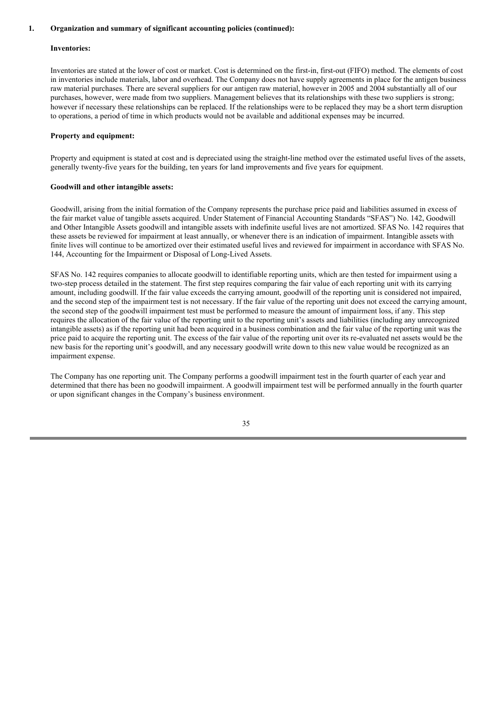### **Inventories:**

Inventories are stated at the lower of cost or market. Cost is determined on the first-in, first-out (FIFO) method. The elements of cost in inventories include materials, labor and overhead. The Company does not have supply agreements in place for the antigen business raw material purchases. There are several suppliers for our antigen raw material, however in 2005 and 2004 substantially all of our purchases, however, were made from two suppliers. Management believes that its relationships with these two suppliers is strong; however if necessary these relationships can be replaced. If the relationships were to be replaced they may be a short term disruption to operations, a period of time in which products would not be available and additional expenses may be incurred.

#### **Property and equipment:**

Property and equipment is stated at cost and is depreciated using the straight-line method over the estimated useful lives of the assets, generally twenty-five years for the building, ten years for land improvements and five years for equipment.

#### **Goodwill and other intangible assets:**

Goodwill, arising from the initial formation of the Company represents the purchase price paid and liabilities assumed in excess of the fair market value of tangible assets acquired. Under Statement of Financial Accounting Standards "SFAS") No. 142, Goodwill and Other Intangible Assets goodwill and intangible assets with indefinite useful lives are not amortized. SFAS No. 142 requires that these assets be reviewed for impairment at least annually, or whenever there is an indication of impairment. Intangible assets with finite lives will continue to be amortized over their estimated useful lives and reviewed for impairment in accordance with SFAS No. 144, Accounting for the Impairment or Disposal of Long-Lived Assets.

SFAS No. 142 requires companies to allocate goodwill to identifiable reporting units, which are then tested for impairment using a two-step process detailed in the statement. The first step requires comparing the fair value of each reporting unit with its carrying amount, including goodwill. If the fair value exceeds the carrying amount, goodwill of the reporting unit is considered not impaired, and the second step of the impairment test is not necessary. If the fair value of the reporting unit does not exceed the carrying amount, the second step of the goodwill impairment test must be performed to measure the amount of impairment loss, if any. This step requires the allocation of the fair value of the reporting unit to the reporting unit's assets and liabilities (including any unrecognized intangible assets) as if the reporting unit had been acquired in a business combination and the fair value of the reporting unit was the price paid to acquire the reporting unit. The excess of the fair value of the reporting unit over its re-evaluated net assets would be the new basis for the reporting unit's goodwill, and any necessary goodwill write down to this new value would be recognized as an impairment expense.

The Company has one reporting unit. The Company performs a goodwill impairment test in the fourth quarter of each year and determined that there has been no goodwill impairment. A goodwill impairment test will be performed annually in the fourth quarter or upon significant changes in the Company's business environment.

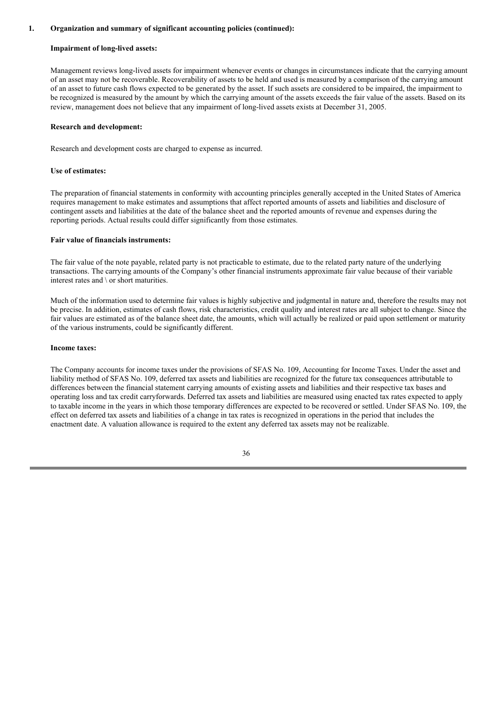#### **Impairment of long-lived assets:**

Management reviews long-lived assets for impairment whenever events or changes in circumstances indicate that the carrying amount of an asset may not be recoverable. Recoverability of assets to be held and used is measured by a comparison of the carrying amount of an asset to future cash flows expected to be generated by the asset. If such assets are considered to be impaired, the impairment to be recognized is measured by the amount by which the carrying amount of the assets exceeds the fair value of the assets. Based on its review, management does not believe that any impairment of long-lived assets exists at December 31, 2005.

#### **Research and development:**

Research and development costs are charged to expense as incurred.

#### **Use of estimates:**

The preparation of financial statements in conformity with accounting principles generally accepted in the United States of America requires management to make estimates and assumptions that affect reported amounts of assets and liabilities and disclosure of contingent assets and liabilities at the date of the balance sheet and the reported amounts of revenue and expenses during the reporting periods. Actual results could differ significantly from those estimates.

#### **Fair value of financials instruments:**

The fair value of the note payable, related party is not practicable to estimate, due to the related party nature of the underlying transactions. The carrying amounts of the Company's other financial instruments approximate fair value because of their variable interest rates and \ or short maturities.

Much of the information used to determine fair values is highly subjective and judgmental in nature and, therefore the results may not be precise. In addition, estimates of cash flows, risk characteristics, credit quality and interest rates are all subject to change. Since the fair values are estimated as of the balance sheet date, the amounts, which will actually be realized or paid upon settlement or maturity of the various instruments, could be significantly different.

### **Income taxes:**

The Company accounts for income taxes under the provisions of SFAS No. 109, Accounting for Income Taxes. Under the asset and liability method of SFAS No. 109, deferred tax assets and liabilities are recognized for the future tax consequences attributable to differences between the financial statement carrying amounts of existing assets and liabilities and their respective tax bases and operating loss and tax credit carryforwards. Deferred tax assets and liabilities are measured using enacted tax rates expected to apply to taxable income in the years in which those temporary differences are expected to be recovered or settled. Under SFAS No. 109, the effect on deferred tax assets and liabilities of a change in tax rates is recognized in operations in the period that includes the enactment date. A valuation allowance is required to the extent any deferred tax assets may not be realizable.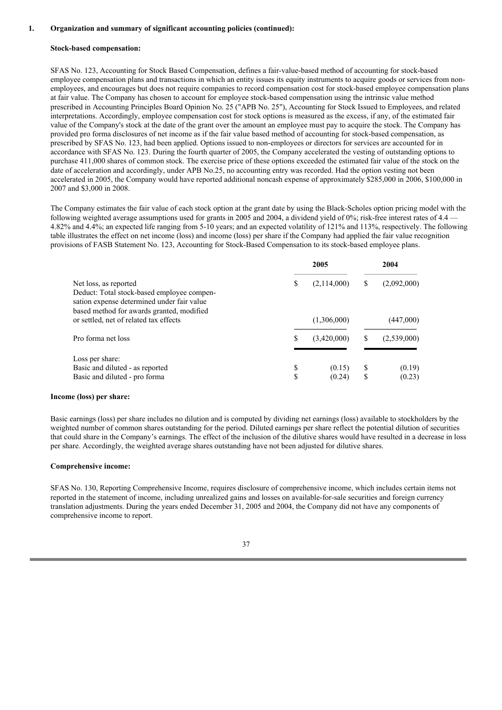#### **Stock-based compensation:**

SFAS No. 123, Accounting for Stock Based Compensation, defines a fair-value-based method of accounting for stock-based employee compensation plans and transactions in which an entity issues its equity instruments to acquire goods or services from nonemployees, and encourages but does not require companies to record compensation cost for stock-based employee compensation plans at fair value. The Company has chosen to account for employee stock-based compensation using the intrinsic value method prescribed in Accounting Principles Board Opinion No. 25 ("APB No. 25"), Accounting for Stock Issued to Employees, and related interpretations. Accordingly, employee compensation cost for stock options is measured as the excess, if any, of the estimated fair value of the Company's stock at the date of the grant over the amount an employee must pay to acquire the stock. The Company has provided pro forma disclosures of net income as if the fair value based method of accounting for stock-based compensation, as prescribed by SFAS No. 123, had been applied. Options issued to non-employees or directors for services are accounted for in accordance with SFAS No. 123. During the fourth quarter of 2005, the Company accelerated the vesting of outstanding options to purchase 411,000 shares of common stock. The exercise price of these options exceeded the estimated fair value of the stock on the date of acceleration and accordingly, under APB No.25, no accounting entry was recorded. Had the option vesting not been accelerated in 2005, the Company would have reported additional noncash expense of approximately \$285,000 in 2006, \$100,000 in 2007 and \$3,000 in 2008.

The Company estimates the fair value of each stock option at the grant date by using the Black-Scholes option pricing model with the following weighted average assumptions used for grants in 2005 and 2004, a dividend yield of 0%; risk-free interest rates of 4.4  $\cdot$ 4.82% and 4.4%; an expected life ranging from 5-10 years; and an expected volatility of 121% and 113%, respectively. The following table illustrates the effect on net income (loss) and income (loss) per share if the Company had applied the fair value recognition provisions of FASB Statement No. 123, Accounting for Stock-Based Compensation to its stock-based employee plans.

|                                                                                                                                                                |          | 2005             |          | 2004             |
|----------------------------------------------------------------------------------------------------------------------------------------------------------------|----------|------------------|----------|------------------|
| Net loss, as reported<br>Deduct: Total stock-based employee compen-<br>sation expense determined under fair value<br>based method for awards granted, modified | \$       | (2,114,000)      |          | (2,092,000)      |
| or settled, net of related tax effects                                                                                                                         |          | (1,306,000)      |          | (447,000)        |
| Pro forma net loss                                                                                                                                             | \$       | (3,420,000)      |          | (2,539,000)      |
| Loss per share:<br>Basic and diluted - as reported<br>Basic and diluted - pro forma                                                                            | \$<br>\$ | (0.15)<br>(0.24) | S<br>\$. | (0.19)<br>(0.23) |

#### **Income (loss) per share:**

Basic earnings (loss) per share includes no dilution and is computed by dividing net earnings (loss) available to stockholders by the weighted number of common shares outstanding for the period. Diluted earnings per share reflect the potential dilution of securities that could share in the Company's earnings. The effect of the inclusion of the dilutive shares would have resulted in a decrease in loss per share. Accordingly, the weighted average shares outstanding have not been adjusted for dilutive shares.

#### **Comprehensive income:**

SFAS No. 130, Reporting Comprehensive Income, requires disclosure of comprehensive income, which includes certain items not reported in the statement of income, including unrealized gains and losses on available-for-sale securities and foreign currency translation adjustments. During the years ended December 31, 2005 and 2004, the Company did not have any components of comprehensive income to report.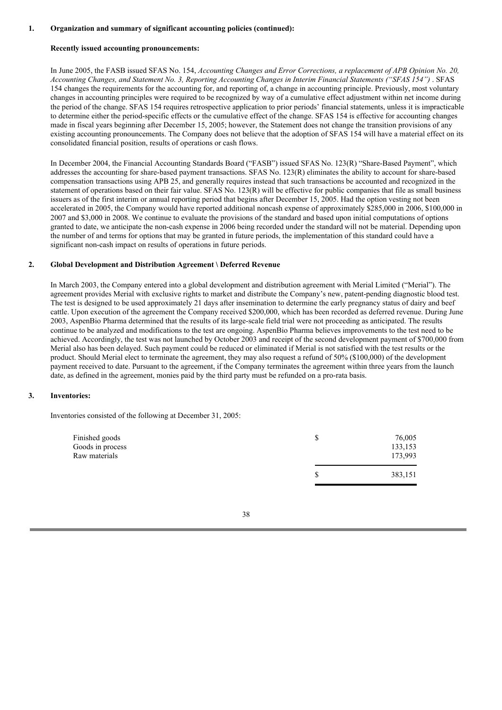#### **Recently issued accounting pronouncements:**

In June 2005, the FASB issued SFAS No. 154, *Accounting Changes and Error Corrections, a replacement of APB Opinion No. 20,* Accounting Changes, and Statement No. 3, Reporting Accounting Changes in Interim Financial Statements ("SFAS 154"). SFAS 154 changes the requirements for the accounting for, and reporting of, a change in accounting principle. Previously, most voluntary changes in accounting principles were required to be recognized by way of a cumulative effect adjustment within net income during the period of the change. SFAS 154 requires retrospective application to prior periods' financial statements, unless it is impracticable to determine either the period-specific effects or the cumulative effect of the change. SFAS 154 is effective for accounting changes made in fiscal years beginning after December 15, 2005; however, the Statement does not change the transition provisions of any existing accounting pronouncements. The Company does not believe that the adoption of SFAS 154 will have a material effect on its consolidated financial position, results of operations or cash flows.

In December 2004, the Financial Accounting Standards Board ("FASB") issued SFAS No. 123(R) "Share-Based Payment", which addresses the accounting for share-based payment transactions. SFAS No. 123(R) eliminates the ability to account for share-based compensation transactions using APB 25, and generally requires instead that such transactions be accounted and recognized in the statement of operations based on their fair value. SFAS No. 123(R) will be effective for public companies that file as small business issuers as of the first interim or annual reporting period that begins after December 15, 2005. Had the option vesting not been accelerated in 2005, the Company would have reported additional noncash expense of approximately \$285,000 in 2006, \$100,000 in 2007 and \$3,000 in 2008. We continue to evaluate the provisions of the standard and based upon initial computations of options granted to date, we anticipate the non-cash expense in 2006 being recorded under the standard will not be material. Depending upon the number of and terms for options that may be granted in future periods, the implementation of this standard could have a significant non-cash impact on results of operations in future periods.

#### **2. Global Development and Distribution Agreement \ Deferred Revenue**

In March 2003, the Company entered into a global development and distribution agreement with Merial Limited ("Merial"). The agreement provides Merial with exclusive rights to market and distribute the Company's new, patent-pending diagnostic blood test. The test is designed to be used approximately 21 days after insemination to determine the early pregnancy status of dairy and beef cattle. Upon execution of the agreement the Company received \$200,000, which has been recorded as deferred revenue. During June 2003, AspenBio Pharma determined that the results of its large-scale field trial were not proceeding as anticipated. The results continue to be analyzed and modifications to the test are ongoing. AspenBio Pharma believes improvements to the test need to be achieved. Accordingly, the test was not launched by October 2003 and receipt of the second development payment of \$700,000 from Merial also has been delayed. Such payment could be reduced or eliminated if Merial is not satisfied with the test results or the product. Should Merial elect to terminate the agreement, they may also request a refund of 50% (\$100,000) of the development payment received to date. Pursuant to the agreement, if the Company terminates the agreement within three years from the launch date, as defined in the agreement, monies paid by the third party must be refunded on a pro-rata basis.

### **3. Inventories:**

Inventories consisted of the following at December 31, 2005:

| Finished goods<br>Goods in process<br>Raw materials | 76,005<br>133,153<br>173,993 |
|-----------------------------------------------------|------------------------------|
|                                                     | 383,151                      |

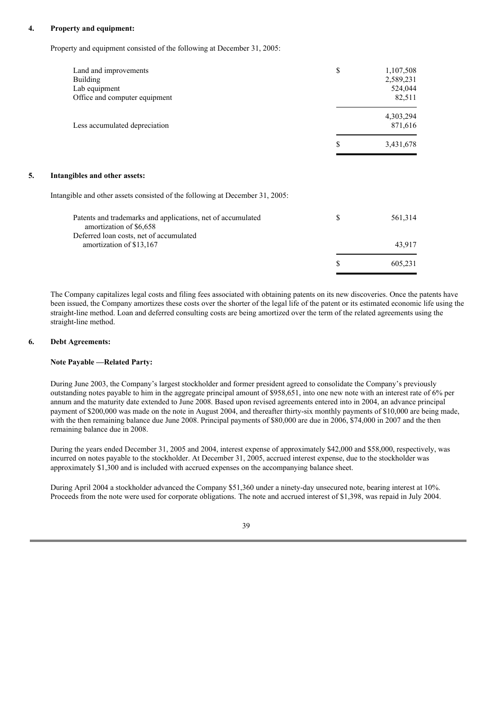### **4. Property and equipment:**

Property and equipment consisted of the following at December 31, 2005:

|    | Land and improvements<br><b>Building</b><br>Lab equipment<br>Office and computer equipment | \$ | 1,107,508<br>2,589,231<br>524,044<br>82,511 |
|----|--------------------------------------------------------------------------------------------|----|---------------------------------------------|
|    | Less accumulated depreciation                                                              |    | 4,303,294<br>871,616                        |
|    |                                                                                            | \$ | 3,431,678                                   |
| 5. | Intangibles and other assets:                                                              |    |                                             |
|    | Intangible and other assets consisted of the following at December 31, 2005:               |    |                                             |
|    | Patents and trademarks and applications, net of accumulated<br>amortization of \$6,658     | \$ | 561,314                                     |
|    | Deferred loan costs, net of accumulated<br>amortization of \$13,167                        |    | 43,917                                      |
|    |                                                                                            | S  | 605,231                                     |

The Company capitalizes legal costs and filing fees associated with obtaining patents on its new discoveries. Once the patents have been issued, the Company amortizes these costs over the shorter of the legal life of the patent or its estimated economic life using the straight-line method. Loan and deferred consulting costs are being amortized over the term of the related agreements using the straight-line method.

### **6. Debt Agreements:**

### **Note Payable —Related Party:**

During June 2003, the Company's largest stockholder and former president agreed to consolidate the Company's previously outstanding notes payable to him in the aggregate principal amount of \$958,651, into one new note with an interest rate of 6% per annum and the maturity date extended to June 2008. Based upon revised agreements entered into in 2004, an advance principal payment of \$200,000 was made on the note in August 2004, and thereafter thirty-six monthly payments of \$10,000 are being made, with the then remaining balance due June 2008. Principal payments of \$80,000 are due in 2006, \$74,000 in 2007 and the then remaining balance due in 2008.

During the years ended December 31, 2005 and 2004, interest expense of approximately \$42,000 and \$58,000, respectively, was incurred on notes payable to the stockholder. At December 31, 2005, accrued interest expense, due to the stockholder was approximately \$1,300 and is included with accrued expenses on the accompanying balance sheet.

During April 2004 a stockholder advanced the Company \$51,360 under a ninety-day unsecured note, bearing interest at 10%. Proceeds from the note were used for corporate obligations. The note and accrued interest of \$1,398, was repaid in July 2004.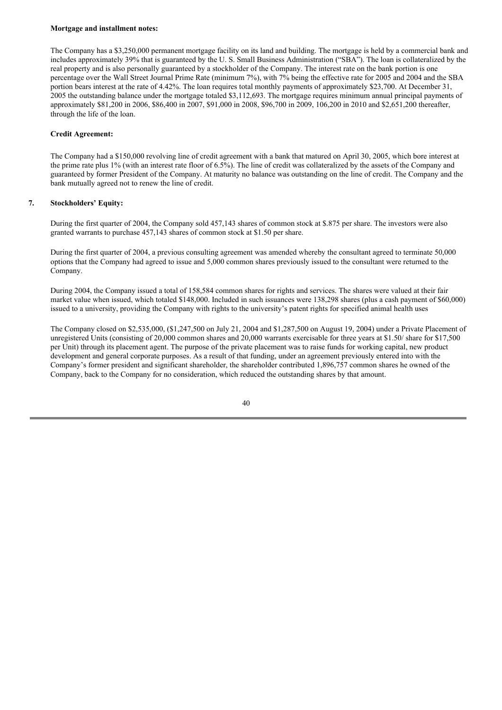#### **Mortgage and installment notes:**

The Company has a \$3,250,000 permanent mortgage facility on its land and building. The mortgage is held by a commercial bank and includes approximately 39% that is guaranteed by the U. S. Small Business Administration ("SBA"). The loan is collateralized by the real property and is also personally guaranteed by a stockholder of the Company. The interest rate on the bank portion is one percentage over the Wall Street Journal Prime Rate (minimum 7%), with 7% being the effective rate for 2005 and 2004 and the SBA portion bears interest at the rate of 4.42%. The loan requires total monthly payments of approximately \$23,700. At December 31, 2005 the outstanding balance under the mortgage totaled \$3,112,693. The mortgage requires minimum annual principal payments of approximately \$81,200 in 2006, \$86,400 in 2007, \$91,000 in 2008, \$96,700 in 2009, 106,200 in 2010 and \$2,651,200 thereafter, through the life of the loan.

## **Credit Agreement:**

The Company had a \$150,000 revolving line of credit agreement with a bank that matured on April 30, 2005, which bore interest at the prime rate plus 1% (with an interest rate floor of 6.5%). The line of credit was collateralized by the assets of the Company and guaranteed by former President of the Company. At maturity no balance was outstanding on the line of credit. The Company and the bank mutually agreed not to renew the line of credit.

## **7. Stockholders' Equity:**

During the first quarter of 2004, the Company sold 457,143 shares of common stock at \$.875 per share. The investors were also granted warrants to purchase 457,143 shares of common stock at \$1.50 per share.

During the first quarter of 2004, a previous consulting agreement was amended whereby the consultant agreed to terminate 50,000 options that the Company had agreed to issue and 5,000 common shares previously issued to the consultant were returned to the Company.

During 2004, the Company issued a total of 158,584 common shares for rights and services. The shares were valued at their fair market value when issued, which totaled \$148,000. Included in such issuances were 138,298 shares (plus a cash payment of \$60,000) issued to a university, providing the Company with rights to the university's patent rights for specified animal health uses

The Company closed on \$2,535,000, (\$1,247,500 on July 21, 2004 and \$1,287,500 on August 19, 2004) under a Private Placement of unregistered Units (consisting of 20,000 common shares and 20,000 warrants exercisable for three years at \$1.50/ share for \$17,500 per Unit) through its placement agent. The purpose of the private placement was to raise funds for working capital, new product development and general corporate purposes. As a result of that funding, under an agreement previously entered into with the Company's former president and significant shareholder, the shareholder contributed 1,896,757 common shares he owned of the Company, back to the Company for no consideration, which reduced the outstanding shares by that amount.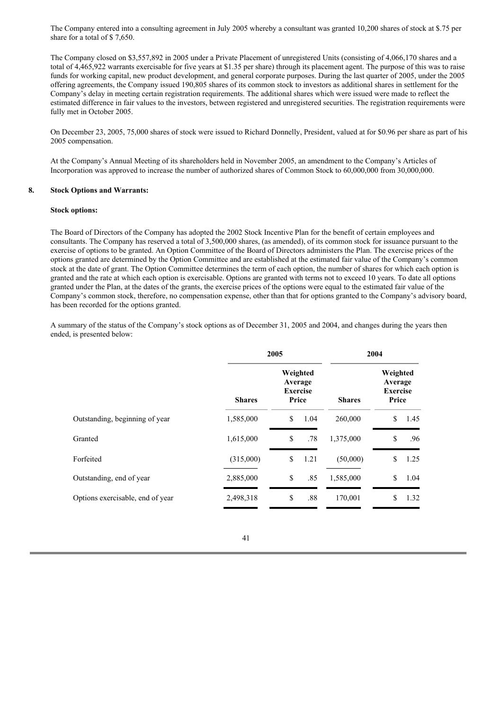The Company entered into a consulting agreement in July 2005 whereby a consultant was granted 10,200 shares of stock at \$.75 per share for a total of \$ 7,650.

The Company closed on \$3,557,892 in 2005 under a Private Placement of unregistered Units (consisting of 4,066,170 shares and a total of 4,465,922 warrants exercisable for five years at \$1.35 per share) through its placement agent. The purpose of this was to raise funds for working capital, new product development, and general corporate purposes. During the last quarter of 2005, under the 2005 offering agreements, the Company issued 190,805 shares of its common stock to investors as additional shares in settlement for the Company's delay in meeting certain registration requirements. The additional shares which were issued were made to reflect the estimated difference in fair values to the investors, between registered and unregistered securities. The registration requirements were fully met in October 2005.

On December 23, 2005, 75,000 shares of stock were issued to Richard Donnelly, President, valued at for \$0.96 per share as part of his 2005 compensation.

At the Company's Annual Meeting of its shareholders held in November 2005, an amendment to the Company's Articles of Incorporation was approved to increase the number of authorized shares of Common Stock to 60,000,000 from 30,000,000.

## **8. Stock Options and Warrants:**

#### **Stock options:**

The Board of Directors of the Company has adopted the 2002 Stock Incentive Plan for the benefit of certain employees and consultants. The Company has reserved a total of 3,500,000 shares, (as amended), of its common stock for issuance pursuant to the exercise of options to be granted. An Option Committee of the Board of Directors administers the Plan. The exercise prices of the options granted are determined by the Option Committee and are established at the estimated fair value of the Company's common stock at the date of grant. The Option Committee determines the term of each option, the number of shares for which each option is granted and the rate at which each option is exercisable. Options are granted with terms not to exceed 10 years. To date all options granted under the Plan, at the dates of the grants, the exercise prices of the options were equal to the estimated fair value of the Company's common stock, therefore, no compensation expense, other than that for options granted to the Company's advisory board, has been recorded for the options granted.

A summary of the status of the Company's stock options as of December 31, 2005 and 2004, and changes during the years then ended, is presented below:

|                                  | 2005          |                                                 |      | 2004          |                                                 |      |
|----------------------------------|---------------|-------------------------------------------------|------|---------------|-------------------------------------------------|------|
|                                  | <b>Shares</b> | Weighted<br>Average<br><b>Exercise</b><br>Price |      | <b>Shares</b> | Weighted<br>Average<br><b>Exercise</b><br>Price |      |
| Outstanding, beginning of year   | 1,585,000     | \$                                              | 1.04 | 260,000       | S.                                              | 1.45 |
| Granted                          | 1,615,000     | \$.                                             | .78  | 1,375,000     | \$.                                             | .96  |
| Forfeited                        | (315,000)     | \$.                                             | 1.21 | (50,000)      | \$                                              | 1.25 |
| Outstanding, end of year         | 2,885,000     | \$                                              | .85  | 1,585,000     | \$                                              | 1.04 |
| Options exercisable, end of year | 2,498,318     | \$                                              | .88  | 170,001       | \$                                              | 1.32 |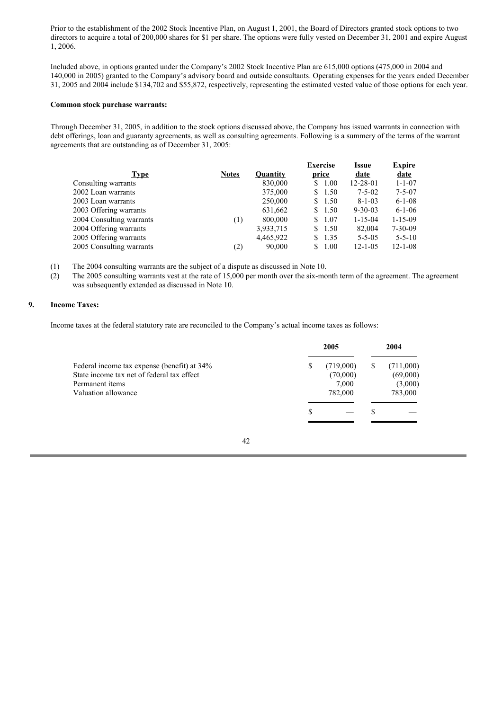Prior to the establishment of the 2002 Stock Incentive Plan, on August 1, 2001, the Board of Directors granted stock options to two directors to acquire a total of 200,000 shares for \$1 per share. The options were fully vested on December 31, 2001 and expire August 1, 2006.

Included above, in options granted under the Company's 2002 Stock Incentive Plan are 615,000 options (475,000 in 2004 and 140,000 in 2005) granted to the Company's advisory board and outside consultants. Operating expenses for the years ended December 31, 2005 and 2004 include \$134,702 and \$55,872, respectively, representing the estimated vested value of those options for each year.

### **Common stock purchase warrants:**

Through December 31, 2005, in addition to the stock options discussed above, the Company has issued warrants in connection with debt offerings, loan and guaranty agreements, as well as consulting agreements. Following is a summery of the terms of the warrant agreements that are outstanding as of December 31, 2005:

|              |                 | <b>Exercise</b> | Issue          | <b>Expire</b> |
|--------------|-----------------|-----------------|----------------|---------------|
| <b>Notes</b> | <b>Ouantity</b> | price           | date           | date          |
|              | 830,000         | 1.00<br>S.      | $12 - 28 - 01$ | $1 - 1 - 07$  |
|              | 375,000         | \$1.50          | $7 - 5 - 02$   | $7 - 5 - 07$  |
|              | 250,000         | 1.50<br>S.      | $8 - 1 - 03$   | $6 - 1 - 08$  |
|              | 631,662         | \$1.50          | $9 - 30 - 03$  | $6 - 1 - 06$  |
| (1)          | 800,000         | 1.07<br>S.      | $1 - 15 - 04$  | $1 - 15 - 09$ |
|              | 3,933,715       | \$1.50          | 82,004         | $7 - 30 - 09$ |
|              | 4,465,922       | 1.35<br>S.      | $5 - 5 - 05$   | $5 - 5 - 10$  |
| (2)          | 90,000          | 1.00<br>S.      | $12 - 1 - 05$  | $12 - 1 - 08$ |
|              |                 |                 |                |               |

(1) The 2004 consulting warrants are the subject of a dispute as discussed in Note 10.

(2) The 2005 consulting warrants vest at the rate of 15,000 per month over the six-month term of the agreement. The agreement was subsequently extended as discussed in Note 10.

#### **9. Income Taxes:**

Income taxes at the federal statutory rate are reconciled to the Company's actual income taxes as follows:

|                                                                                                                                     | 2005 |                                           | 2004 |                                             |
|-------------------------------------------------------------------------------------------------------------------------------------|------|-------------------------------------------|------|---------------------------------------------|
| Federal income tax expense (benefit) at 34%<br>State income tax net of federal tax effect<br>Permanent items<br>Valuation allowance | S    | (719,000)<br>(70,000)<br>7.000<br>782,000 |      | (711,000)<br>(69,000)<br>(3,000)<br>783,000 |
|                                                                                                                                     | S    |                                           |      |                                             |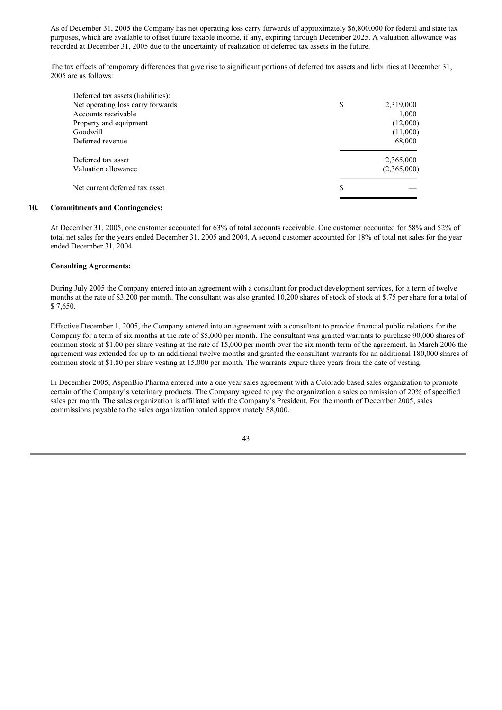As of December 31, 2005 the Company has net operating loss carry forwards of approximately \$6,800,000 for federal and state tax purposes, which are available to offset future taxable income, if any, expiring through December 2025. A valuation allowance was recorded at December 31, 2005 due to the uncertainty of realization of deferred tax assets in the future.

The tax effects of temporary differences that give rise to significant portions of deferred tax assets and liabilities at December 31, 2005 are as follows:

| Deferred tax assets (liabilities): |                 |
|------------------------------------|-----------------|
| Net operating loss carry forwards  | \$<br>2,319,000 |
| Accounts receivable                | 1,000           |
| Property and equipment             | (12,000)        |
| Goodwill                           | (11,000)        |
| Deferred revenue                   | 68,000          |
| Deferred tax asset                 | 2,365,000       |
| Valuation allowance                | (2,365,000)     |
| Net current deferred tax asset     | \$              |
|                                    |                 |

## **10. Commitments and Contingencies:**

At December 31, 2005, one customer accounted for 63% of total accounts receivable. One customer accounted for 58% and 52% of total net sales for the years ended December 31, 2005 and 2004. A second customer accounted for 18% of total net sales for the year ended December 31, 2004.

#### **Consulting Agreements:**

During July 2005 the Company entered into an agreement with a consultant for product development services, for a term of twelve months at the rate of \$3,200 per month. The consultant was also granted 10,200 shares of stock of stock at \$.75 per share for a total of \$ 7,650.

Effective December 1, 2005, the Company entered into an agreement with a consultant to provide financial public relations for the Company for a term of six months at the rate of \$5,000 per month. The consultant was granted warrants to purchase 90,000 shares of common stock at \$1.00 per share vesting at the rate of 15,000 per month over the six month term of the agreement. In March 2006 the agreement was extended for up to an additional twelve months and granted the consultant warrants for an additional 180,000 shares of common stock at \$1.80 per share vesting at 15,000 per month. The warrants expire three years from the date of vesting.

In December 2005, AspenBio Pharma entered into a one year sales agreement with a Colorado based sales organization to promote certain of the Company's veterinary products. The Company agreed to pay the organization a sales commission of 20% of specified sales per month. The sales organization is affiliated with the Company's President. For the month of December 2005, sales commissions payable to the sales organization totaled approximately \$8,000.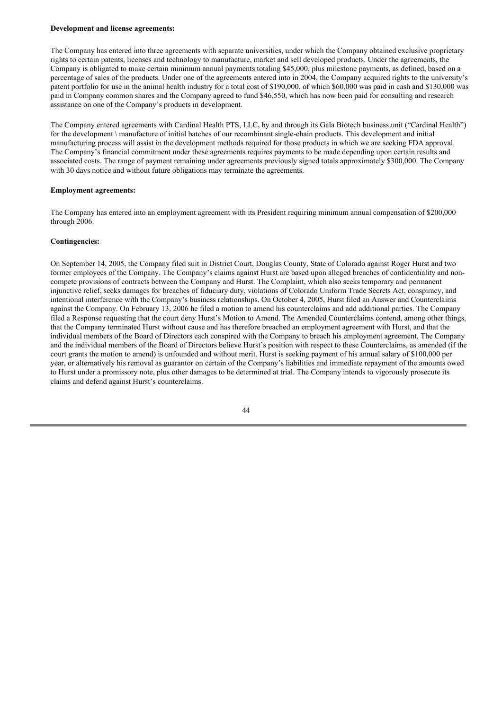#### **Development and license agreements:**

The Company has entered into three agreements with separate universities, under which the Company obtained exclusive proprietary rights to certain patents, licenses and technology to manufacture, market and sell developed products. Under the agreements, the Company is obligated to make certain minimum annual payments totaling \$45,000, plus milestone payments, as defined, based on a percentage of sales of the products. Under one of the agreements entered into in 2004, the Company acquired rights to the university's patent portfolio for use in the animal health industry for a total cost of \$190,000, of which \$60,000 was paid in cash and \$130,000 was paid in Company common shares and the Company agreed to fund \$46,550, which has now been paid for consulting and research assistance on one of the Company's products in development.

The Company entered agreements with Cardinal Health PTS, LLC, by and through its Gala Biotech business unit ("Cardinal Health") for the development \ manufacture of initial batches of our recombinant single-chain products. This development and initial manufacturing process will assist in the development methods required for those products in which we are seeking FDA approval. The Company's financial commitment under these agreements requires payments to be made depending upon certain results and associated costs. The range of payment remaining under agreements previously signed totals approximately \$300,000. The Company with 30 days notice and without future obligations may terminate the agreements.

#### **Employment agreements:**

The Company has entered into an employment agreement with its President requiring minimum annual compensation of \$200,000 through 2006.

#### **Contingencies:**

On September 14, 2005, the Company filed suit in District Court, Douglas County, State of Colorado against Roger Hurst and two former employees of the Company. The Company's claims against Hurst are based upon alleged breaches of confidentiality and noncompete provisions of contracts between the Company and Hurst. The Complaint, which also seeks temporary and permanent injunctive relief, seeks damages for breaches of fiduciary duty, violations of Colorado Uniform Trade Secrets Act, conspiracy, and intentional interference with the Company's business relationships. On October 4, 2005, Hurst filed an Answer and Counterclaims against the Company. On February 13, 2006 he filed a motion to amend his counterclaims and add additional parties. The Company filed a Response requesting that the court deny Hurst's Motion to Amend. The Amended Counterclaims contend, among other things, that the Company terminated Hurst without cause and has therefore breached an employment agreement with Hurst, and that the individual members of the Board of Directors each conspired with the Company to breach his employment agreement. The Company and the individual members of the Board of Directors believe Hurst's position with respect to these Counterclaims, as amended (if the court grants the motion to amend) is unfounded and without merit. Hurst is seeking payment of his annual salary of \$100,000 per year, or alternatively his removal as guarantor on certain of the Company's liabilities and immediate repayment of the amounts owed to Hurst under a promissory note, plus other damages to be determined at trial. The Company intends to vigorously prosecute its claims and defend against Hurst's counterclaims.

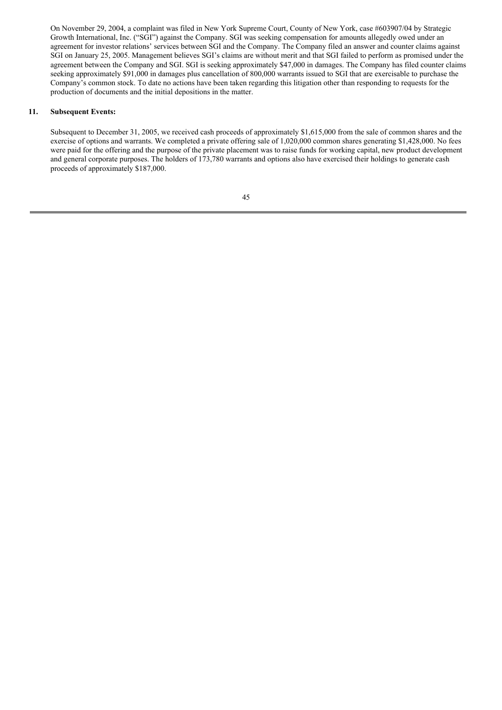On November 29, 2004, a complaint was filed in New York Supreme Court, County of New York, case #603907/04 by Strategic Growth International, Inc. ("SGI") against the Company. SGI was seeking compensation for amounts allegedly owed under an agreement for investor relations' services between SGI and the Company. The Company filed an answer and counter claims against SGI on January 25, 2005. Management believes SGI's claims are without merit and that SGI failed to perform as promised under the agreement between the Company and SGI. SGI is seeking approximately \$47,000 in damages. The Company has filed counter claims seeking approximately \$91,000 in damages plus cancellation of 800,000 warrants issued to SGI that are exercisable to purchase the Company's common stock. To date no actions have been taken regarding this litigation other than responding to requests for the production of documents and the initial depositions in the matter.

### **11. Subsequent Events:**

Subsequent to December 31, 2005, we received cash proceeds of approximately \$1,615,000 from the sale of common shares and the exercise of options and warrants. We completed a private offering sale of 1,020,000 common shares generating \$1,428,000. No fees were paid for the offering and the purpose of the private placement was to raise funds for working capital, new product development and general corporate purposes. The holders of 173,780 warrants and options also have exercised their holdings to generate cash proceeds of approximately \$187,000.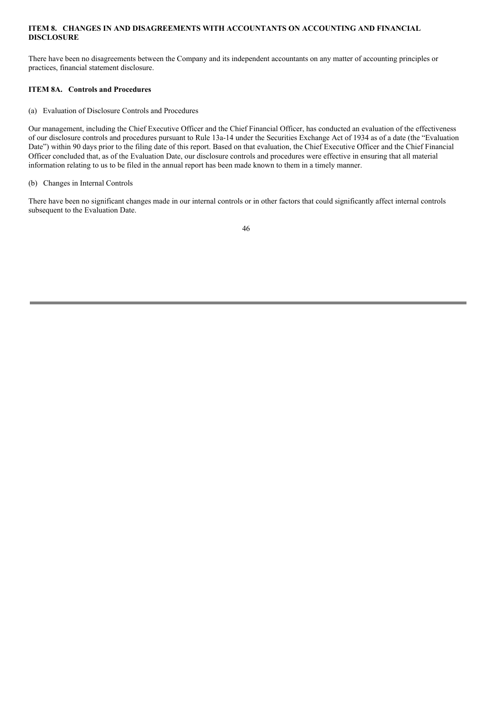## **ITEM 8. CHANGES IN AND DISAGREEMENTS WITH ACCOUNTANTS ON ACCOUNTING AND FINANCIAL DISCLOSURE**

There have been no disagreements between the Company and its independent accountants on any matter of accounting principles or practices, financial statement disclosure.

## **ITEM 8A. Controls and Procedures**

(a) Evaluation of Disclosure Controls and Procedures

Our management, including the Chief Executive Officer and the Chief Financial Officer, has conducted an evaluation of the effectiveness of our disclosure controls and procedures pursuant to Rule 13a-14 under the Securities Exchange Act of 1934 as of a date (the "Evaluation Date") within 90 days prior to the filing date of this report. Based on that evaluation, the Chief Executive Officer and the Chief Financial Officer concluded that, as of the Evaluation Date, our disclosure controls and procedures were effective in ensuring that all material information relating to us to be filed in the annual report has been made known to them in a timely manner.

## (b) Changes in Internal Controls

There have been no significant changes made in our internal controls or in other factors that could significantly affect internal controls subsequent to the Evaluation Date.

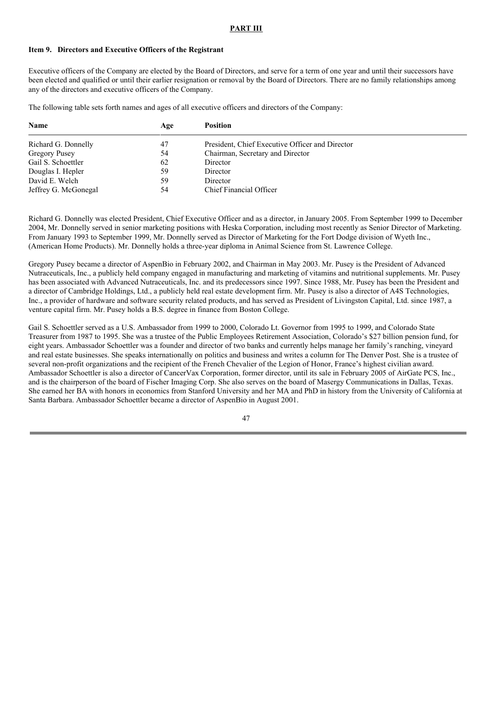#### **PART III**

### **Item 9. Directors and Executive Officers of the Registrant**

Executive officers of the Company are elected by the Board of Directors, and serve for a term of one year and until their successors have been elected and qualified or until their earlier resignation or removal by the Board of Directors. There are no family relationships among any of the directors and executive officers of the Company.

The following table sets forth names and ages of all executive officers and directors of the Company:

| Name                 | Age | <b>Position</b>                                 |
|----------------------|-----|-------------------------------------------------|
| Richard G. Donnelly  | 47  | President, Chief Executive Officer and Director |
| Gregory Pusey        | 54  | Chairman, Secretary and Director                |
| Gail S. Schoettler   | 62  | Director                                        |
| Douglas I. Hepler    | 59  | Director                                        |
| David E. Welch       | 59  | Director                                        |
| Jeffrey G. McGonegal | 54  | Chief Financial Officer                         |

Richard G. Donnelly was elected President, Chief Executive Officer and as a director, in January 2005. From September 1999 to December 2004, Mr. Donnelly served in senior marketing positions with Heska Corporation, including most recently as Senior Director of Marketing. From January 1993 to September 1999, Mr. Donnelly served as Director of Marketing for the Fort Dodge division of Wyeth Inc., (American Home Products). Mr. Donnelly holds a three-year diploma in Animal Science from St. Lawrence College.

Gregory Pusey became a director of AspenBio in February 2002, and Chairman in May 2003. Mr. Pusey is the President of Advanced Nutraceuticals, Inc., a publicly held company engaged in manufacturing and marketing of vitamins and nutritional supplements. Mr. Pusey has been associated with Advanced Nutraceuticals, Inc. and its predecessors since 1997. Since 1988, Mr. Pusey has been the President and a director of Cambridge Holdings, Ltd., a publicly held real estate development firm. Mr. Pusey is also a director of A4S Technologies, Inc., a provider of hardware and software security related products, and has served as President of Livingston Capital, Ltd. since 1987, a venture capital firm. Mr. Pusey holds a B.S. degree in finance from Boston College.

Gail S. Schoettler served as a U.S. Ambassador from 1999 to 2000, Colorado Lt. Governor from 1995 to 1999, and Colorado State Treasurer from 1987 to 1995. She was a trustee of the Public Employees Retirement Association, Colorado's \$27 billion pension fund, for eight years. Ambassador Schoettler was a founder and director of two banks and currently helps manage her family's ranching, vineyard and real estate businesses. She speaks internationally on politics and business and writes a column for The Denver Post. She is a trustee of several non-profit organizations and the recipient of the French Chevalier of the Legion of Honor, France's highest civilian award. Ambassador Schoettler is also a director of CancerVax Corporation, former director, until its sale in February 2005 of AirGate PCS, Inc., and is the chairperson of the board of Fischer Imaging Corp. She also serves on the board of Masergy Communications in Dallas, Texas. She earned her BA with honors in economics from Stanford University and her MA and PhD in history from the University of California at Santa Barbara. Ambassador Schoettler became a director of AspenBio in August 2001.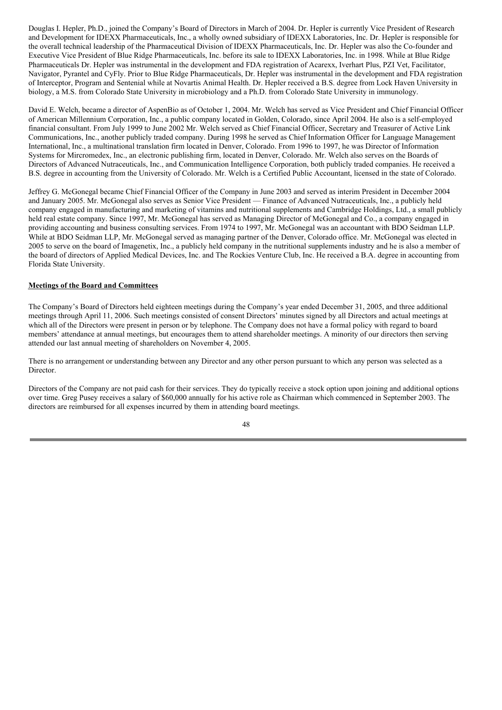Douglas I. Hepler, Ph.D., joined the Company's Board of Directors in March of 2004. Dr. Hepler is currently Vice President of Research and Development for IDEXX Pharmaceuticals, Inc., a wholly owned subsidiary of IDEXX Laboratories, Inc. Dr. Hepler is responsible for the overall technical leadership of the Pharmaceutical Division of IDEXX Pharmaceuticals, Inc. Dr. Hepler was also the Co-founder and Executive Vice President of Blue Ridge Pharmaceuticals, Inc. before its sale to IDEXX Laboratories, Inc. in 1998. While at Blue Ridge Pharmaceuticals Dr. Hepler was instrumental in the development and FDA registration of Acarexx, Iverhart Plus, PZI Vet, Facilitator, Navigator, Pyrantel and CyFly. Prior to Blue Ridge Pharmaceuticals, Dr. Hepler was instrumental in the development and FDA registration of Interceptor, Program and Sentenial while at Novartis Animal Health. Dr. Hepler received a B.S. degree from Lock Haven University in biology, a M.S. from Colorado State University in microbiology and a Ph.D. from Colorado State University in immunology.

David E. Welch, became a director of AspenBio as of October 1, 2004. Mr. Welch has served as Vice President and Chief Financial Officer of American Millennium Corporation, Inc., a public company located in Golden, Colorado, since April 2004. He also is a self-employed financial consultant. From July 1999 to June 2002 Mr. Welch served as Chief Financial Officer, Secretary and Treasurer of Active Link Communications, Inc., another publicly traded company. During 1998 he served as Chief Information Officer for Language Management International, Inc., a multinational translation firm located in Denver, Colorado. From 1996 to 1997, he was Director of Information Systems for Mircromedex, Inc., an electronic publishing firm, located in Denver, Colorado. Mr. Welch also serves on the Boards of Directors of Advanced Nutraceuticals, Inc., and Communication Intelligence Corporation, both publicly traded companies. He received a B.S. degree in accounting from the University of Colorado. Mr. Welch is a Certified Public Accountant, licensed in the state of Colorado.

Jeffrey G. McGonegal became Chief Financial Officer of the Company in June 2003 and served as interim President in December 2004 and January 2005. Mr. McGonegal also serves as Senior Vice President — Finance of Advanced Nutraceuticals, Inc., a publicly held company engaged in manufacturing and marketing of vitamins and nutritional supplements and Cambridge Holdings, Ltd., a small publicly held real estate company. Since 1997, Mr. McGonegal has served as Managing Director of McGonegal and Co., a company engaged in providing accounting and business consulting services. From 1974 to 1997, Mr. McGonegal was an accountant with BDO Seidman LLP. While at BDO Seidman LLP, Mr. McGonegal served as managing partner of the Denver, Colorado office. Mr. McGonegal was elected in 2005 to serve on the board of Imagenetix, Inc., a publicly held company in the nutritional supplements industry and he is also a member of the board of directors of Applied Medical Devices, Inc. and The Rockies Venture Club, Inc. He received a B.A. degree in accounting from Florida State University.

### **Meetings of the Board and Committees**

The Company's Board of Directors held eighteen meetings during the Company's year ended December 31, 2005, and three additional meetings through April 11, 2006. Such meetings consisted of consent Directors' minutes signed by all Directors and actual meetings at which all of the Directors were present in person or by telephone. The Company does not have a formal policy with regard to board members' attendance at annual meetings, but encourages them to attend shareholder meetings. A minority of our directors then serving attended our last annual meeting of shareholders on November 4, 2005.

There is no arrangement or understanding between any Director and any other person pursuant to which any person was selected as a Director.

Directors of the Company are not paid cash for their services. They do typically receive a stock option upon joining and additional options over time. Greg Pusey receives a salary of \$60,000 annually for his active role as Chairman which commenced in September 2003. The directors are reimbursed for all expenses incurred by them in attending board meetings.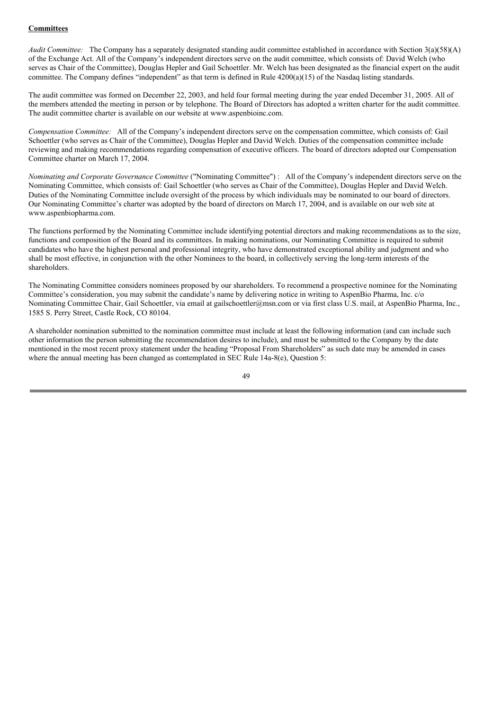## **Committees**

*Audit Committee:* The Company has a separately designated standing audit committee established in accordance with Section 3(a)(58)(A) of the Exchange Act. All of the Company's independent directors serve on the audit committee, which consists of: David Welch (who serves as Chair of the Committee), Douglas Hepler and Gail Schoettler. Mr. Welch has been designated as the financial expert on the audit committee. The Company defines "independent" as that term is defined in Rule  $4200(a)(15)$  of the Nasdaq listing standards.

The audit committee was formed on December 22, 2003, and held four formal meeting during the year ended December 31, 2005. All of the members attended the meeting in person or by telephone. The Board of Directors has adopted a written charter for the audit committee. The audit committee charter is available on our website at www.aspenbioinc.com.

*Compensation Committee:* All of the Company's independent directors serve on the compensation committee, which consists of: Gail Schoettler (who serves as Chair of the Committee), Douglas Hepler and David Welch. Duties of the compensation committee include reviewing and making recommendations regarding compensation of executive officers. The board of directors adopted our Compensation Committee charter on March 17, 2004.

*Nominating and Corporate Governance Committee* ("Nominating Committee") : All of the Company's independent directors serve on the Nominating Committee, which consists of: Gail Schoettler (who serves as Chair of the Committee), Douglas Hepler and David Welch. Duties of the Nominating Committee include oversight of the process by which individuals may be nominated to our board of directors. Our Nominating Committee's charter was adopted by the board of directors on March 17, 2004, and is available on our web site at www.aspenbiopharma.com.

The functions performed by the Nominating Committee include identifying potential directors and making recommendations as to the size, functions and composition of the Board and its committees. In making nominations, our Nominating Committee is required to submit candidates who have the highest personal and professional integrity, who have demonstrated exceptional ability and judgment and who shall be most effective, in conjunction with the other Nominees to the board, in collectively serving the long-term interests of the shareholders.

The Nominating Committee considers nominees proposed by our shareholders. To recommend a prospective nominee for the Nominating Committee's consideration, you may submit the candidate's name by delivering notice in writing to AspenBio Pharma, Inc. c/o Nominating Committee Chair, Gail Schoettler, via email at gailschoettler@msn.com or via first class U.S. mail, at AspenBio Pharma, Inc., 1585 S. Perry Street, Castle Rock, CO 80104.

A shareholder nomination submitted to the nomination committee must include at least the following information (and can include such other information the person submitting the recommendation desires to include), and must be submitted to the Company by the date mentioned in the most recent proxy statement under the heading "Proposal From Shareholders" as such date may be amended in cases where the annual meeting has been changed as contemplated in SEC Rule 14a-8(e), Ouestion 5: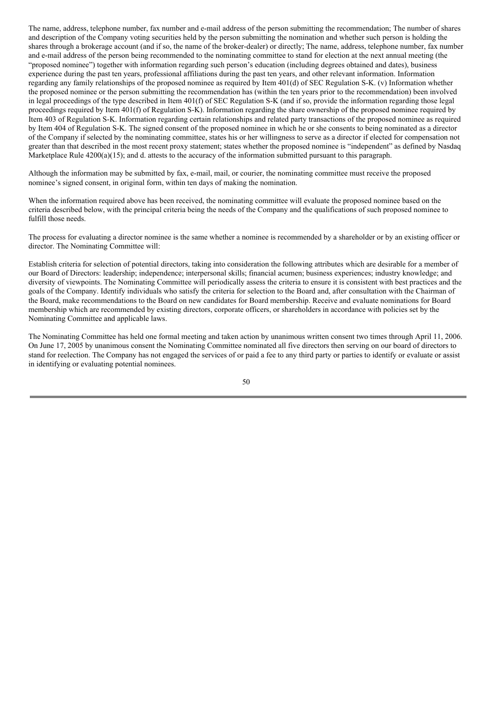The name, address, telephone number, fax number and e-mail address of the person submitting the recommendation; The number of shares and description of the Company voting securities held by the person submitting the nomination and whether such person is holding the shares through a brokerage account (and if so, the name of the broker-dealer) or directly; The name, address, telephone number, fax number and e-mail address of the person being recommended to the nominating committee to stand for election at the next annual meeting (the "proposed nominee") together with information regarding such person's education (including degrees obtained and dates), business experience during the past ten years, professional affiliations during the past ten years, and other relevant information. Information regarding any family relationships of the proposed nominee as required by Item 401(d) of SEC Regulation S-K. (v) Information whether the proposed nominee or the person submitting the recommendation has (within the ten years prior to the recommendation) been involved in legal proceedings of the type described in Item 401(f) of SEC Regulation S-K (and if so, provide the information regarding those legal proceedings required by Item 401(f) of Regulation S-K). Information regarding the share ownership of the proposed nominee required by Item 403 of Regulation S-K. Information regarding certain relationships and related party transactions of the proposed nominee as required by Item 404 of Regulation S-K. The signed consent of the proposed nominee in which he or she consents to being nominated as a director of the Company if selected by the nominating committee, states his or her willingness to serve as a director if elected for compensation not greater than that described in the most recent proxy statement; states whether the proposed nominee is "independent" as defined by Nasdaq Marketplace Rule 4200(a)(15); and d. attests to the accuracy of the information submitted pursuant to this paragraph.

Although the information may be submitted by fax, e-mail, mail, or courier, the nominating committee must receive the proposed nominee's signed consent, in original form, within ten days of making the nomination.

When the information required above has been received, the nominating committee will evaluate the proposed nominee based on the criteria described below, with the principal criteria being the needs of the Company and the qualifications of such proposed nominee to fulfill those needs.

The process for evaluating a director nominee is the same whether a nominee is recommended by a shareholder or by an existing officer or director. The Nominating Committee will:

Establish criteria for selection of potential directors, taking into consideration the following attributes which are desirable for a member of our Board of Directors: leadership; independence; interpersonal skills; financial acumen; business experiences; industry knowledge; and diversity of viewpoints. The Nominating Committee will periodically assess the criteria to ensure it is consistent with best practices and the goals of the Company. Identify individuals who satisfy the criteria for selection to the Board and, after consultation with the Chairman of the Board, make recommendations to the Board on new candidates for Board membership. Receive and evaluate nominations for Board membership which are recommended by existing directors, corporate officers, or shareholders in accordance with policies set by the Nominating Committee and applicable laws.

The Nominating Committee has held one formal meeting and taken action by unanimous written consent two times through April 11, 2006. On June 17, 2005 by unanimous consent the Nominating Committee nominated all five directors then serving on our board of directors to stand for reelection. The Company has not engaged the services of or paid a fee to any third party or parties to identify or evaluate or assist in identifying or evaluating potential nominees.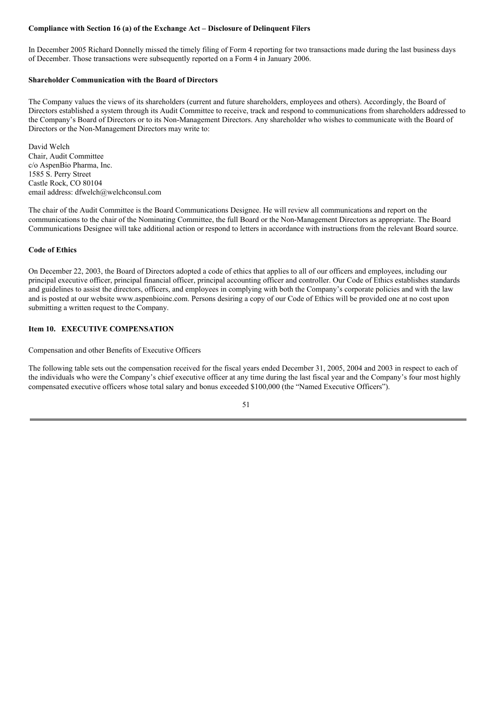### **Compliance with Section 16 (a) of the Exchange Act – Disclosure of Delinquent Filers**

In December 2005 Richard Donnelly missed the timely filing of Form 4 reporting for two transactions made during the last business days of December. Those transactions were subsequently reported on a Form 4 in January 2006.

### **Shareholder Communication with the Board of Directors**

The Company values the views of its shareholders (current and future shareholders, employees and others). Accordingly, the Board of Directors established a system through its Audit Committee to receive, track and respond to communications from shareholders addressed to the Company's Board of Directors or to its Non-Management Directors. Any shareholder who wishes to communicate with the Board of Directors or the Non-Management Directors may write to:

David Welch Chair, Audit Committee c/o AspenBio Pharma, Inc. 1585 S. Perry Street Castle Rock, CO 80104 email address: dfwelch@welchconsul.com

The chair of the Audit Committee is the Board Communications Designee. He will review all communications and report on the communications to the chair of the Nominating Committee, the full Board or the Non-Management Directors as appropriate. The Board Communications Designee will take additional action or respond to letters in accordance with instructions from the relevant Board source.

### **Code of Ethics**

On December 22, 2003, the Board of Directors adopted a code of ethics that applies to all of our officers and employees, including our principal executive officer, principal financial officer, principal accounting officer and controller. Our Code of Ethics establishes standards and guidelines to assist the directors, officers, and employees in complying with both the Company's corporate policies and with the law and is posted at our website www.aspenbioinc.com. Persons desiring a copy of our Code of Ethics will be provided one at no cost upon submitting a written request to the Company.

### **Item 10. EXECUTIVE COMPENSATION**

Compensation and other Benefits of Executive Officers

The following table sets out the compensation received for the fiscal years ended December 31, 2005, 2004 and 2003 in respect to each of the individuals who were the Company's chief executive officer at any time during the last fiscal year and the Company's four most highly compensated executive officers whose total salary and bonus exceeded \$100,000 (the "Named Executive Officers").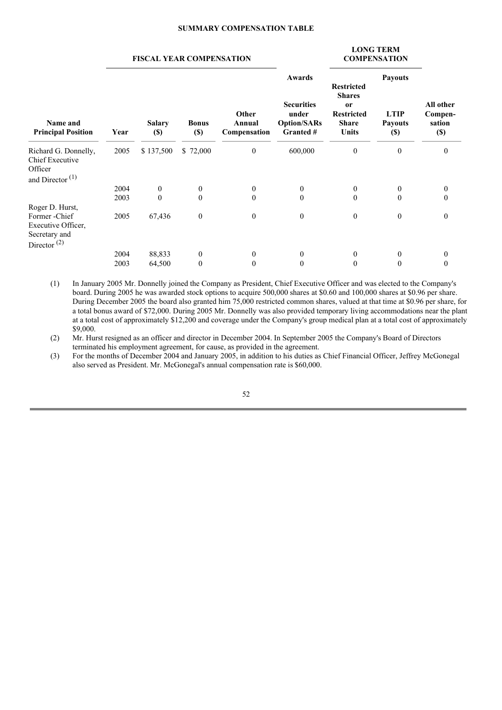#### **SUMMARY COMPENSATION TABLE**

#### **FISCAL YEAR COMPENSATION**

#### **LONG TERM COMPENSATION**

| Name and<br><b>Principal Position</b>   | Year | <b>Salary</b><br>$(\$)$ | <b>Bonus</b><br>$(\$)$ | Other<br>Annual<br>Compensation | Awards<br><b>Securities</b><br>under<br><b>Option/SARs</b><br>Granted # | <b>Restricted</b><br><b>Shares</b><br><b>or</b><br><b>Restricted</b><br><b>Share</b><br>Units | <b>Payouts</b><br><b>LTIP</b><br><b>Payouts</b><br>$(\$)$ | All other<br>Compen-<br>sation<br>$(\$)$ |  |
|-----------------------------------------|------|-------------------------|------------------------|---------------------------------|-------------------------------------------------------------------------|-----------------------------------------------------------------------------------------------|-----------------------------------------------------------|------------------------------------------|--|
| Richard G. Donnelly,<br>Chief Executive | 2005 | \$137,500               | \$72,000               | $\mathbf{0}$                    | 600,000                                                                 | $\boldsymbol{0}$                                                                              | $\bf{0}$                                                  | $\boldsymbol{0}$                         |  |
| Officer<br>and Director <sup>(1)</sup>  |      |                         |                        |                                 |                                                                         |                                                                                               |                                                           |                                          |  |
|                                         | 2004 | $\mathbf{0}$            | $\mathbf{0}$           | $\mathbf{0}$                    | $\mathbf{0}$                                                            | $\mathbf{0}$                                                                                  | $\mathbf{0}$                                              | $\mathbf{0}$                             |  |
|                                         | 2003 | $\mathbf{0}$            | $\theta$               | $\theta$                        | $\theta$                                                                | $\mathbf{0}$                                                                                  | $\mathbf{0}$                                              | $\theta$                                 |  |
| Roger D. Hurst,                         |      |                         |                        |                                 |                                                                         |                                                                                               |                                                           |                                          |  |
| Former - Chief                          | 2005 | 67,436                  | $\boldsymbol{0}$       | $\mathbf{0}$                    | $\mathbf{0}$                                                            | $\boldsymbol{0}$                                                                              | $\boldsymbol{0}$                                          | $\mathbf{0}$                             |  |
| Executive Officer,                      |      |                         |                        |                                 |                                                                         |                                                                                               |                                                           |                                          |  |
| Secretary and                           |      |                         |                        |                                 |                                                                         |                                                                                               |                                                           |                                          |  |
| Director $^{(2)}$                       |      |                         |                        |                                 |                                                                         |                                                                                               |                                                           |                                          |  |
|                                         | 2004 | 88,833                  | $\mathbf{0}$           | $\theta$                        | $\theta$                                                                | $\theta$                                                                                      | 0                                                         | 0                                        |  |
|                                         | 2003 | 64,500                  | $\mathbf{0}$           | $\Omega$                        | $\theta$                                                                | $\theta$                                                                                      | 0                                                         | $\mathbf{0}$                             |  |

(1) In January 2005 Mr. Donnelly joined the Company as President, Chief Executive Officer and was elected to the Company's board. During 2005 he was awarded stock options to acquire 500,000 shares at \$0.60 and 100,000 shares at \$0.96 per share. During December 2005 the board also granted him 75,000 restricted common shares, valued at that time at \$0.96 per share, for a total bonus award of \$72,000. During 2005 Mr. Donnelly was also provided temporary living accommodations near the plant at a total cost of approximately \$12,200 and coverage under the Company's group medical plan at a total cost of approximately \$9,000.

(2) Mr. Hurst resigned as an officer and director in December 2004. In September 2005 the Company's Board of Directors terminated his employment agreement, for cause, as provided in the agreement.

(3) For the months of December 2004 and January 2005, in addition to his duties as Chief Financial Officer, Jeffrey McGonegal also served as President. Mr. McGonegal's annual compensation rate is \$60,000.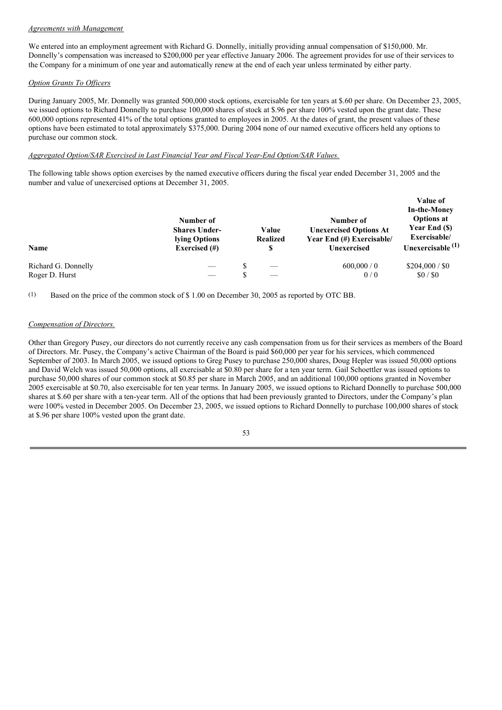#### *Agreements with Management*

We entered into an employment agreement with Richard G. Donnelly, initially providing annual compensation of \$150,000. Mr. Donnelly's compensation was increased to \$200,000 per year effective January 2006. The agreement provides for use of their services to the Company for a minimum of one year and automatically renew at the end of each year unless terminated by either party.

## *Option Grants To Of icers*

During January 2005, Mr. Donnelly was granted 500,000 stock options, exercisable for ten years at \$.60 per share. On December 23, 2005, we issued options to Richard Donnelly to purchase 100,000 shares of stock at \$.96 per share 100% vested upon the grant date. These 600,000 options represented 41% of the total options granted to employees in 2005. At the dates of grant, the present values of these options have been estimated to total approximately \$375,000. During 2004 none of our named executive officers held any options to purchase our common stock.

### *Aggregated Option/SAR Exercised in Last Financial Year and Fiscal Year-End Option/SAR Values.*

The following table shows option exercises by the named executive officers during the fiscal year ended December 31, 2005 and the number and value of unexercised options at December 31, 2005.

| Name                | Number of<br><b>Shares Under-</b><br>lying Options<br>Exercised $(\#)$ | Value<br><b>Realized</b><br>S | Number of<br><b>Unexercised Options At</b><br>Year End (#) Exercisable/<br>Unexercised | Value of<br><b>In-the-Money</b><br><b>Options at</b><br>Year End (\$)<br>Exercisable/<br>Unexercisable <sup>(1)</sup> |
|---------------------|------------------------------------------------------------------------|-------------------------------|----------------------------------------------------------------------------------------|-----------------------------------------------------------------------------------------------------------------------|
| Richard G. Donnelly |                                                                        |                               | 600,000/0                                                                              | \$204,000 / \$0                                                                                                       |
| Roger D. Hurst      |                                                                        |                               | 0/0                                                                                    | \$0/\$0                                                                                                               |

(1) Based on the price of the common stock of \$ 1.00 on December 30, 2005 as reported by OTC BB.

#### *Compensation of Directors.*

Other than Gregory Pusey, our directors do not currently receive any cash compensation from us for their services as members of the Board of Directors. Mr. Pusey, the Company's active Chairman of the Board is paid \$60,000 per year for his services, which commenced September of 2003. In March 2005, we issued options to Greg Pusey to purchase 250,000 shares, Doug Hepler was issued 50,000 options and David Welch was issued 50,000 options, all exercisable at \$0.80 per share for a ten year term. Gail Schoettler was issued options to purchase 50,000 shares of our common stock at \$0.85 per share in March 2005, and an additional 100,000 options granted in November 2005 exercisable at \$0.70, also exercisable for ten year terms. In January 2005, we issued options to Richard Donnelly to purchase 500,000 shares at \$.60 per share with a ten-year term. All of the options that had been previously granted to Directors, under the Company's plan were 100% vested in December 2005. On December 23, 2005, we issued options to Richard Donnelly to purchase 100,000 shares of stock at \$.96 per share 100% vested upon the grant date.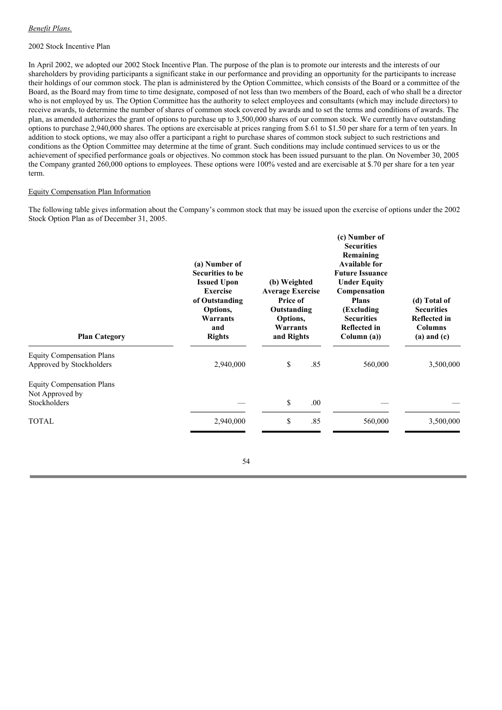### *Benefit Plans.*

### 2002 Stock Incentive Plan

In April 2002, we adopted our 2002 Stock Incentive Plan. The purpose of the plan is to promote our interests and the interests of our shareholders by providing participants a significant stake in our performance and providing an opportunity for the participants to increase their holdings of our common stock. The plan is administered by the Option Committee, which consists of the Board or a committee of the Board, as the Board may from time to time designate, composed of not less than two members of the Board, each of who shall be a director who is not employed by us. The Option Committee has the authority to select employees and consultants (which may include directors) to receive awards, to determine the number of shares of common stock covered by awards and to set the terms and conditions of awards. The plan, as amended authorizes the grant of options to purchase up to 3,500,000 shares of our common stock. We currently have outstanding options to purchase 2,940,000 shares. The options are exercisable at prices ranging from \$.61 to \$1.50 per share for a term of ten years. In addition to stock options, we may also offer a participant a right to purchase shares of common stock subject to such restrictions and conditions as the Option Committee may determine at the time of grant. Such conditions may include continued services to us or the achievement of specified performance goals or objectives. No common stock has been issued pursuant to the plan. On November 30, 2005 the Company granted 260,000 options to employees. These options were 100% vested and are exercisable at \$.70 per share for a ten year term.

## Equity Compensation Plan Information

The following table gives information about the Company's common stock that may be issued upon the exercise of options under the 2002 Stock Option Plan as of December 31, 2005.

| <b>Plan Category</b>                                                | (a) Number of<br><b>Securities to be</b><br><b>Issued Upon</b><br><b>Exercise</b><br>of Outstanding<br>Options,<br>Warrants<br>and<br><b>Rights</b> | (b) Weighted<br><b>Average Exercise</b><br><b>Price of</b><br>Outstanding<br>Options,<br>Warrants<br>and Rights |      | (c) Number of<br><b>Securities</b><br>Remaining<br><b>Available for</b><br><b>Future Issuance</b><br><b>Under Equity</b><br>Compensation<br><b>Plans</b><br>(Excluding)<br><b>Securities</b><br><b>Reflected in</b><br>Column (a)) | (d) Total of<br><b>Securities</b><br><b>Reflected in</b><br><b>Columns</b><br>$(a)$ and $(c)$ |  |
|---------------------------------------------------------------------|-----------------------------------------------------------------------------------------------------------------------------------------------------|-----------------------------------------------------------------------------------------------------------------|------|------------------------------------------------------------------------------------------------------------------------------------------------------------------------------------------------------------------------------------|-----------------------------------------------------------------------------------------------|--|
| <b>Equity Compensation Plans</b><br>Approved by Stockholders        | 2,940,000                                                                                                                                           | \$                                                                                                              | .85  | 560,000                                                                                                                                                                                                                            | 3,500,000                                                                                     |  |
| <b>Equity Compensation Plans</b><br>Not Approved by<br>Stockholders |                                                                                                                                                     | \$                                                                                                              | .00. |                                                                                                                                                                                                                                    |                                                                                               |  |
| <b>TOTAL</b>                                                        | 2,940,000                                                                                                                                           | \$                                                                                                              | .85  | 560,000                                                                                                                                                                                                                            | 3,500,000                                                                                     |  |
|                                                                     |                                                                                                                                                     |                                                                                                                 |      |                                                                                                                                                                                                                                    |                                                                                               |  |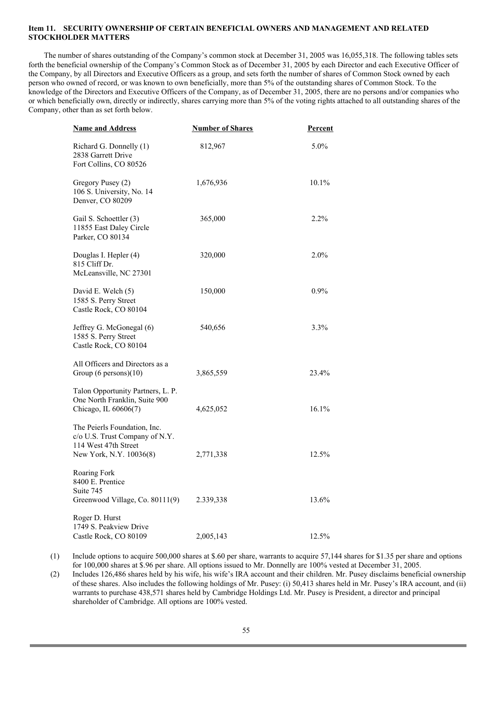## **Item 11. SECURITY OWNERSHIP OF CERTAIN BENEFICIAL OWNERS AND MANAGEMENT AND RELATED STOCKHOLDER MATTERS**

The number of shares outstanding of the Company's common stock at December 31, 2005 was 16,055,318. The following tables sets forth the beneficial ownership of the Company's Common Stock as of December 31, 2005 by each Director and each Executive Officer of the Company, by all Directors and Executive Officers as a group, and sets forth the number of shares of Common Stock owned by each person who owned of record, or was known to own beneficially, more than 5% of the outstanding shares of Common Stock. To the knowledge of the Directors and Executive Officers of the Company, as of December 31, 2005, there are no persons and/or companies who or which beneficially own, directly or indirectly, shares carrying more than 5% of the voting rights attached to all outstanding shares of the Company, other than as set forth below.

| <b>Name and Address</b>                                                                                           | <b>Number of Shares</b> | <b>Percent</b> |
|-------------------------------------------------------------------------------------------------------------------|-------------------------|----------------|
| Richard G. Donnelly (1)<br>2838 Garrett Drive<br>Fort Collins, CO 80526                                           | 812,967                 | $5.0\%$        |
| Gregory Pusey (2)<br>106 S. University, No. 14<br>Denver, CO 80209                                                | 1,676,936               | $10.1\%$       |
| Gail S. Schoettler (3)<br>11855 East Daley Circle<br>Parker, CO 80134                                             | 365,000                 | $2.2\%$        |
| Douglas I. Hepler (4)<br>815 Cliff Dr.<br>McLeansville, NC 27301                                                  | 320,000                 | $2.0\%$        |
| David E. Welch (5)<br>1585 S. Perry Street<br>Castle Rock, CO 80104                                               | 150,000                 | $0.9\%$        |
| Jeffrey G. McGonegal (6)<br>1585 S. Perry Street<br>Castle Rock, CO 80104                                         | 540,656                 | 3.3%           |
| All Officers and Directors as a<br>Group (6 persons)(10)                                                          | 3,865,559               | 23.4%          |
| Talon Opportunity Partners, L. P.<br>One North Franklin, Suite 900<br>Chicago, IL 60606(7)                        | 4,625,052               | 16.1%          |
| The Peierls Foundation, Inc.<br>c/o U.S. Trust Company of N.Y.<br>114 West 47th Street<br>New York, N.Y. 10036(8) | 2,771,338               | 12.5%          |
| Roaring Fork<br>8400 E. Prentice<br>Suite 745<br>Greenwood Village, Co. 80111(9)                                  | 2.339,338               | 13.6%          |
| Roger D. Hurst<br>1749 S. Peakview Drive<br>Castle Rock, CO 80109                                                 | 2,005,143               | 12.5%          |

(1) Include options to acquire 500,000 shares at \$.60 per share, warrants to acquire 57,144 shares for \$1.35 per share and options for 100,000 shares at \$.96 per share. All options issued to Mr. Donnelly are 100% vested at December 31, 2005.

(2) Includes 126,486 shares held by his wife, his wife's IRA account and their children. Mr. Pusey disclaims beneficial ownership of these shares. Also includes the following holdings of Mr. Pusey: (i) 50,413 shares held in Mr. Pusey's IRA account, and (ii) warrants to purchase 438,571 shares held by Cambridge Holdings Ltd. Mr. Pusey is President, a director and principal shareholder of Cambridge. All options are 100% vested.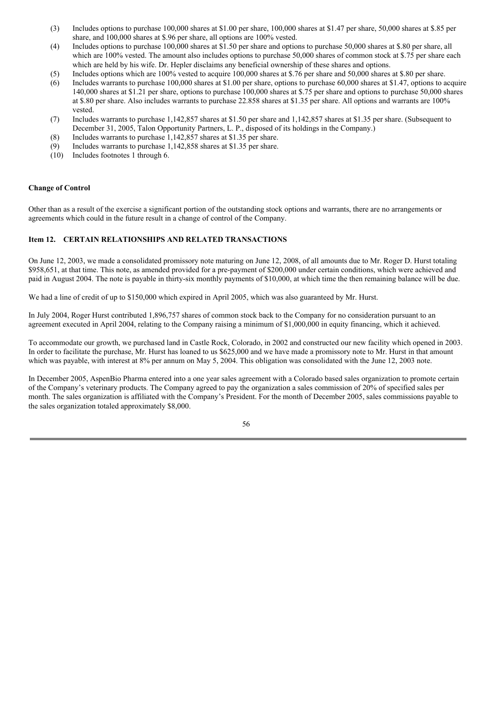- (3) Includes options to purchase 100,000 shares at \$1.00 per share, 100,000 shares at \$1.47 per share, 50,000 shares at \$.85 per share, and 100,000 shares at \$.96 per share, all options are 100% vested.
- (4) Includes options to purchase 100,000 shares at \$1.50 per share and options to purchase 50,000 shares at \$.80 per share, all which are 100% vested. The amount also includes options to purchase 50,000 shares of common stock at \$.75 per share each which are held by his wife. Dr. Hepler disclaims any beneficial ownership of these shares and options.
- (5) Includes options which are 100% vested to acquire 100,000 shares at \$.76 per share and 50,000 shares at \$.80 per share.
- (6) Includes warrants to purchase 100,000 shares at \$1.00 per share, options to purchase 60,000 shares at \$1.47, options to acquire 140,000 shares at \$1.21 per share, options to purchase 100,000 shares at \$.75 per share and options to purchase 50,000 shares at \$.80 per share. Also includes warrants to purchase 22.858 shares at \$1.35 per share. All options and warrants are 100% vested.
- (7) Includes warrants to purchase 1,142,857 shares at \$1.50 per share and 1,142,857 shares at \$1.35 per share. (Subsequent to December 31, 2005, Talon Opportunity Partners, L. P., disposed of its holdings in the Company.)
- (8) Includes warrants to purchase 1,142,857 shares at \$1.35 per share.
- (9) Includes warrants to purchase 1,142,858 shares at \$1.35 per share.
- (10) Includes footnotes 1 through 6.

#### **Change of Control**

Other than as a result of the exercise a significant portion of the outstanding stock options and warrants, there are no arrangements or agreements which could in the future result in a change of control of the Company.

### **Item 12. CERTAIN RELATIONSHIPS AND RELATED TRANSACTIONS**

On June 12, 2003, we made a consolidated promissory note maturing on June 12, 2008, of all amounts due to Mr. Roger D. Hurst totaling \$958,651, at that time. This note, as amended provided for a pre-payment of \$200,000 under certain conditions, which were achieved and paid in August 2004. The note is payable in thirty-six monthly payments of \$10,000, at which time the then remaining balance will be due.

We had a line of credit of up to \$150,000 which expired in April 2005, which was also guaranteed by Mr. Hurst.

In July 2004, Roger Hurst contributed 1,896,757 shares of common stock back to the Company for no consideration pursuant to an agreement executed in April 2004, relating to the Company raising a minimum of \$1,000,000 in equity financing, which it achieved.

To accommodate our growth, we purchased land in Castle Rock, Colorado, in 2002 and constructed our new facility which opened in 2003. In order to facilitate the purchase, Mr. Hurst has loaned to us \$625,000 and we have made a promissory note to Mr. Hurst in that amount which was payable, with interest at 8% per annum on May 5, 2004. This obligation was consolidated with the June 12, 2003 note.

In December 2005, AspenBio Pharma entered into a one year sales agreement with a Colorado based sales organization to promote certain of the Company's veterinary products. The Company agreed to pay the organization a sales commission of 20% of specified sales per month. The sales organization is affiliated with the Company's President. For the month of December 2005, sales commissions payable to the sales organization totaled approximately \$8,000.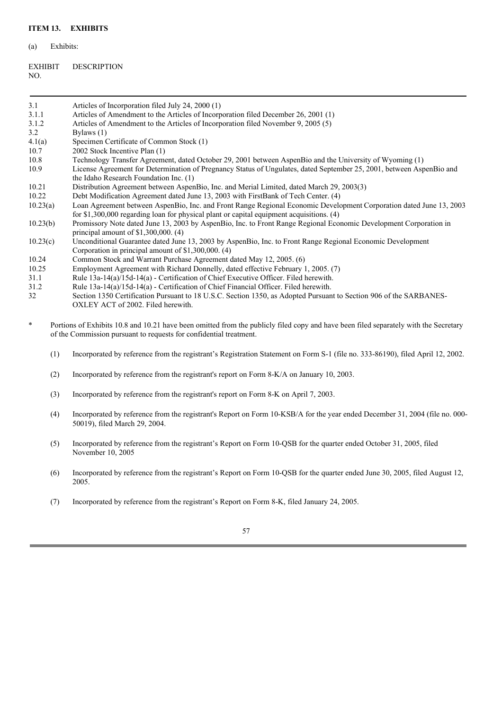(a) Exhibits:

| <b>EXHIBIT</b> | <b>DESCRIPTION</b> |
|----------------|--------------------|
| NO.            |                    |

| 3.1      | Articles of Incorporation filed July 24, 2000 (1)                                                                                                                                                               |  |  |  |  |
|----------|-----------------------------------------------------------------------------------------------------------------------------------------------------------------------------------------------------------------|--|--|--|--|
| 3.1.1    | Articles of Amendment to the Articles of Incorporation filed December 26, 2001 (1)                                                                                                                              |  |  |  |  |
| 3.1.2    | Articles of Amendment to the Articles of Incorporation filed November 9, 2005 (5)                                                                                                                               |  |  |  |  |
| 3.2      | Bylaws (1)                                                                                                                                                                                                      |  |  |  |  |
| 4.1(a)   | Specimen Certificate of Common Stock (1)                                                                                                                                                                        |  |  |  |  |
| 10.7     | 2002 Stock Incentive Plan (1)                                                                                                                                                                                   |  |  |  |  |
| 10.8     | Technology Transfer Agreement, dated October 29, 2001 between AspenBio and the University of Wyoming (1)                                                                                                        |  |  |  |  |
| 10.9     | License Agreement for Determination of Pregnancy Status of Ungulates, dated September 25, 2001, between AspenBio and<br>the Idaho Research Foundation Inc. (1)                                                  |  |  |  |  |
| 10.21    | Distribution Agreement between AspenBio, Inc. and Merial Limited, dated March 29, 2003(3)                                                                                                                       |  |  |  |  |
| 10.22    | Debt Modification Agreement dated June 13, 2003 with FirstBank of Tech Center. (4)                                                                                                                              |  |  |  |  |
| 10.23(a) | Loan Agreement between AspenBio, Inc. and Front Range Regional Economic Development Corporation dated June 13, 2003<br>for \$1,300,000 regarding loan for physical plant or capital equipment acquisitions. (4) |  |  |  |  |
| 10.23(b) | Promissory Note dated June 13, 2003 by AspenBio, Inc. to Front Range Regional Economic Development Corporation in<br>principal amount of $$1,300,000.$ (4)                                                      |  |  |  |  |
| 10.23(c) | Unconditional Guarantee dated June 13, 2003 by AspenBio, Inc. to Front Range Regional Economic Development<br>Corporation in principal amount of $$1,300,000$ . (4)                                             |  |  |  |  |
| 10.24    | Common Stock and Warrant Purchase Agreement dated May 12, 2005. (6)                                                                                                                                             |  |  |  |  |
| 10.25    | Employment Agreement with Richard Donnelly, dated effective February 1, 2005. (7)                                                                                                                               |  |  |  |  |
| 31.1     | Rule 13a-14(a)/15d-14(a) - Certification of Chief Executive Officer. Filed herewith.                                                                                                                            |  |  |  |  |
| 31.2     | Rule 13a-14(a)/15d-14(a) - Certification of Chief Financial Officer. Filed herewith.                                                                                                                            |  |  |  |  |
| 32       | Section 1350 Certification Pursuant to 18 U.S.C. Section 1350, as Adopted Pursuant to Section 906 of the SARBANES-<br>OXLEY ACT of 2002. Filed herewith.                                                        |  |  |  |  |
| $\ast$   | Portions of Exhibits 10.8 and 10.21 have been omitted from the publicly filed copy and have been filed separately with the Secretary<br>of the Commission pursuant to requests for confidential treatment.      |  |  |  |  |
| (1)      | Incorporated by reference from the registrant's Registration Statement on Form S-1 (file no. 333-86190), filed April 12, 2002.                                                                                  |  |  |  |  |
| (2)      | Incorporated by reference from the registrant's report on Form 8-K/A on January 10, 2003.                                                                                                                       |  |  |  |  |
| (3)      | Incorporated by reference from the registrant's report on Form 8-K on April 7, 2003.                                                                                                                            |  |  |  |  |
| (4)      | Incorporated by reference from the registrant's Report on Form 10-KSB/A for the year ended December 31, 2004 (file no. 000-<br>50019), filed March 29, 2004.                                                    |  |  |  |  |
| (5)      | Incorporated by reference from the registrant's Report on Form 10-QSB for the quarter ended October 31, 2005, filed<br>November 10, 2005                                                                        |  |  |  |  |

(6) Incorporated by reference from the registrant's Report on Form 10-QSB for the quarter ended June 30, 2005, filed August 12, 2005.

(7) Incorporated by reference from the registrant's Report on Form 8-K, filed January 24, 2005.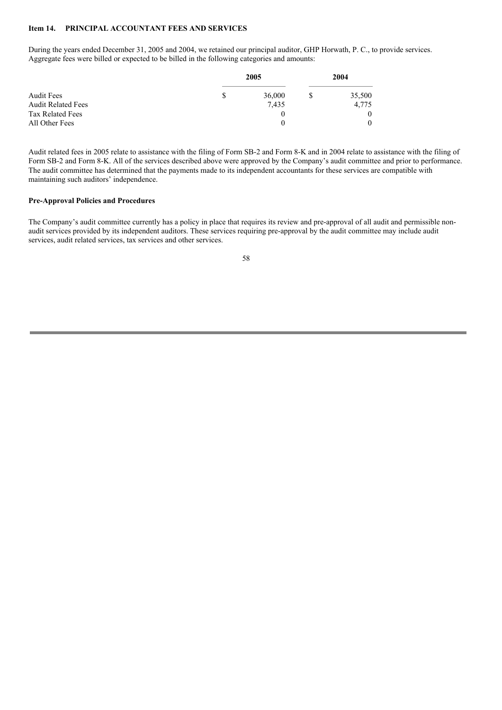### **Item 14. PRINCIPAL ACCOUNTANT FEES AND SERVICES**

During the years ended December 31, 2005 and 2004, we retained our principal auditor, GHP Horwath, P. C., to provide services. Aggregate fees were billed or expected to be billed in the following categories and amounts:

|                                                                    | 2005 |                 | 2004 |                             |
|--------------------------------------------------------------------|------|-----------------|------|-----------------------------|
| <b>Audit Fees</b><br><b>Audit Related Fees</b><br>Tax Related Fees | \$   | 36,000<br>7,435 |      | 35,500<br>4,775<br>$\theta$ |
| All Other Fees                                                     |      |                 |      | $\theta$                    |

Audit related fees in 2005 relate to assistance with the filing of Form SB-2 and Form 8-K and in 2004 relate to assistance with the filing of Form SB-2 and Form 8-K. All of the services described above were approved by the Company's audit committee and prior to performance. The audit committee has determined that the payments made to its independent accountants for these services are compatible with maintaining such auditors' independence.

#### **Pre-Approval Policies and Procedures**

The Company's audit committee currently has a policy in place that requires its review and pre-approval of all audit and permissible nonaudit services provided by its independent auditors. These services requiring pre-approval by the audit committee may include audit services, audit related services, tax services and other services.

| I                   |              |
|---------------------|--------------|
| ۰.<br>۰,<br>v<br>۰. | ۰.<br>I<br>v |
|                     |              |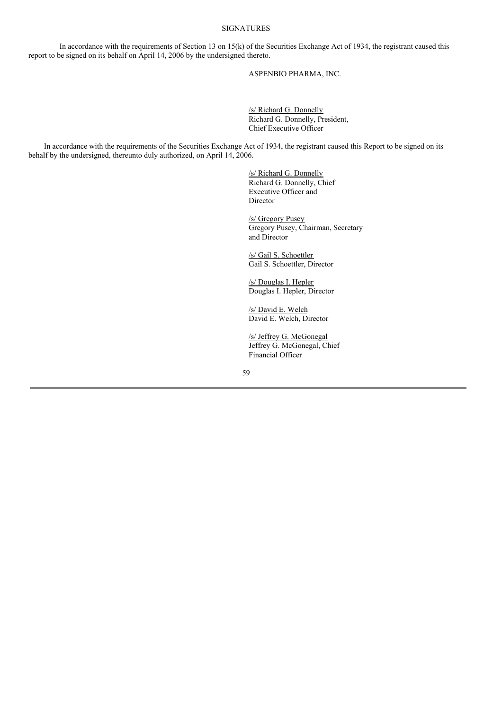### SIGNATURES

In accordance with the requirements of Section 13 on  $15(k)$  of the Securities Exchange Act of 1934, the registrant caused this report to be signed on its behalf on April 14, 2006 by the undersigned thereto.

ASPENBIO PHARMA, INC.

/s/ Richard G. Donnelly Richard G. Donnelly, President, Chief Executive Officer

In accordance with the requirements of the Securities Exchange Act of 1934, the registrant caused this Report to be signed on its behalf by the undersigned, thereunto duly authorized, on April 14, 2006.

> /s/ Richard G. Donnelly Richard G. Donnelly, Chief Executive Officer and Director

/s/ Gregory Pusey Gregory Pusey, Chairman, Secretary and Director

/s/ Gail S. Schoettler Gail S. Schoettler, Director

/s/ Douglas I. Hepler Douglas I. Hepler, Director

/s/ David E. Welch David E. Welch, Director

/s/ Jeffrey G. McGonegal Jeffrey G. McGonegal, Chief Financial Officer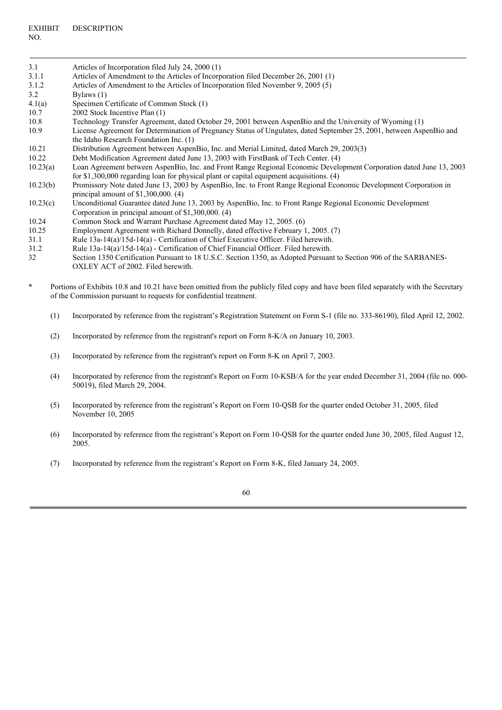| 3.1      | Articles of Incorporation filed July 24, 2000 (1)                                                                                                           |
|----------|-------------------------------------------------------------------------------------------------------------------------------------------------------------|
| 3.1.1    | Articles of Amendment to the Articles of Incorporation filed December 26, 2001 (1)                                                                          |
| 3.1.2    | Articles of Amendment to the Articles of Incorporation filed November 9, 2005 (5)                                                                           |
| 3.2      | Bylaws $(1)$                                                                                                                                                |
| 4.1(a)   | Specimen Certificate of Common Stock (1)                                                                                                                    |
| 10.7     | 2002 Stock Incentive Plan (1)                                                                                                                               |
| 10.8     | Technology Transfer Agreement, dated October 29, 2001 between AspenBio and the University of Wyoming (1)                                                    |
| 10.9     | License Agreement for Determination of Pregnancy Status of Ungulates, dated September 25, 2001, between AspenBio and                                        |
|          | the Idaho Research Foundation Inc. (1)                                                                                                                      |
| 10.21    | Distribution Agreement between AspenBio, Inc. and Merial Limited, dated March 29, 2003(3)                                                                   |
| 10.22    | Debt Modification Agreement dated June 13, 2003 with FirstBank of Tech Center. (4)                                                                          |
| 10.23(a) | Loan Agreement between AspenBio, Inc. and Front Range Regional Economic Development Corporation dated June 13, 2003                                         |
|          | for \$1,300,000 regarding loan for physical plant or capital equipment acquisitions. $(4)$                                                                  |
| 10.23(b) | Promissory Note dated June 13, 2003 by AspenBio, Inc. to Front Range Regional Economic Development Corporation in<br>principal amount of $$1,300,000$ . (4) |
| 10.23(c) | Unconditional Guarantee dated June 13, 2003 by AspenBio, Inc. to Front Range Regional Economic Development                                                  |
|          | Corporation in principal amount of $$1,300,000$ . (4)                                                                                                       |
| 10.24    | Common Stock and Warrant Purchase Agreement dated May 12, 2005. (6)                                                                                         |
| 10.25    | Employment Agreement with Richard Donnelly, dated effective February 1, 2005. (7)                                                                           |
| 31.1     | Rule $13a-14(a)/15d-14(a)$ - Certification of Chief Executive Officer. Filed herewith.                                                                      |
| 31.2     | Rule $13a-14(a)/15d-14(a)$ - Certification of Chief Financial Officer. Filed herewith.                                                                      |
| 32       | Section 1350 Certification Pursuant to 18 U.S.C. Section 1350, as Adopted Pursuant to Section 906 of the SARBANES-                                          |
|          | OXLEY ACT of 2002. Filed herewith.                                                                                                                          |

- \* Portions of Exhibits 10.8 and 10.21 have been omitted from the publicly filed copy and have been filed separately with the Secretary of the Commission pursuant to requests for confidential treatment.
	- (1) Incorporated by reference from the registrant's Registration Statement on Form S-1 (file no. 333-86190), filed April 12, 2002.
	- (2) Incorporated by reference from the registrant's report on Form 8-K/A on January 10, 2003.
	- (3) Incorporated by reference from the registrant's report on Form 8-K on April 7, 2003.
	- (4) Incorporated by reference from the registrant's Report on Form 10-KSB/A for the year ended December 31, 2004 (file no. 000- 50019), filed March 29, 2004.
	- (5) Incorporated by reference from the registrant's Report on Form 10-QSB for the quarter ended October 31, 2005, filed November 10, 2005
	- (6) Incorporated by reference from the registrant's Report on Form 10-QSB for the quarter ended June 30, 2005, filed August 12, 2005.

(7) Incorporated by reference from the registrant's Report on Form 8-K, filed January 24, 2005.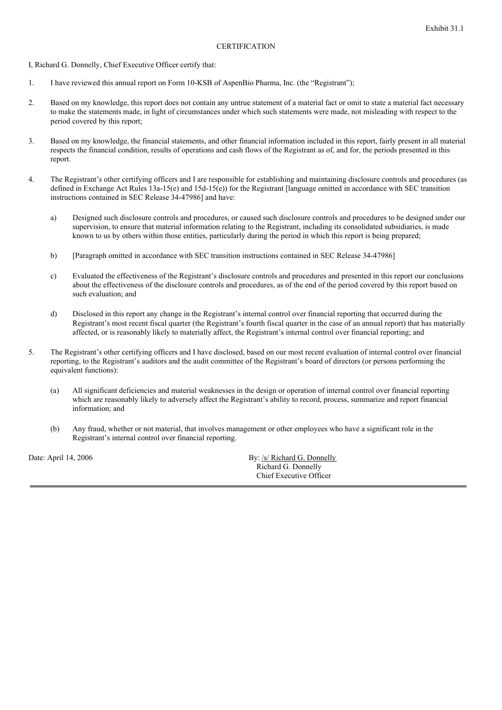#### **CERTIFICATION**

I, Richard G. Donnelly, Chief Executive Officer certify that:

- 1. I have reviewed this annual report on Form 10-KSB of AspenBio Pharma, Inc. (the "Registrant");
- 2. Based on my knowledge, this report does not contain any untrue statement of a material fact or omit to state a material fact necessary to make the statements made, in light of circumstances under which such statements were made, not misleading with respect to the period covered by this report;
- 3. Based on my knowledge, the financial statements, and other financial information included in this report, fairly present in all material respects the financial condition, results of operations and cash flows of the Registrant as of, and for, the periods presented in this report.
- 4. The Registrant's other certifying officers and I are responsible for establishing and maintaining disclosure controls and procedures (as defined in Exchange Act Rules 13a-15(e) and 15d-15(e)) for the Registrant [language omitted in accordance with SEC transition instructions contained in SEC Release 34-47986] and have:
	- a) Designed such disclosure controls and procedures, or caused such disclosure controls and procedures to be designed under our supervision, to ensure that material information relating to the Registrant, including its consolidated subsidiaries, is made known to us by others within those entities, particularly during the period in which this report is being prepared;
	- b) [Paragraph omitted in accordance with SEC transition instructions contained in SEC Release 34-47986]
	- c) Evaluated the effectiveness of the Registrant's disclosure controls and procedures and presented in this report our conclusions about the effectiveness of the disclosure controls and procedures, as of the end of the period covered by this report based on such evaluation; and
	- d) Disclosed in this report any change in the Registrant's internal control over financial reporting that occurred during the Registrant's most recent fiscal quarter (the Registrant's fourth fiscal quarter in the case of an annual report) that has materially affected, or is reasonably likely to materially affect, the Registrant's internal control over financial reporting; and
- 5. The Registrant's other certifying officers and I have disclosed, based on our most recent evaluation of internal control over financial reporting, to the Registrant's auditors and the audit committee of the Registrant's board of directors (or persons performing the equivalent functions):
	- (a) All significant deficiencies and material weaknesses in the design or operation of internal control over financial reporting which are reasonably likely to adversely affect the Registrant's ability to record, process, summarize and report financial information; and
	- (b) Any fraud, whether or not material, that involves management or other employees who have a significant role in the Registrant's internal control over financial reporting.

Date: April 14, 2006 By: /s/ Richard G. Donnelly Richard G. Donnelly Chief Executive Officer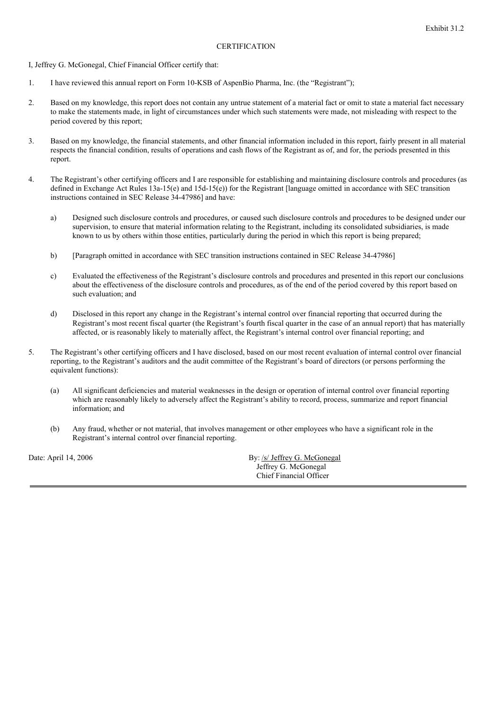#### **CERTIFICATION**

I, Jeffrey G. McGonegal, Chief Financial Officer certify that:

- 1. I have reviewed this annual report on Form 10-KSB of AspenBio Pharma, Inc. (the "Registrant");
- 2. Based on my knowledge, this report does not contain any untrue statement of a material fact or omit to state a material fact necessary to make the statements made, in light of circumstances under which such statements were made, not misleading with respect to the period covered by this report;
- 3. Based on my knowledge, the financial statements, and other financial information included in this report, fairly present in all material respects the financial condition, results of operations and cash flows of the Registrant as of, and for, the periods presented in this report.
- 4. The Registrant's other certifying officers and I are responsible for establishing and maintaining disclosure controls and procedures (as defined in Exchange Act Rules 13a-15(e) and 15d-15(e)) for the Registrant [language omitted in accordance with SEC transition instructions contained in SEC Release 34-47986] and have:
	- a) Designed such disclosure controls and procedures, or caused such disclosure controls and procedures to be designed under our supervision, to ensure that material information relating to the Registrant, including its consolidated subsidiaries, is made known to us by others within those entities, particularly during the period in which this report is being prepared;
	- b) [Paragraph omitted in accordance with SEC transition instructions contained in SEC Release 34-47986]
	- c) Evaluated the effectiveness of the Registrant's disclosure controls and procedures and presented in this report our conclusions about the effectiveness of the disclosure controls and procedures, as of the end of the period covered by this report based on such evaluation; and
	- d) Disclosed in this report any change in the Registrant's internal control over financial reporting that occurred during the Registrant's most recent fiscal quarter (the Registrant's fourth fiscal quarter in the case of an annual report) that has materially affected, or is reasonably likely to materially affect, the Registrant's internal control over financial reporting; and
- 5. The Registrant's other certifying officers and I have disclosed, based on our most recent evaluation of internal control over financial reporting, to the Registrant's auditors and the audit committee of the Registrant's board of directors (or persons performing the equivalent functions):
	- (a) All significant deficiencies and material weaknesses in the design or operation of internal control over financial reporting which are reasonably likely to adversely affect the Registrant's ability to record, process, summarize and report financial information; and
	- (b) Any fraud, whether or not material, that involves management or other employees who have a significant role in the Registrant's internal control over financial reporting.

Date: April 14, 2006 By: /s/ Jeffrey G. McGonegal Jeffrey G. McGonegal Chief Financial Officer